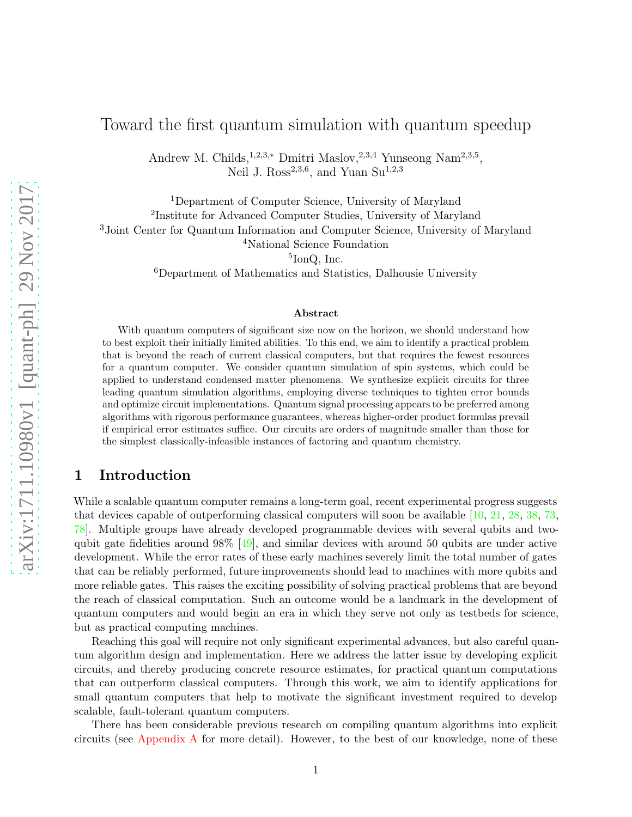# Toward the first quantum simulation with quantum speedup

Andrew M. Childs,<sup>1,2,3,\*</sup> Dmitri Maslov,<sup>2,3,4</sup> Yunseong Nam<sup>2,3,5</sup>, Neil J.  $\text{Ross}^{2,3,6}$ , and Yuan Su<sup>1,2,3</sup>

Department of Computer Science, University of Maryland Institute for Advanced Computer Studies, University of Maryland Joint Center for Quantum Information and Computer Science, University of Maryland National Science Foundation

5 IonQ, Inc.

<sup>6</sup>Department of Mathematics and Statistics, Dalhousie University

#### Abstract

With quantum computers of significant size now on the horizon, we should understand how to best exploit their initially limited abilities. To this end, we aim to identify a practical problem that is beyond the reach of current classical computers, but that requires the fewest resources for a quantum computer. We consider quantum simulation of spin systems, which could be applied to understand condensed matter phenomena. We synthesize explicit circuits for three leading quantum simulation algorithms, employing diverse techniques to tighten error bounds and optimize circuit implementations. Quantum signal processing appears to be preferred among algorithms with rigorous performance guarantees, whereas higher-order product formulas prevail if empirical error estimates suffice. Our circuits are orders of magnitude smaller than those for the simplest classically-infeasible instances of factoring and quantum chemistry.

### <span id="page-0-0"></span>1 Introduction

While a scalable quantum computer remains a long-term goal, recent experimental progress suggests that devices capable of outperforming classical computers will soon be available [\[10,](#page-57-0) [21](#page-58-0), [28,](#page-58-1) [38](#page-59-0), [73](#page-61-0), [78\]](#page-62-0). Multiple groups have already developed programmable devices with several qubits and twoqubit gate fidelities around  $98\%$  [\[49](#page-60-0)], and similar devices with around 50 qubits are under active development. While the error rates of these early machines severely limit the total number of gates that can be reliably performed, future improvements should lead to machines with more qubits and more reliable gates. This raises the exciting possibility of solving practical problems that are beyond the reach of classical computation. Such an outcome would be a landmark in the development of quantum computers and would begin an era in which they serve not only as testbeds for science, but as practical computing machines.

Reaching this goal will require not only significant experimental advances, but also careful quantum algorithm design and implementation. Here we address the latter issue by developing explicit circuits, and thereby producing concrete resource estimates, for practical quantum computations that can outperform classical computers. Through this work, we aim to identify applications for small quantum computers that help to motivate the significant investment required to develop scalable, fault-tolerant quantum computers.

There has been considerable previous research on compiling quantum algorithms into explicit circuits (see [Appendix A](#page-9-0) for more detail). However, to the best of our knowledge, none of these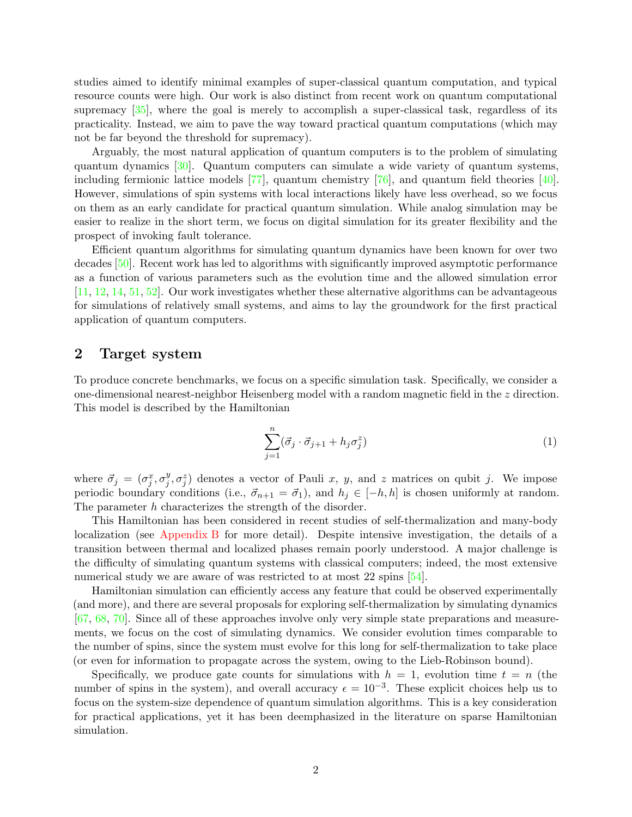studies aimed to identify minimal examples of super-classical quantum computation, and typical resource counts were high. Our work is also distinct from recent work on quantum computational supremacy  $\left[35\right]$ , where the goal is merely to accomplish a super-classical task, regardless of its practicality. Instead, we aim to pave the way toward practical quantum computations (which may not be far beyond the threshold for supremacy).

Arguably, the most natural application of quantum computers is to the problem of simulating quantum dynamics [\[30](#page-58-2)]. Quantum computers can simulate a wide variety of quantum systems, including fermionic lattice models [\[77](#page-62-1)], quantum chemistry [\[76](#page-62-2)], and quantum field theories [\[40](#page-59-2)]. However, simulations of spin systems with local interactions likely have less overhead, so we focus on them as an early candidate for practical quantum simulation. While analog simulation may be easier to realize in the short term, we focus on digital simulation for its greater flexibility and the prospect of invoking fault tolerance.

Efficient quantum algorithms for simulating quantum dynamics have been known for over two decades [\[50\]](#page-60-1). Recent work has led to algorithms with significantly improved asymptotic performance as a function of various parameters such as the evolution time and the allowed simulation error [\[11,](#page-57-1) [12](#page-57-2), [14](#page-57-3), [51,](#page-60-2) [52\]](#page-60-3). Our work investigates whether these alternative algorithms can be advantageous for simulations of relatively small systems, and aims to lay the groundwork for the first practical application of quantum computers.

### <span id="page-1-1"></span>2 Target system

To produce concrete benchmarks, we focus on a specific simulation task. Specifically, we consider a one-dimensional nearest-neighbor Heisenberg model with a random magnetic field in the z direction. This model is described by the Hamiltonian

<span id="page-1-0"></span>
$$
\sum_{j=1}^{n} (\vec{\sigma}_j \cdot \vec{\sigma}_{j+1} + h_j \sigma_j^z)
$$
 (1)

where  $\vec{\sigma}_j = (\sigma_j^x, \sigma_j^y)$  $j^y, \sigma_j^z$  denotes a vector of Pauli x, y, and z matrices on qubit j. We impose periodic boundary conditions (i.e.,  $\vec{\sigma}_{n+1} = \vec{\sigma}_1$ ), and  $h_j \in [-h, h]$  is chosen uniformly at random. The parameter h characterizes the strength of the disorder.

This Hamiltonian has been considered in recent studies of self-thermalization and many-body localization (see [Appendix B](#page-9-1) for more detail). Despite intensive investigation, the details of a transition between thermal and localized phases remain poorly understood. A major challenge is the difficulty of simulating quantum systems with classical computers; indeed, the most extensive numerical study we are aware of was restricted to at most 22 spins [\[54](#page-60-4)].

Hamiltonian simulation can efficiently access any feature that could be observed experimentally (and more), and there are several proposals for exploring self-thermalization by simulating dynamics [\[67,](#page-61-1) [68](#page-61-2), [70\]](#page-61-3). Since all of these approaches involve only very simple state preparations and measurements, we focus on the cost of simulating dynamics. We consider evolution times comparable to the number of spins, since the system must evolve for this long for self-thermalization to take place (or even for information to propagate across the system, owing to the Lieb-Robinson bound).

Specifically, we produce gate counts for simulations with  $h = 1$ , evolution time  $t = n$  (the number of spins in the system), and overall accuracy  $\epsilon = 10^{-3}$ . These explicit choices help us to focus on the system-size dependence of quantum simulation algorithms. This is a key consideration for practical applications, yet it has been deemphasized in the literature on sparse Hamiltonian simulation.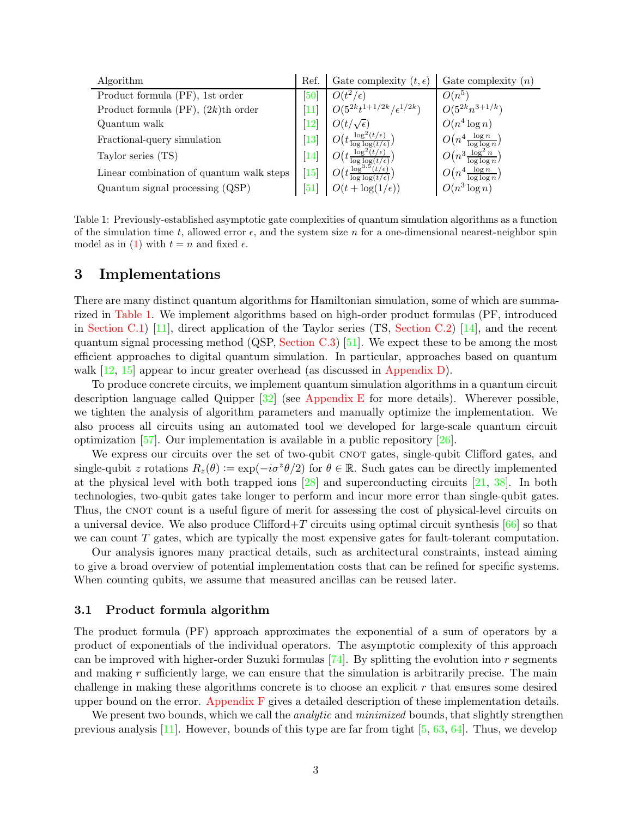<span id="page-2-0"></span>

| Algorithm                                | Ref.    | Gate complexity $(t, \epsilon)$                                      | Gate complexity $(n)$                          |
|------------------------------------------|---------|----------------------------------------------------------------------|------------------------------------------------|
| Product formula (PF), 1st order          | 50      | $O(t^2/\epsilon)$                                                    | $O(n^5)$                                       |
| Product formula (PF), $(2k)$ th order    | 11      | $O(5^{2k}t^{1+1/2k}/\epsilon^{1/2k})$                                | $O(5^{2k}n^{3+1/k})$                           |
| Quantum walk                             | $^{12}$ | $O(t/\sqrt{\epsilon})$                                               | $O(n^4 \log n)$                                |
| Fractional-query simulation              | 13      | $\gamma$ (+ $\log^2(t/\epsilon)$<br>$\sqrt{t \log \log(t/\epsilon)}$ | $O\left(n^4 \frac{\log n}{\log \log n}\right)$ |
| Taylor series (TS)                       | 14      |                                                                      | $O\left(n^3\frac{\log^2 n}{\log\log n}\right)$ |
| Linear combination of quantum walk steps | 15      | $\gamma_+ \log^{3.5}(t/\epsilon)$                                    | $O\left(n^4 \frac{\log n}{\log \log n}\right)$ |
| Quantum signal processing $(QSP)$        | 51      | $O(t + \log(1/\epsilon))$                                            | $O(n^3 \log n)$                                |

Table 1: Previously-established asymptotic gate complexities of quantum simulation algorithms as a function of the simulation time t, allowed error  $\epsilon$ , and the system size n for a one-dimensional nearest-neighbor spin model as in [\(1\)](#page-1-0) with  $t = n$  and fixed  $\epsilon$ .

### <span id="page-2-1"></span>3 Implementations

There are many distinct quantum algorithms for Hamiltonian simulation, some of which are summarized in [Table 1.](#page-2-0) We implement algorithms based on high-order product formulas (PF, introduced in [Section C.1\)](#page-11-0) [\[11](#page-57-1)], direct application of the Taylor series (TS, [Section C.2\)](#page-12-0) [\[14](#page-57-3)], and the recent quantum signal processing method (QSP, [Section C.3\)](#page-15-0) [\[51](#page-60-2)]. We expect these to be among the most efficient approaches to digital quantum simulation. In particular, approaches based on quantum walk  $[12, 15]$  $[12, 15]$  appear to incur greater overhead (as discussed in [Appendix D\)](#page-17-0).

To produce concrete circuits, we implement quantum simulation algorithms in a quantum circuit description language called Quipper [\[32](#page-59-3)] (see [Appendix E](#page-19-0) for more details). Wherever possible, we tighten the analysis of algorithm parameters and manually optimize the implementation. We also process all circuits using an automated tool we developed for large-scale quantum circuit optimization [\[57](#page-60-5)]. Our implementation is available in a public repository [\[26\]](#page-58-3).

We express our circuits over the set of two-qubit CNOT gates, single-qubit Clifford gates, and single-qubit z rotations  $R_z(\theta) := \exp(-i\sigma^z \theta/2)$  for  $\theta \in \mathbb{R}$ . Such gates can be directly implemented at the physical level with both trapped ions [\[28](#page-58-1)] and superconducting circuits [\[21](#page-58-0), [38\]](#page-59-0). In both technologies, two-qubit gates take longer to perform and incur more error than single-qubit gates. Thus, the CNOT count is a useful figure of merit for assessing the cost of physical-level circuits on a universal device. We also produce Clifford $+T$  circuits using optimal circuit synthesis [\[66\]](#page-61-4) so that we can count T gates, which are typically the most expensive gates for fault-tolerant computation.

Our analysis ignores many practical details, such as architectural constraints, instead aiming to give a broad overview of potential implementation costs that can be refined for specific systems. When counting qubits, we assume that measured ancillas can be reused later.

#### 3.1 Product formula algorithm

The product formula (PF) approach approximates the exponential of a sum of operators by a product of exponentials of the individual operators. The asymptotic complexity of this approach can be improved with higher-order Suzuki formulas  $[74]$ . By splitting the evolution into r segments and making  $r$  sufficiently large, we can ensure that the simulation is arbitrarily precise. The main challenge in making these algorithms concrete is to choose an explicit  $r$  that ensures some desired upper bound on the error. Appendix  $F$  gives a detailed description of these implementation details.

We present two bounds, which we call the *analytic* and *minimized* bounds, that slightly strengthen previous analysis [\[11](#page-57-1)]. However, bounds of this type are far from tight [\[5,](#page-57-6) [63,](#page-61-6) [64\]](#page-61-7). Thus, we develop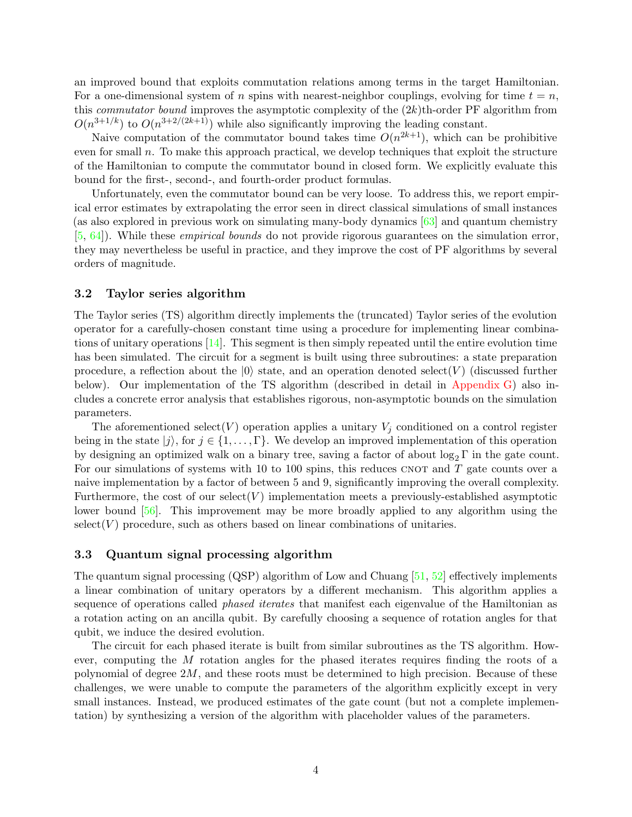an improved bound that exploits commutation relations among terms in the target Hamiltonian. For a one-dimensional system of n spins with nearest-neighbor couplings, evolving for time  $t = n$ , this *commutator bound* improves the asymptotic complexity of the  $(2k)$ th-order PF algorithm from  $O(n^{3+1/k})$  to  $O(n^{3+2/(2k+1)})$  while also significantly improving the leading constant.

Naive computation of the commutator bound takes time  $O(n^{2k+1})$ , which can be prohibitive even for small n. To make this approach practical, we develop techniques that exploit the structure of the Hamiltonian to compute the commutator bound in closed form. We explicitly evaluate this bound for the first-, second-, and fourth-order product formulas.

Unfortunately, even the commutator bound can be very loose. To address this, we report empirical error estimates by extrapolating the error seen in direct classical simulations of small instances (as also explored in previous work on simulating many-body dynamics [\[63](#page-61-6)] and quantum chemistry [\[5](#page-57-6), [64](#page-61-7)]). While these empirical bounds do not provide rigorous guarantees on the simulation error, they may nevertheless be useful in practice, and they improve the cost of PF algorithms by several orders of magnitude.

#### 3.2 Taylor series algorithm

The Taylor series (TS) algorithm directly implements the (truncated) Taylor series of the evolution operator for a carefully-chosen constant time using a procedure for implementing linear combinations of unitary operations [\[14\]](#page-57-3). This segment is then simply repeated until the entire evolution time has been simulated. The circuit for a segment is built using three subroutines: a state preparation procedure, a reflection about the  $|0\rangle$  state, and an operation denoted select(V) (discussed further below). Our implementation of the TS algorithm (described in detail in [Appendix G\)](#page-37-0) also includes a concrete error analysis that establishes rigorous, non-asymptotic bounds on the simulation parameters.

The aforementioned select  $(V)$  operation applies a unitary  $V_j$  conditioned on a control register being in the state  $|j\rangle$ , for  $j \in \{1,\ldots,\Gamma\}$ . We develop an improved implementation of this operation by designing an optimized walk on a binary tree, saving a factor of about  $\log_2 \Gamma$  in the gate count. For our simulations of systems with 10 to 100 spins, this reduces CNOT and  $T$  gate counts over a naive implementation by a factor of between 5 and 9, significantly improving the overall complexity. Furthermore, the cost of our select  $(V)$  implementation meets a previously-established asymptotic lower bound [\[56](#page-60-6)]. This improvement may be more broadly applied to any algorithm using the  $select(V)$  procedure, such as others based on linear combinations of unitaries.

#### <span id="page-3-0"></span>3.3 Quantum signal processing algorithm

The quantum signal processing (QSP) algorithm of Low and Chuang [\[51](#page-60-2), [52](#page-60-3)] effectively implements a linear combination of unitary operators by a different mechanism. This algorithm applies a sequence of operations called *phased iterates* that manifest each eigenvalue of the Hamiltonian as a rotation acting on an ancilla qubit. By carefully choosing a sequence of rotation angles for that qubit, we induce the desired evolution.

The circuit for each phased iterate is built from similar subroutines as the TS algorithm. However, computing the M rotation angles for the phased iterates requires finding the roots of a polynomial of degree  $2M$ , and these roots must be determined to high precision. Because of these challenges, we were unable to compute the parameters of the algorithm explicitly except in very small instances. Instead, we produced estimates of the gate count (but not a complete implementation) by synthesizing a version of the algorithm with placeholder values of the parameters.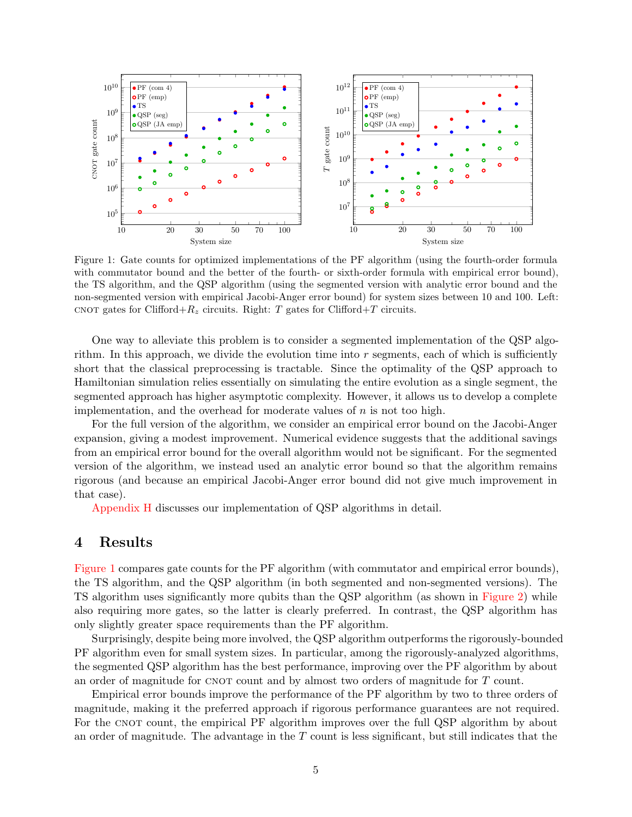<span id="page-4-0"></span>

Figure 1: Gate counts for optimized implementations of the PF algorithm (using the fourth-order formula with commutator bound and the better of the fourth- or sixth-order formula with empirical error bound), the TS algorithm, and the QSP algorithm (using the segmented version with analytic error bound and the non-segmented version with empirical Jacobi-Anger error bound) for system sizes between 10 and 100. Left: CNOT gates for Clifford+ $R_z$  circuits. Right: T gates for Clifford+T circuits.

One way to alleviate this problem is to consider a segmented implementation of the QSP algorithm. In this approach, we divide the evolution time into  $r$  segments, each of which is sufficiently short that the classical preprocessing is tractable. Since the optimality of the QSP approach to Hamiltonian simulation relies essentially on simulating the entire evolution as a single segment, the segmented approach has higher asymptotic complexity. However, it allows us to develop a complete implementation, and the overhead for moderate values of  $n$  is not too high.

For the full version of the algorithm, we consider an empirical error bound on the Jacobi-Anger expansion, giving a modest improvement. Numerical evidence suggests that the additional savings from an empirical error bound for the overall algorithm would not be significant. For the segmented version of the algorithm, we instead used an analytic error bound so that the algorithm remains rigorous (and because an empirical Jacobi-Anger error bound did not give much improvement in that case).

[Appendix H](#page-47-0) discusses our implementation of QSP algorithms in detail.

### <span id="page-4-1"></span>4 Results

[Figure 1](#page-4-0) compares gate counts for the PF algorithm (with commutator and empirical error bounds), the TS algorithm, and the QSP algorithm (in both segmented and non-segmented versions). The TS algorithm uses significantly more qubits than the QSP algorithm (as shown in [Figure 2\)](#page-5-0) while also requiring more gates, so the latter is clearly preferred. In contrast, the QSP algorithm has only slightly greater space requirements than the PF algorithm.

Surprisingly, despite being more involved, the QSP algorithm outperforms the rigorously-bounded PF algorithm even for small system sizes. In particular, among the rigorously-analyzed algorithms, the segmented QSP algorithm has the best performance, improving over the PF algorithm by about an order of magnitude for CNOT count and by almost two orders of magnitude for  $T$  count.

Empirical error bounds improve the performance of the PF algorithm by two to three orders of magnitude, making it the preferred approach if rigorous performance guarantees are not required. For the CNOT count, the empirical PF algorithm improves over the full QSP algorithm by about an order of magnitude. The advantage in the  $T$  count is less significant, but still indicates that the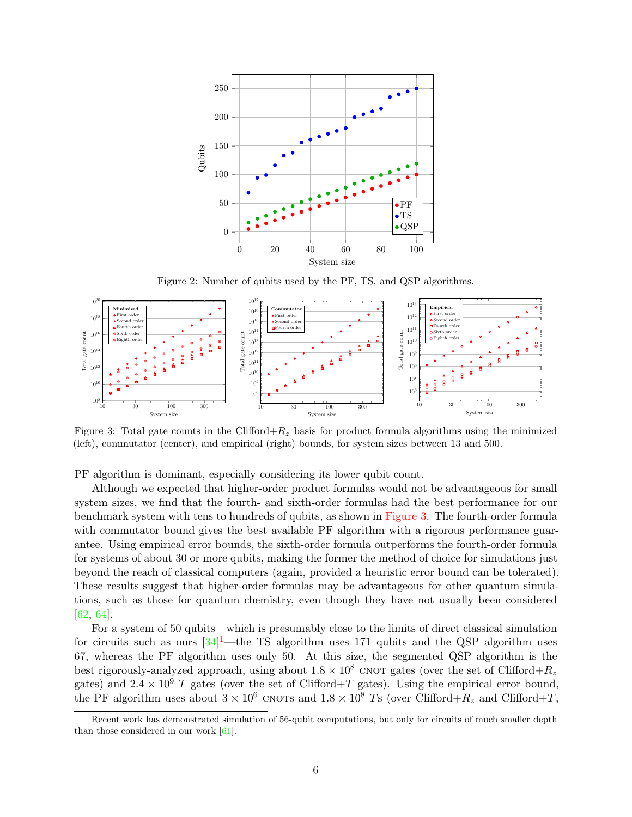<span id="page-5-0"></span>

Figure 2: Number of qubits used by the PF, TS, and QSP algorithms.

<span id="page-5-1"></span>

Figure 3: Total gate counts in the Clifford+ $R_z$  basis for product formula algorithms using the minimized (left), commutator (center), and empirical (right) bounds, for system sizes between 13 and 500.

PF algorithm is dominant, especially considering its lower qubit count.

Although we expected that higher-order product formulas would not be advantageous for small system sizes, we find that the fourth- and sixth-order formulas had the best performance for our benchmark system with tens to hundreds of qubits, as shown in [Figure 3.](#page-5-1) The fourth-order formula with commutator bound gives the best available PF algorithm with a rigorous performance guarantee. Using empirical error bounds, the sixth-order formula outperforms the fourth-order formula for systems of about 30 or more qubits, making the former the method of choice for simulations just beyond the reach of classical computers (again, provided a heuristic error bound can be tolerated). These results suggest that higher-order formulas may be advantageous for other quantum simulations, such as those for quantum chemistry, even though they have not usually been considered [\[62,](#page-60-7) [64](#page-61-7)].

For a system of 50 qubits—which is presumably close to the limits of direct classical simulation for circuits such as ours  $[34]^1$  $[34]^1$ —the TS algorithm uses 171 qubits and the QSP algorithm uses 67, whereas the PF algorithm uses only 50. At this size, the segmented QSP algorithm is the best rigorously-analyzed approach, using about  $1.8 \times 10^8$  CNOT gates (over the set of Clifford+Rz gates) and  $2.4 \times 10^9$  T gates (over the set of Clifford+T gates). Using the empirical error bound, the PF algorithm uses about  $3 \times 10^6$  CNOTs and  $1.8 \times 10^8$  Ts (over Clifford+ $R_z$  and Clifford+T,

<span id="page-5-2"></span><sup>&</sup>lt;sup>1</sup>Recent work has demonstrated simulation of 56-qubit computations, but only for circuits of much smaller depth than those considered in our work [\[61](#page-60-8)].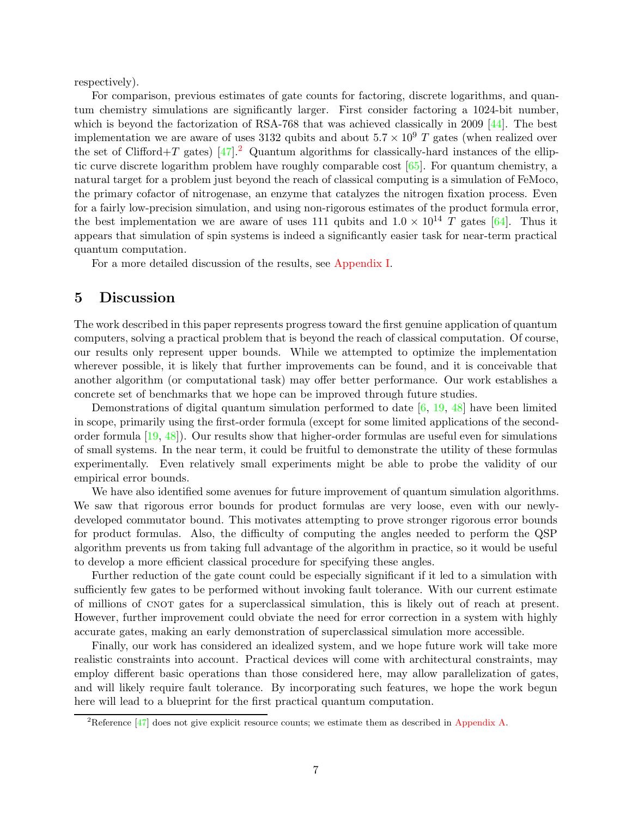respectively).

For comparison, previous estimates of gate counts for factoring, discrete logarithms, and quantum chemistry simulations are significantly larger. First consider factoring a 1024-bit number, which is beyond the factorization of RSA-768 that was achieved classically in 2009 [\[44](#page-59-5)]. The best implementation we are aware of uses 3132 qubits and about  $5.7 \times 10^9$  T gates (when realized over the set of Clifford+T gates)  $[47]$ .<sup>[2](#page-6-0)</sup> Quantum algorithms for classically-hard instances of the elliptic curve discrete logarithm problem have roughly comparable cost [\[65\]](#page-61-8). For quantum chemistry, a natural target for a problem just beyond the reach of classical computing is a simulation of FeMoco, the primary cofactor of nitrogenase, an enzyme that catalyzes the nitrogen fixation process. Even for a fairly low-precision simulation, and using non-rigorous estimates of the product formula error, the best implementation we are aware of uses 111 qubits and  $1.0 \times 10^{14}$  T gates [\[64\]](#page-61-7). Thus it appears that simulation of spin systems is indeed a significantly easier task for near-term practical quantum computation.

For a more detailed discussion of the results, see [Appendix I.](#page-51-0)

### <span id="page-6-1"></span>5 Discussion

The work described in this paper represents progress toward the first genuine application of quantum computers, solving a practical problem that is beyond the reach of classical computation. Of course, our results only represent upper bounds. While we attempted to optimize the implementation wherever possible, it is likely that further improvements can be found, and it is conceivable that another algorithm (or computational task) may offer better performance. Our work establishes a concrete set of benchmarks that we hope can be improved through future studies.

Demonstrations of digital quantum simulation performed to date [\[6](#page-57-7), [19,](#page-58-4) [48](#page-60-9)] have been limited in scope, primarily using the first-order formula (except for some limited applications of the secondorder formula [\[19](#page-58-4), [48\]](#page-60-9)). Our results show that higher-order formulas are useful even for simulations of small systems. In the near term, it could be fruitful to demonstrate the utility of these formulas experimentally. Even relatively small experiments might be able to probe the validity of our empirical error bounds.

We have also identified some avenues for future improvement of quantum simulation algorithms. We saw that rigorous error bounds for product formulas are very loose, even with our newlydeveloped commutator bound. This motivates attempting to prove stronger rigorous error bounds for product formulas. Also, the difficulty of computing the angles needed to perform the QSP algorithm prevents us from taking full advantage of the algorithm in practice, so it would be useful to develop a more efficient classical procedure for specifying these angles.

Further reduction of the gate count could be especially significant if it led to a simulation with sufficiently few gates to be performed without invoking fault tolerance. With our current estimate of millions of cnot gates for a superclassical simulation, this is likely out of reach at present. However, further improvement could obviate the need for error correction in a system with highly accurate gates, making an early demonstration of superclassical simulation more accessible.

Finally, our work has considered an idealized system, and we hope future work will take more realistic constraints into account. Practical devices will come with architectural constraints, may employ different basic operations than those considered here, may allow parallelization of gates, and will likely require fault tolerance. By incorporating such features, we hope the work begun here will lead to a blueprint for the first practical quantum computation.

<span id="page-6-0"></span><sup>&</sup>lt;sup>2</sup>Reference [\[47](#page-59-6)] does not give explicit resource counts; we estimate them as described in [Appendix A.](#page-9-0)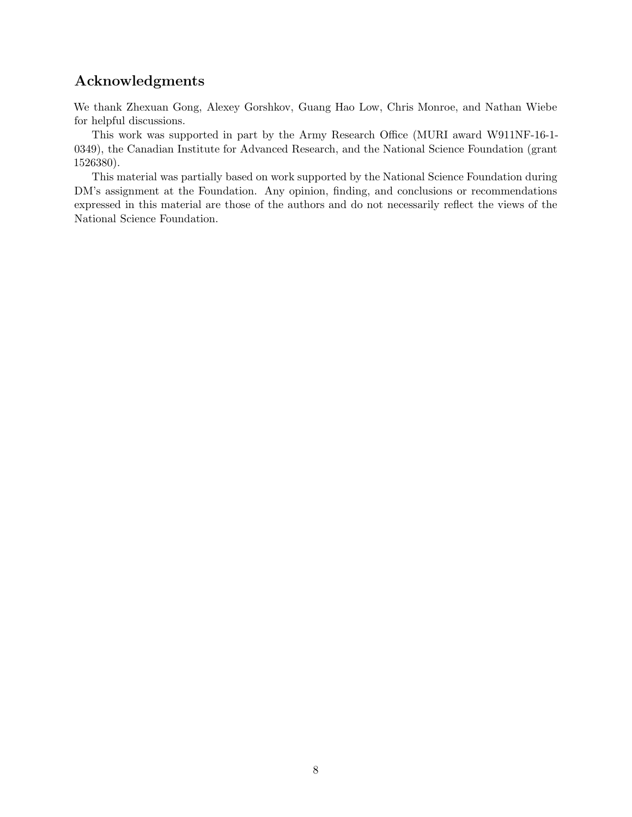# Acknowledgments

We thank Zhexuan Gong, Alexey Gorshkov, Guang Hao Low, Chris Monroe, and Nathan Wiebe for helpful discussions.

This work was supported in part by the Army Research Office (MURI award W911NF-16-1- 0349), the Canadian Institute for Advanced Research, and the National Science Foundation (grant 1526380).

This material was partially based on work supported by the National Science Foundation during DM's assignment at the Foundation. Any opinion, finding, and conclusions or recommendations expressed in this material are those of the authors and do not necessarily reflect the views of the National Science Foundation.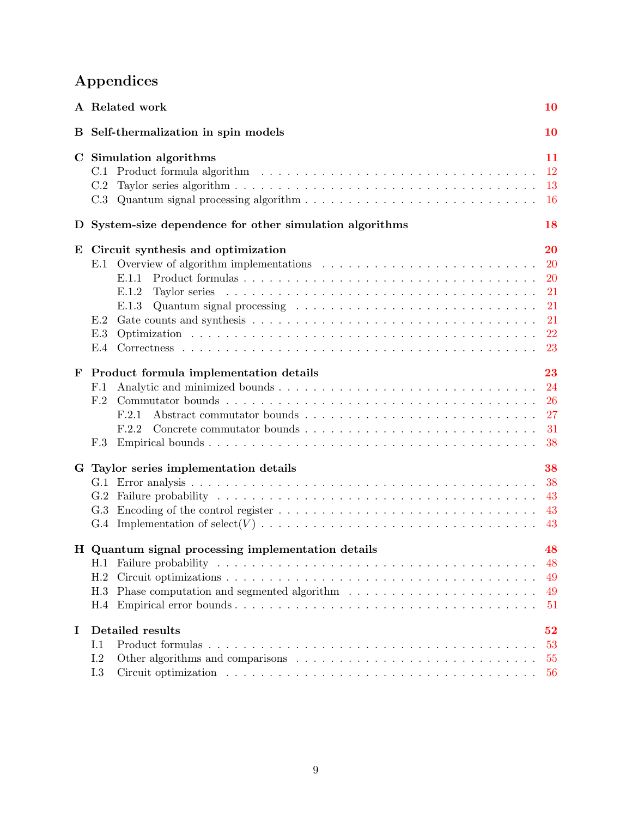# Appendices

|   | A Related work                                                                                                                                          |                                                            |  |  |  |  |  |
|---|---------------------------------------------------------------------------------------------------------------------------------------------------------|------------------------------------------------------------|--|--|--|--|--|
|   | B Self-thermalization in spin models                                                                                                                    | <b>10</b>                                                  |  |  |  |  |  |
|   | C Simulation algorithms<br>C.1<br>C.2<br>Quantum signal processing algorithm $\dots \dots \dots \dots \dots \dots \dots \dots \dots \dots \dots$<br>C.3 | 11<br><sup>12</sup><br>13<br><b>16</b>                     |  |  |  |  |  |
| D | System-size dependence for other simulation algorithms                                                                                                  | 18                                                         |  |  |  |  |  |
| E | Circuit synthesis and optimization<br>E.1.1<br>E.1.2<br>E.1.3<br>E.2<br>E.3<br>E.4                                                                      | 20<br><b>20</b><br><b>20</b><br>21<br>21<br>21<br>22<br>23 |  |  |  |  |  |
| F | Product formula implementation details<br>F.1<br>F.2<br>F.2.1<br>F.2.2<br>F.3                                                                           | 23<br>24<br>26<br>27<br>31<br>38                           |  |  |  |  |  |
|   | G Taylor series implementation details<br>G.2<br>G.3                                                                                                    | 38<br>38<br>43<br>43<br>43                                 |  |  |  |  |  |
|   | H Quantum signal processing implementation details<br>H.2<br>H.3<br>H.4                                                                                 | 48<br>48<br>49<br>49<br>51                                 |  |  |  |  |  |
| I | Detailed results<br>I.1<br>I.2<br>I.3                                                                                                                   | 52<br>53<br>55<br>56                                       |  |  |  |  |  |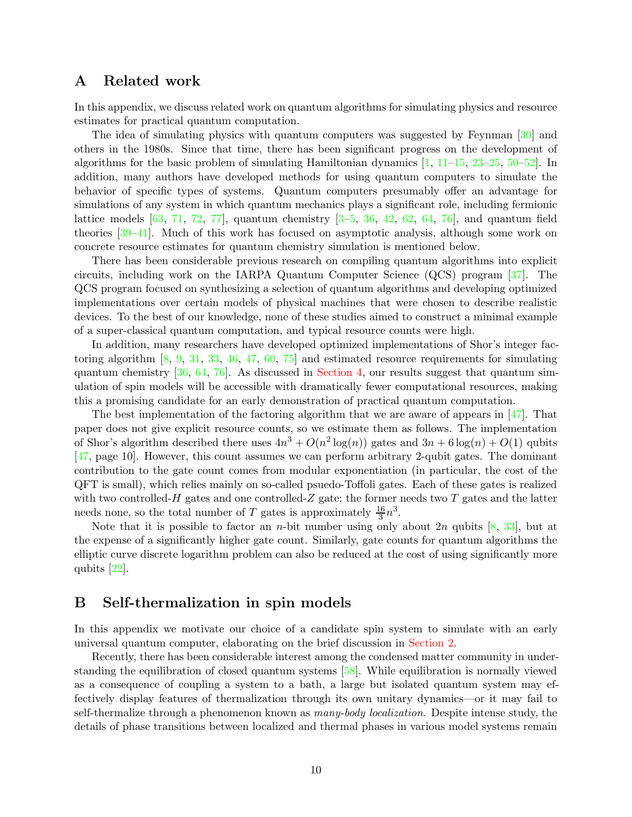### <span id="page-9-0"></span>A Related work

In this appendix, we discuss related work on quantum algorithms for simulating physics and resource estimates for practical quantum computation.

The idea of simulating physics with quantum computers was suggested by Feynman [\[30](#page-58-2)] and others in the 1980s. Since that time, there has been significant progress on the development of algorithms for the basic problem of simulating Hamiltonian dynamics [\[1,](#page-56-0) [11](#page-57-1)[–15,](#page-57-5) [23](#page-58-5)[–25,](#page-58-6) [50](#page-60-1)[–52\]](#page-60-3). In addition, many authors have developed methods for using quantum computers to simulate the behavior of specific types of systems. Quantum computers presumably offer an advantage for simulations of any system in which quantum mechanics plays a significant role, including fermionic lattice models  $[63, 71, 72, 77]$  $[63, 71, 72, 77]$  $[63, 71, 72, 77]$  $[63, 71, 72, 77]$  $[63, 71, 72, 77]$  $[63, 71, 72, 77]$  $[63, 71, 72, 77]$ , quantum chemistry  $[3-5, 36, 42, 62, 64, 76]$  $[3-5, 36, 42, 62, 64, 76]$  $[3-5, 36, 42, 62, 64, 76]$  $[3-5, 36, 42, 62, 64, 76]$  $[3-5, 36, 42, 62, 64, 76]$  $[3-5, 36, 42, 62, 64, 76]$  $[3-5, 36, 42, 62, 64, 76]$  $[3-5, 36, 42, 62, 64, 76]$  $[3-5, 36, 42, 62, 64, 76]$  $[3-5, 36, 42, 62, 64, 76]$ , and quantum field theories [\[39](#page-59-9)[–41\]](#page-59-10). Much of this work has focused on asymptotic analysis, although some work on concrete resource estimates for quantum chemistry simulation is mentioned below.

There has been considerable previous research on compiling quantum algorithms into explicit circuits, including work on the IARPA Quantum Computer Science (QCS) program [\[37](#page-59-11)]. The QCS program focused on synthesizing a selection of quantum algorithms and developing optimized implementations over certain models of physical machines that were chosen to describe realistic devices. To the best of our knowledge, none of these studies aimed to construct a minimal example of a super-classical quantum computation, and typical resource counts were high.

In addition, many researchers have developed optimized implementations of Shor's integer factoring algorithm [\[8](#page-57-8), [9](#page-57-9), [31](#page-58-7), [33](#page-59-12), [46,](#page-59-13) [47,](#page-59-6) [60](#page-60-10), [75](#page-61-11)] and estimated resource requirements for simulating quantum chemistry  $[36, 64, 76]$  $[36, 64, 76]$  $[36, 64, 76]$  $[36, 64, 76]$  $[36, 64, 76]$ . As discussed in [Section 4,](#page-4-1) our results suggest that quantum simulation of spin models will be accessible with dramatically fewer computational resources, making this a promising candidate for an early demonstration of practical quantum computation.

The best implementation of the factoring algorithm that we are aware of appears in [\[47\]](#page-59-6). That paper does not give explicit resource counts, so we estimate them as follows. The implementation of Shor's algorithm described there uses  $4n^3 + O(n^2 \log(n))$  gates and  $3n + 6 \log(n) + O(1)$  qubits [\[47,](#page-59-6) page 10]. However, this count assumes we can perform arbitrary 2-qubit gates. The dominant contribution to the gate count comes from modular exponentiation (in particular, the cost of the QFT is small), which relies mainly on so-called psuedo-Toffoli gates. Each of these gates is realized with two controlled- $H$  gates and one controlled- $Z$  gate; the former needs two  $T$  gates and the latter needs none, so the total number of T gates is approximately  $\frac{16}{3}n^3$ .

Note that it is possible to factor an *n*-bit number using only about 2*n* qubits  $[8, 33]$  $[8, 33]$  $[8, 33]$ , but at the expense of a significantly higher gate count. Similarly, gate counts for quantum algorithms the elliptic curve discrete logarithm problem can also be reduced at the cost of using significantly more qubits [\[22](#page-58-8)].

### <span id="page-9-1"></span>B Self-thermalization in spin models

In this appendix we motivate our choice of a candidate spin system to simulate with an early universal quantum computer, elaborating on the brief discussion in [Section 2.](#page-1-1)

Recently, there has been considerable interest among the condensed matter community in understanding the equilibration of closed quantum systems [\[58](#page-60-11)]. While equilibration is normally viewed as a consequence of coupling a system to a bath, a large but isolated quantum system may effectively display features of thermalization through its own unitary dynamics—or it may fail to self-thermalize through a phenomenon known as many-body localization. Despite intense study, the details of phase transitions between localized and thermal phases in various model systems remain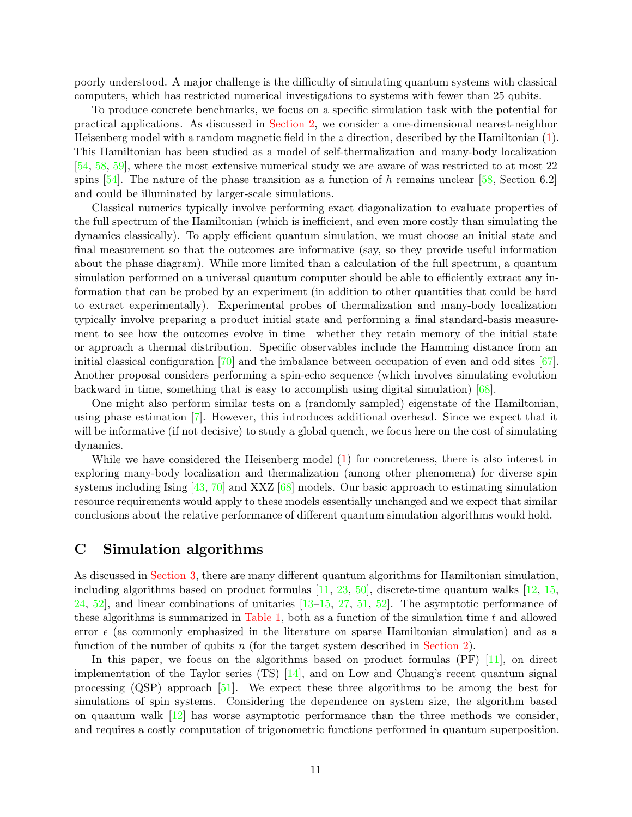poorly understood. A major challenge is the difficulty of simulating quantum systems with classical computers, which has restricted numerical investigations to systems with fewer than 25 qubits.

To produce concrete benchmarks, we focus on a specific simulation task with the potential for practical applications. As discussed in [Section 2,](#page-1-1) we consider a one-dimensional nearest-neighbor Heisenberg model with a random magnetic field in the z direction, described by the Hamiltonian [\(1\)](#page-1-0). This Hamiltonian has been studied as a model of self-thermalization and many-body localization [\[54,](#page-60-4) [58](#page-60-11), [59](#page-60-12)], where the most extensive numerical study we are aware of was restricted to at most 22 spins  $[54]$ . The nature of the phase transition as a function of h remains unclear  $[58,$  Section 6.2] and could be illuminated by larger-scale simulations.

Classical numerics typically involve performing exact diagonalization to evaluate properties of the full spectrum of the Hamiltonian (which is inefficient, and even more costly than simulating the dynamics classically). To apply efficient quantum simulation, we must choose an initial state and final measurement so that the outcomes are informative (say, so they provide useful information about the phase diagram). While more limited than a calculation of the full spectrum, a quantum simulation performed on a universal quantum computer should be able to efficiently extract any information that can be probed by an experiment (in addition to other quantities that could be hard to extract experimentally). Experimental probes of thermalization and many-body localization typically involve preparing a product initial state and performing a final standard-basis measurement to see how the outcomes evolve in time—whether they retain memory of the initial state or approach a thermal distribution. Specific observables include the Hamming distance from an initial classical configuration [\[70\]](#page-61-3) and the imbalance between occupation of even and odd sites [\[67](#page-61-1)]. Another proposal considers performing a spin-echo sequence (which involves simulating evolution backward in time, something that is easy to accomplish using digital simulation) [\[68](#page-61-2)].

One might also perform similar tests on a (randomly sampled) eigenstate of the Hamiltonian, using phase estimation [\[7](#page-57-10)]. However, this introduces additional overhead. Since we expect that it will be informative (if not decisive) to study a global quench, we focus here on the cost of simulating dynamics.

While we have considered the Heisenberg model [\(1\)](#page-1-0) for concreteness, there is also interest in exploring many-body localization and thermalization (among other phenomena) for diverse spin systems including Ising  $[43, 70]$  $[43, 70]$  and XXZ  $[68]$  models. Our basic approach to estimating simulation resource requirements would apply to these models essentially unchanged and we expect that similar conclusions about the relative performance of different quantum simulation algorithms would hold.

### <span id="page-10-0"></span>C Simulation algorithms

As discussed in [Section 3,](#page-2-1) there are many different quantum algorithms for Hamiltonian simulation, including algorithms based on product formulas  $[11, 23, 50]$  $[11, 23, 50]$  $[11, 23, 50]$  $[11, 23, 50]$  $[11, 23, 50]$ , discrete-time quantum walks  $[12, 15,$  $[12, 15,$  $[12, 15,$ [24,](#page-58-9) [52\]](#page-60-3), and linear combinations of unitaries [\[13](#page-57-4)[–15](#page-57-5), [27,](#page-58-10) [51](#page-60-2), [52](#page-60-3)]. The asymptotic performance of these algorithms is summarized in [Table 1,](#page-2-0) both as a function of the simulation time  $t$  and allowed error  $\epsilon$  (as commonly emphasized in the literature on sparse Hamiltonian simulation) and as a function of the number of qubits  $n$  (for the target system described in [Section 2\)](#page-1-1).

In this paper, we focus on the algorithms based on product formulas (PF) [\[11](#page-57-1)], on direct implementation of the Taylor series (TS) [\[14](#page-57-3)], and on Low and Chuang's recent quantum signal processing (QSP) approach [\[51\]](#page-60-2). We expect these three algorithms to be among the best for simulations of spin systems. Considering the dependence on system size, the algorithm based on quantum walk [\[12](#page-57-2)] has worse asymptotic performance than the three methods we consider, and requires a costly computation of trigonometric functions performed in quantum superposition.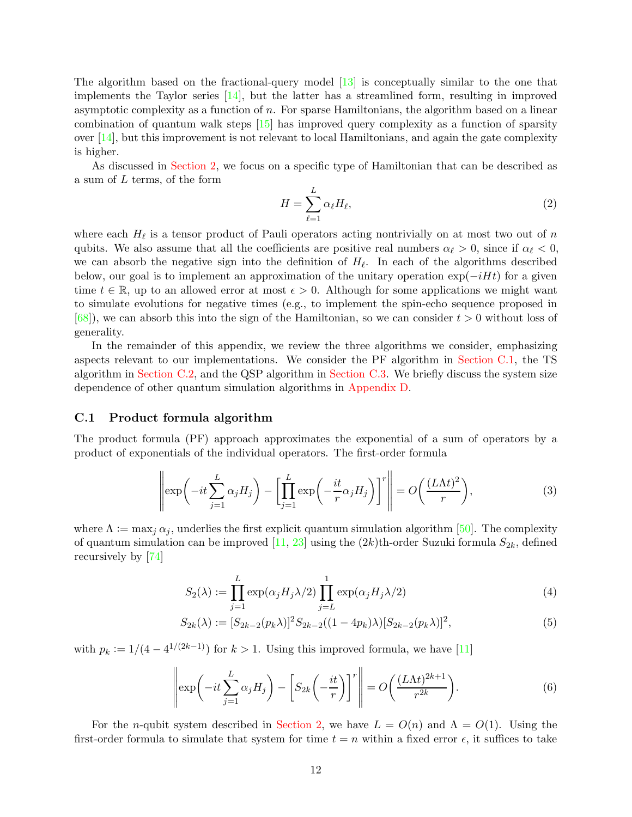The algorithm based on the fractional-query model [\[13](#page-57-4)] is conceptually similar to the one that implements the Taylor series [\[14](#page-57-3)], but the latter has a streamlined form, resulting in improved asymptotic complexity as a function of  $n$ . For sparse Hamiltonians, the algorithm based on a linear combination of quantum walk steps [\[15\]](#page-57-5) has improved query complexity as a function of sparsity over [\[14](#page-57-3)], but this improvement is not relevant to local Hamiltonians, and again the gate complexity is higher.

As discussed in [Section 2,](#page-1-1) we focus on a specific type of Hamiltonian that can be described as a sum of L terms, of the form

<span id="page-11-1"></span>
$$
H = \sum_{\ell=1}^{L} \alpha_{\ell} H_{\ell},\tag{2}
$$

where each  $H_{\ell}$  is a tensor product of Pauli operators acting nontrivially on at most two out of n qubits. We also assume that all the coefficients are positive real numbers  $\alpha_{\ell} > 0$ , since if  $\alpha_{\ell} < 0$ , we can absorb the negative sign into the definition of  $H_{\ell}$ . In each of the algorithms described below, our goal is to implement an approximation of the unitary operation  $\exp(-iHt)$  for a given time  $t \in \mathbb{R}$ , up to an allowed error at most  $\epsilon > 0$ . Although for some applications we might want to simulate evolutions for negative times (e.g., to implement the spin-echo sequence proposed in  $[68]$ , we can absorb this into the sign of the Hamiltonian, so we can consider  $t > 0$  without loss of generality.

In the remainder of this appendix, we review the three algorithms we consider, emphasizing aspects relevant to our implementations. We consider the PF algorithm in [Section C.1,](#page-11-0) the TS algorithm in [Section C.2,](#page-12-0) and the QSP algorithm in [Section C.3.](#page-15-0) We briefly discuss the system size dependence of other quantum simulation algorithms in [Appendix D.](#page-17-0)

#### <span id="page-11-0"></span>C.1 Product formula algorithm

The product formula (PF) approach approximates the exponential of a sum of operators by a product of exponentials of the individual operators. The first-order formula

$$
\left\| \exp\left(-it\sum_{j=1}^{L} \alpha_j H_j\right) - \left[\prod_{j=1}^{L} \exp\left(-\frac{it}{r} \alpha_j H_j\right)\right]^r \right\| = O\left(\frac{(L\Lambda t)^2}{r}\right),\tag{3}
$$

where  $\Lambda := \max_j \alpha_j$ , underlies the first explicit quantum simulation algorithm [\[50](#page-60-1)]. The complexity of quantum simulation can be improved [\[11](#page-57-1), [23](#page-58-5)] using the  $(2k)$ th-order Suzuki formula  $S_{2k}$ , defined recursively by [\[74](#page-61-5)]

$$
S_2(\lambda) := \prod_{j=1}^{L} \exp(\alpha_j H_j \lambda/2) \prod_{j=L}^{1} \exp(\alpha_j H_j \lambda/2)
$$
 (4)

$$
S_{2k}(\lambda) := [S_{2k-2}(p_k \lambda)]^2 S_{2k-2}((1 - 4p_k)\lambda)[S_{2k-2}(p_k \lambda)]^2,
$$
\n(5)

with  $p_k := 1/(4 - 4^{1/(2k-1)})$  for  $k > 1$ . Using this improved formula, we have [\[11](#page-57-1)]

$$
\left\| \exp\left(-it\sum_{j=1}^{L} \alpha_j H_j\right) - \left[S_{2k}\left(-\frac{it}{r}\right)\right]^r \right\| = O\left(\frac{(L\Lambda t)^{2k+1}}{r^{2k}}\right). \tag{6}
$$

For the n-qubit system described in [Section 2,](#page-1-1) we have  $L = O(n)$  and  $\Lambda = O(1)$ . Using the first-order formula to simulate that system for time  $t = n$  within a fixed error  $\epsilon$ , it suffices to take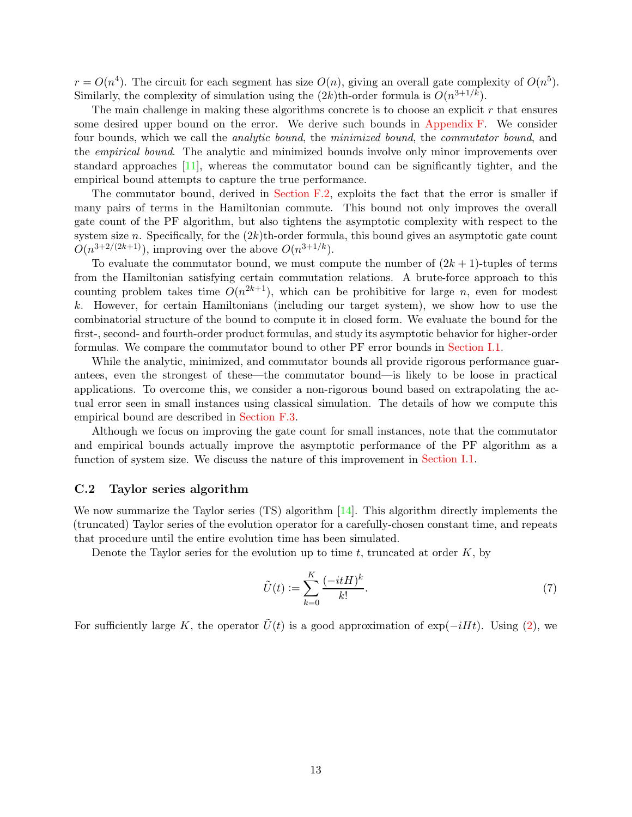$r = O(n^4)$ . The circuit for each segment has size  $O(n)$ , giving an overall gate complexity of  $O(n^5)$ . Similarly, the complexity of simulation using the  $(2k)$ th-order formula is  $O(n^{3+1/k})$ .

The main challenge in making these algorithms concrete is to choose an explicit  $r$  that ensures some desired upper bound on the error. We derive such bounds in [Appendix F.](#page-22-0) We consider four bounds, which we call the analytic bound, the minimized bound, the commutator bound, and the empirical bound. The analytic and minimized bounds involve only minor improvements over standard approaches [\[11](#page-57-1)], whereas the commutator bound can be significantly tighter, and the empirical bound attempts to capture the true performance.

The commutator bound, derived in [Section F.2,](#page-25-0) exploits the fact that the error is smaller if many pairs of terms in the Hamiltonian commute. This bound not only improves the overall gate count of the PF algorithm, but also tightens the asymptotic complexity with respect to the system size n. Specifically, for the  $(2k)$ th-order formula, this bound gives an asymptotic gate count  $O(n^{3+2/(2k+1)})$ , improving over the above  $O(n^{3+1/k})$ .

To evaluate the commutator bound, we must compute the number of  $(2k + 1)$ -tuples of terms from the Hamiltonian satisfying certain commutation relations. A brute-force approach to this counting problem takes time  $O(n^{2k+1})$ , which can be prohibitive for large n, even for modest k. However, for certain Hamiltonians (including our target system), we show how to use the combinatorial structure of the bound to compute it in closed form. We evaluate the bound for the first-, second- and fourth-order product formulas, and study its asymptotic behavior for higher-order formulas. We compare the commutator bound to other PF error bounds in [Section I.1.](#page-52-0)

While the analytic, minimized, and commutator bounds all provide rigorous performance guarantees, even the strongest of these—the commutator bound—is likely to be loose in practical applications. To overcome this, we consider a non-rigorous bound based on extrapolating the actual error seen in small instances using classical simulation. The details of how we compute this empirical bound are described in [Section F.3.](#page-37-1)

Although we focus on improving the gate count for small instances, note that the commutator and empirical bounds actually improve the asymptotic performance of the PF algorithm as a function of system size. We discuss the nature of this improvement in [Section I.1.](#page-52-0)

#### <span id="page-12-0"></span>C.2 Taylor series algorithm

We now summarize the Taylor series (TS) algorithm  $[14]$ . This algorithm directly implements the (truncated) Taylor series of the evolution operator for a carefully-chosen constant time, and repeats that procedure until the entire evolution time has been simulated.

Denote the Taylor series for the evolution up to time  $t$ , truncated at order  $K$ , by

<span id="page-12-1"></span>
$$
\tilde{U}(t) := \sum_{k=0}^{K} \frac{(-itH)^k}{k!}.\tag{7}
$$

For sufficiently large K, the operator  $\tilde{U}(t)$  is a good approximation of exp( $-iHt$ ). Using [\(2\)](#page-11-1), we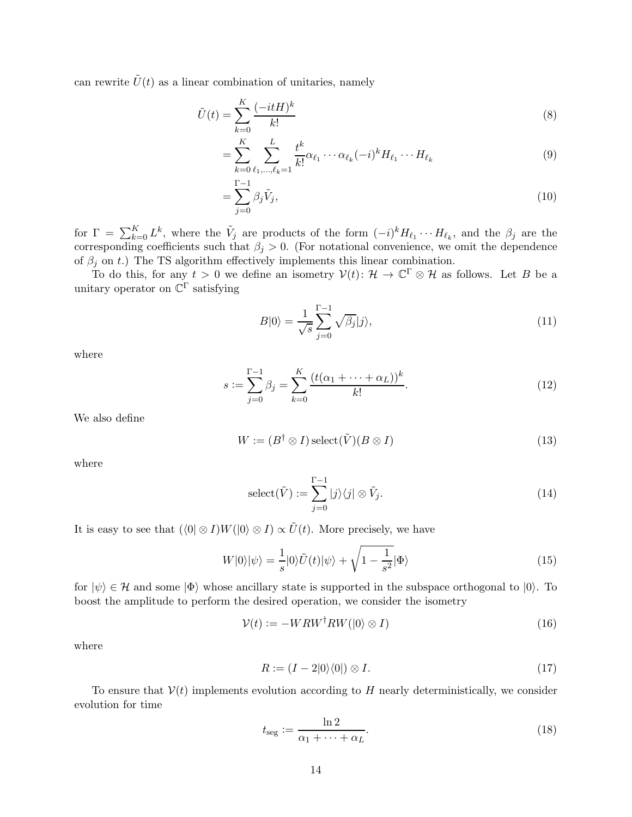can rewrite  $\tilde{U}(t)$  as a linear combination of unitaries, namely

$$
\tilde{U}(t) = \sum_{k=0}^{K} \frac{(-itH)^k}{k!} \tag{8}
$$

$$
= \sum_{k=0}^{K} \sum_{\ell_1, ..., \ell_k=1}^{L} \frac{t^k}{k!} \alpha_{\ell_1} \cdots \alpha_{\ell_k} (-i)^k H_{\ell_1} \cdots H_{\ell_k}
$$
(9)

$$
=\sum_{j=0}^{\Gamma-1} \beta_j \tilde{V}_j,\tag{10}
$$

for  $\Gamma = \sum_{k=0}^K L^k$ , where the  $\tilde{V}_j$  are products of the form  $(-i)^k H_{\ell_1} \cdots H_{\ell_k}$ , and the  $\beta_j$  are the corresponding coefficients such that  $\beta_j > 0$ . (For notational convenience, we omit the dependence of  $\beta_i$  on t.) The TS algorithm effectively implements this linear combination.

To do this, for any  $t > 0$  we define an isometry  $V(t)$ :  $\mathcal{H} \to \mathbb{C}^{\Gamma} \otimes \mathcal{H}$  as follows. Let B be a unitary operator on  $\mathbb{C}^{\Gamma}$  satisfying

<span id="page-13-3"></span>
$$
B|0\rangle = \frac{1}{\sqrt{s}} \sum_{j=0}^{\Gamma-1} \sqrt{\beta_j} |j\rangle,\tag{11}
$$

where

$$
s := \sum_{j=0}^{\Gamma-1} \beta_j = \sum_{k=0}^{K} \frac{(t(\alpha_1 + \dots + \alpha_L))^k}{k!}.
$$
 (12)

We also define

$$
W := (B^{\dagger} \otimes I) \operatorname{select}(\tilde{V})(B \otimes I)
$$
\n(13)

where

<span id="page-13-0"></span>
$$
\operatorname{select}(\tilde{V}) := \sum_{j=0}^{\Gamma-1} |j\rangle\langle j| \otimes \tilde{V}_j. \tag{14}
$$

It is easy to see that  $(\langle 0 | \otimes I)W(0 \rangle \otimes I) \propto \tilde{U}(t)$ . More precisely, we have

$$
W|0\rangle|\psi\rangle = \frac{1}{s}|0\rangle\tilde{U}(t)|\psi\rangle + \sqrt{1 - \frac{1}{s^2}}|\Phi\rangle
$$
\n(15)

for  $|\psi\rangle \in \mathcal{H}$  and some  $|\Phi\rangle$  whose ancillary state is supported in the subspace orthogonal to  $|0\rangle$ . To boost the amplitude to perform the desired operation, we consider the isometry

$$
\mathcal{V}(t) := -WRW^{\dagger}RW(|0\rangle \otimes I)
$$
\n(16)

where

<span id="page-13-2"></span>
$$
R := (I - 2|0\rangle\langle 0|) \otimes I. \tag{17}
$$

To ensure that  $V(t)$  implements evolution according to H nearly deterministically, we consider evolution for time

<span id="page-13-1"></span>
$$
t_{\text{seg}} := \frac{\ln 2}{\alpha_1 + \dots + \alpha_L}.\tag{18}
$$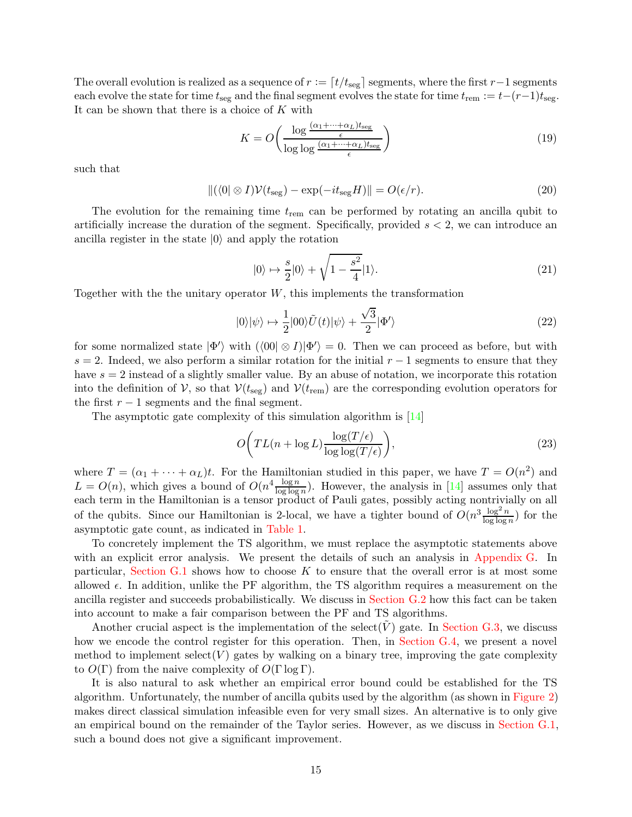The overall evolution is realized as a sequence of  $r := [t/t_{\text{seg}}]$  segments, where the first  $r-1$  segments each evolve the state for time  $t_{\text{seg}}$  and the final segment evolves the state for time  $t_{\text{rem}} := t-(r-1)t_{\text{seg}}$ . It can be shown that there is a choice of  $K$  with

$$
K = O\left(\frac{\log \frac{(\alpha_1 + \dots + \alpha_L)t_{\text{seg}}}{\epsilon}}{\log \log \frac{(\alpha_1 + \dots + \alpha_L)t_{\text{seg}}}{\epsilon}}\right)
$$
(19)

such that

$$
\|(\langle 0| \otimes I)\mathcal{V}(t_{\text{seg}}) - \exp(-it_{\text{seg}}H)\| = O(\epsilon/r). \tag{20}
$$

The evolution for the remaining time  $t_{\text{rem}}$  can be performed by rotating an ancilla qubit to artificially increase the duration of the segment. Specifically, provided  $s < 2$ , we can introduce an ancilla register in the state  $|0\rangle$  and apply the rotation

$$
|0\rangle \mapsto \frac{s}{2}|0\rangle + \sqrt{1 - \frac{s^2}{4}}|1\rangle. \tag{21}
$$

Together with the the unitary operator  $W$ , this implements the transformation

$$
|0\rangle|\psi\rangle \mapsto \frac{1}{2}|00\rangle \tilde{U}(t)|\psi\rangle + \frac{\sqrt{3}}{2}|\Phi'\rangle
$$
 (22)

for some normalized state  $|\Phi'\rangle$  with  $(\langle 00|\otimes I)|\Phi'\rangle = 0$ . Then we can proceed as before, but with s = 2. Indeed, we also perform a similar rotation for the initial  $r - 1$  segments to ensure that they have  $s = 2$  instead of a slightly smaller value. By an abuse of notation, we incorporate this rotation into the definition of V, so that  $V(t_{\text{seg}})$  and  $V(t_{\text{rem}})$  are the corresponding evolution operators for the first  $r - 1$  segments and the final segment.

The asymptotic gate complexity of this simulation algorithm is [\[14](#page-57-3)]

$$
O\bigg(TL(n+\log L)\frac{\log(T/\epsilon)}{\log\log(T/\epsilon)}\bigg),\tag{23}
$$

where  $T = (\alpha_1 + \cdots + \alpha_L)t$ . For the Hamiltonian studied in this paper, we have  $T = O(n^2)$  and  $L = O(n)$ , which gives a bound of  $O(n^4 \frac{\log n}{\log \log n})$ . However, the analysis in [\[14](#page-57-3)] assumes only that each term in the Hamiltonian is a tensor product of Pauli gates, possibly acting nontrivially on all of the qubits. Since our Hamiltonian is 2-local, we have a tighter bound of  $O(n^3 \frac{\log^2 n}{\log \log n})$  for the asymptotic gate count, as indicated in [Table 1.](#page-2-0)

To concretely implement the TS algorithm, we must replace the asymptotic statements above with an explicit error analysis. We present the details of such an analysis in [Appendix G.](#page-37-0) In particular, [Section G.1](#page-37-2) shows how to choose  $K$  to ensure that the overall error is at most some allowed  $\epsilon$ . In addition, unlike the PF algorithm, the TS algorithm requires a measurement on the ancilla register and succeeds probabilistically. We discuss in [Section G.2](#page-42-0) how this fact can be taken into account to make a fair comparison between the PF and TS algorithms.

Another crucial aspect is the implementation of the select( $\hat{V}$ ) gate. In [Section G.3,](#page-42-1) we discuss how we encode the control register for this operation. Then, in [Section G.4,](#page-42-2) we present a novel method to implement select( $V$ ) gates by walking on a binary tree, improving the gate complexity to  $O(\Gamma)$  from the naive complexity of  $O(\Gamma \log \Gamma)$ .

It is also natural to ask whether an empirical error bound could be established for the TS algorithm. Unfortunately, the number of ancilla qubits used by the algorithm (as shown in [Figure 2\)](#page-5-0) makes direct classical simulation infeasible even for very small sizes. An alternative is to only give an empirical bound on the remainder of the Taylor series. However, as we discuss in [Section G.1,](#page-37-2) such a bound does not give a significant improvement.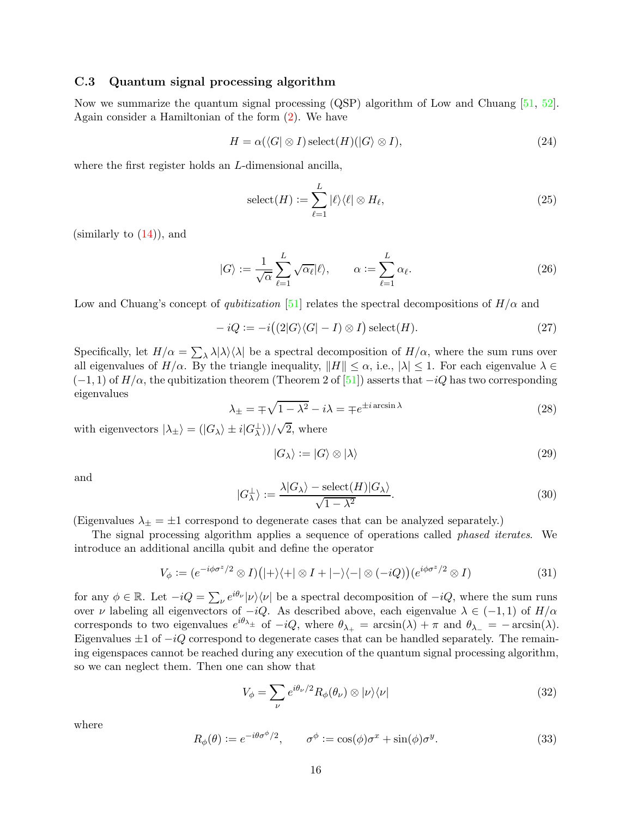#### <span id="page-15-0"></span>C.3 Quantum signal processing algorithm

Now we summarize the quantum signal processing (QSP) algorithm of Low and Chuang [\[51,](#page-60-2) [52](#page-60-3)]. Again consider a Hamiltonian of the form [\(2\)](#page-11-1). We have

$$
H = \alpha(\langle G | \otimes I \rangle) \operatorname{select}(H)(|G \rangle \otimes I),\tag{24}
$$

where the first register holds an L-dimensional ancilla,

$$
select(H) := \sum_{\ell=1}^{L} |\ell\rangle\langle\ell| \otimes H_{\ell},\tag{25}
$$

 $(\text{similarly to } (14))$  $(\text{similarly to } (14))$  $(\text{similarly to } (14))$ , and

$$
|G\rangle := \frac{1}{\sqrt{\alpha}} \sum_{\ell=1}^{L} \sqrt{\alpha_{\ell}} |\ell\rangle, \qquad \alpha := \sum_{\ell=1}^{L} \alpha_{\ell}.
$$
 (26)

Low and Chuang's concept of *qubitization* [\[51](#page-60-2)] relates the spectral decompositions of  $H/\alpha$  and

$$
-iQ := -i\big((2|G\rangle\langle G|-I) \otimes I\big) \operatorname{select}(H). \tag{27}
$$

Specifically, let  $H/\alpha = \sum_{\lambda} \lambda |\lambda\rangle\langle\lambda|$  be a spectral decomposition of  $H/\alpha$ , where the sum runs over all eigenvalues of  $H/\alpha$ . By the triangle inequality,  $||H|| \leq \alpha$ , i.e.,  $|\lambda| \leq 1$ . For each eigenvalue  $\lambda \in$  $(-1, 1)$  of  $H/\alpha$ , the qubitization theorem (Theorem 2 of [\[51\]](#page-60-2)) asserts that  $-iQ$  has two corresponding eigenvalues

$$
\lambda_{\pm} = \mp \sqrt{1 - \lambda^2} - i\lambda = \mp e^{\pm i \arcsin \lambda}
$$
\n(28)

with eigenvectors  $|\lambda_{\pm}\rangle = (|G_{\lambda}\rangle \pm i|G_{\lambda}^{\perp}\rangle)/\sqrt{2}$ , where

$$
|G_{\lambda}\rangle := |G\rangle \otimes |\lambda\rangle \tag{29}
$$

and

$$
|G_{\lambda}^{\perp}\rangle := \frac{\lambda|G_{\lambda}\rangle - \text{select}(H)|G_{\lambda}\rangle}{\sqrt{1-\lambda^2}}.
$$
\n(30)

(Eigenvalues  $\lambda_{\pm} = \pm 1$  correspond to degenerate cases that can be analyzed separately.)

The signal processing algorithm applies a sequence of operations called phased iterates. We introduce an additional ancilla qubit and define the operator

<span id="page-15-1"></span>
$$
V_{\phi} := (e^{-i\phi\sigma^z/2} \otimes I)(|+\rangle\langle+| \otimes I + |-\rangle\langle-| \otimes (-iQ))(e^{i\phi\sigma^z/2} \otimes I)
$$
\n(31)

for any  $\phi \in \mathbb{R}$ . Let  $-iQ = \sum_{\nu} e^{i\theta_{\nu}} |\nu\rangle\langle \nu|$  be a spectral decomposition of  $-iQ$ , where the sum runs over v labeling all eigenvectors of  $-iQ$ . As described above, each eigenvalue  $\lambda \in (-1,1)$  of  $H/\alpha$ corresponds to two eigenvalues  $e^{i\theta_{\lambda_{\pm}}}$  of  $-iQ$ , where  $\theta_{\lambda_{+}} = \arcsin(\lambda) + \pi$  and  $\theta_{\lambda_{-}} = -\arcsin(\lambda)$ . Eigenvalues  $\pm 1$  of  $-iQ$  correspond to degenerate cases that can be handled separately. The remaining eigenspaces cannot be reached during any execution of the quantum signal processing algorithm, so we can neglect them. Then one can show that

$$
V_{\phi} = \sum_{\nu} e^{i\theta_{\nu}/2} R_{\phi}(\theta_{\nu}) \otimes |\nu\rangle\langle\nu| \tag{32}
$$

where

$$
R_{\phi}(\theta) := e^{-i\theta \sigma^{\phi}/2}, \qquad \sigma^{\phi} := \cos(\phi)\sigma^x + \sin(\phi)\sigma^y. \tag{33}
$$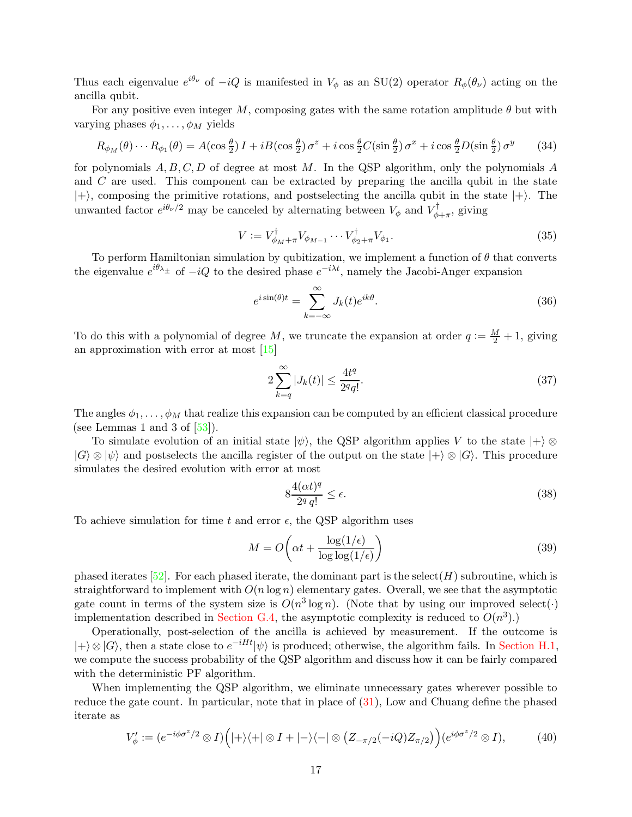Thus each eigenvalue  $e^{i\theta_{\nu}}$  of  $-iQ$  is manifested in  $V_{\phi}$  as an SU(2) operator  $R_{\phi}(\theta_{\nu})$  acting on the ancilla qubit.

For any positive even integer M, composing gates with the same rotation amplitude  $\theta$  but with varying phases  $\phi_1, \ldots, \phi_M$  yields

$$
R_{\phi_M}(\theta)\cdots R_{\phi_1}(\theta) = A(\cos\frac{\theta}{2})I + iB(\cos\frac{\theta}{2})\sigma^z + i\cos\frac{\theta}{2}C(\sin\frac{\theta}{2})\sigma^x + i\cos\frac{\theta}{2}D(\sin\frac{\theta}{2})\sigma^y \tag{34}
$$

for polynomials  $A, B, C, D$  of degree at most M. In the QSP algorithm, only the polynomials A and C are used. This component can be extracted by preparing the ancilla qubit in the state  $|+\rangle$ , composing the primitive rotations, and postselecting the ancilla qubit in the state  $|+\rangle$ . The unwanted factor  $e^{i\theta_\nu/2}$  may be canceled by alternating between  $V_\phi$  and  $V_\phi^\dagger$  $\psi_{\phi+\pi}^{\prime}$ , giving

<span id="page-16-1"></span>
$$
V := V_{\phi_M + \pi}^\dagger V_{\phi_{M-1}} \cdots V_{\phi_2 + \pi}^\dagger V_{\phi_1}.
$$
\n
$$
(35)
$$

To perform Hamiltonian simulation by qubitization, we implement a function of  $\theta$  that converts the eigenvalue  $e^{i\theta_{\lambda_{\pm}}}$  of  $-iQ$  to the desired phase  $e^{-i\lambda t}$ , namely the Jacobi-Anger expansion

$$
e^{i\sin(\theta)t} = \sum_{k=-\infty}^{\infty} J_k(t)e^{ik\theta}.
$$
\n(36)

To do this with a polynomial of degree M, we truncate the expansion at order  $q := \frac{M}{2} + 1$ , giving an approximation with error at most [\[15](#page-57-5)]

<span id="page-16-3"></span>
$$
2\sum_{k=q}^{\infty} |J_k(t)| \le \frac{4t^q}{2^q q!}.\tag{37}
$$

The angles  $\phi_1, \ldots, \phi_M$  that realize this expansion can be computed by an efficient classical procedure (see Lemmas 1 and 3 of  $[53]$ ).

To simulate evolution of an initial state  $|\psi\rangle$ , the QSP algorithm applies V to the state  $|+\rangle \otimes$  $|G\rangle \otimes |\psi\rangle$  and postselects the ancilla register of the output on the state  $|+\rangle \otimes |G\rangle$ . This procedure simulates the desired evolution with error at most

<span id="page-16-2"></span>
$$
8\frac{4(\alpha t)^q}{2^q q!} \le \epsilon. \tag{38}
$$

To achieve simulation for time t and error  $\epsilon$ , the QSP algorithm uses

$$
M = O\left(\alpha t + \frac{\log(1/\epsilon)}{\log \log(1/\epsilon)}\right)
$$
\n(39)

phased iterates  $[52]$ . For each phased iterate, the dominant part is the select(H) subroutine, which is straightforward to implement with  $O(n \log n)$  elementary gates. Overall, we see that the asymptotic gate count in terms of the system size is  $O(n^3 \log n)$ . (Note that by using our improved select(.) implementation described in [Section G.4,](#page-42-2) the asymptotic complexity is reduced to  $O(n^3)$ .

Operationally, post-selection of the ancilla is achieved by measurement. If the outcome is  $|+\rangle \otimes |G\rangle$ , then a state close to  $e^{-iHt}|\psi\rangle$  is produced; otherwise, the algorithm fails. In [Section H.1,](#page-47-1) we compute the success probability of the QSP algorithm and discuss how it can be fairly compared with the deterministic PF algorithm.

When implementing the QSP algorithm, we eliminate unnecessary gates wherever possible to reduce the gate count. In particular, note that in place of [\(31\)](#page-15-1), Low and Chuang define the phased iterate as

<span id="page-16-0"></span>
$$
V'_{\phi} := (e^{-i\phi\sigma^z/2} \otimes I) \Big( |+\rangle \langle +| \otimes I + |-\rangle \langle -| \otimes (Z_{-\pi/2}(-iQ)Z_{\pi/2}) \Big) (e^{i\phi\sigma^z/2} \otimes I), \tag{40}
$$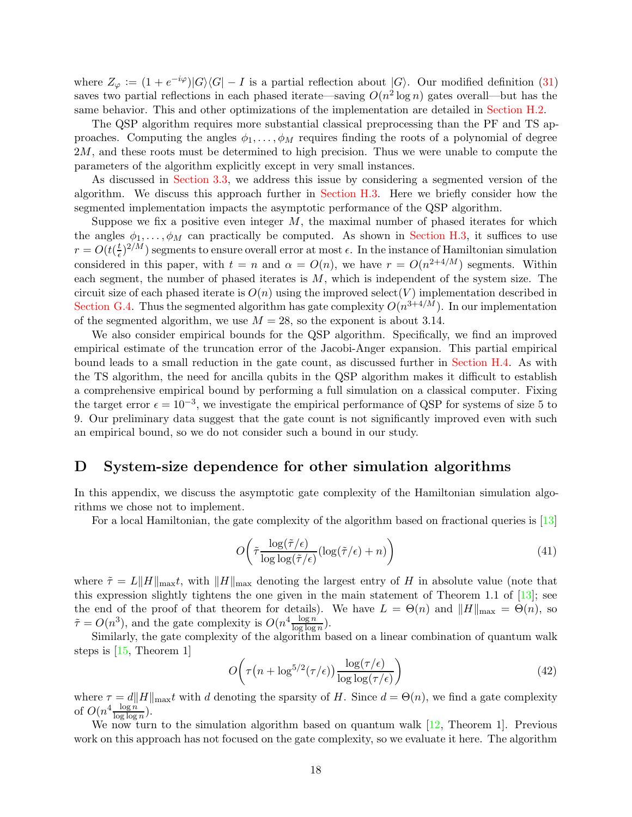where  $Z_{\varphi} := (1 + e^{-i\varphi})|G\rangle\langle G| - I$  is a partial reflection about  $|G\rangle$ . Our modified definition [\(31\)](#page-15-1) saves two partial reflections in each phased iterate—saving  $O(n^2 \log n)$  gates overall—but has the same behavior. This and other optimizations of the implementation are detailed in [Section H.2.](#page-48-0)

The QSP algorithm requires more substantial classical preprocessing than the PF and TS approaches. Computing the angles  $\phi_1, \ldots, \phi_M$  requires finding the roots of a polynomial of degree 2M, and these roots must be determined to high precision. Thus we were unable to compute the parameters of the algorithm explicitly except in very small instances.

As discussed in [Section 3.3,](#page-3-0) we address this issue by considering a segmented version of the algorithm. We discuss this approach further in [Section H.3.](#page-48-1) Here we briefly consider how the segmented implementation impacts the asymptotic performance of the QSP algorithm.

Suppose we fix a positive even integer  $M$ , the maximal number of phased iterates for which the angles  $\phi_1, \ldots, \phi_M$  can practically be computed. As shown in [Section H.3,](#page-48-1) it suffices to use  $r = O(t(\frac{t}{\epsilon}))$  $\frac{t}{\epsilon}$ )<sup>2/M</sup>) segments to ensure overall error at most  $\epsilon$ . In the instance of Hamiltonian simulation considered in this paper, with  $t = n$  and  $\alpha = O(n)$ , we have  $r = O(n^{2+4/M})$  segments. Within each segment, the number of phased iterates is  $M$ , which is independent of the system size. The circuit size of each phased iterate is  $O(n)$  using the improved select(V) implementation described in [Section G.4.](#page-42-2) Thus the segmented algorithm has gate complexity  $O(n^{3+4/M})$ . In our implementation of the segmented algorithm, we use  $M = 28$ , so the exponent is about 3.14.

We also consider empirical bounds for the QSP algorithm. Specifically, we find an improved empirical estimate of the truncation error of the Jacobi-Anger expansion. This partial empirical bound leads to a small reduction in the gate count, as discussed further in [Section H.4.](#page-50-0) As with the TS algorithm, the need for ancilla qubits in the QSP algorithm makes it difficult to establish a comprehensive empirical bound by performing a full simulation on a classical computer. Fixing the target error  $\epsilon = 10^{-3}$ , we investigate the empirical performance of QSP for systems of size 5 to 9. Our preliminary data suggest that the gate count is not significantly improved even with such an empirical bound, so we do not consider such a bound in our study.

### <span id="page-17-0"></span>D System-size dependence for other simulation algorithms

In this appendix, we discuss the asymptotic gate complexity of the Hamiltonian simulation algorithms we chose not to implement.

For a local Hamiltonian, the gate complexity of the algorithm based on fractional queries is [\[13](#page-57-4)]

$$
O\left(\tilde{\tau} \frac{\log(\tilde{\tau}/\epsilon)}{\log \log(\tilde{\tau}/\epsilon)} (\log(\tilde{\tau}/\epsilon) + n)\right)
$$
\n(41)

where  $\tilde{\tau} = L||H||_{\text{max}}t$ , with  $||H||_{\text{max}}$  denoting the largest entry of H in absolute value (note that this expression slightly tightens the one given in the main statement of Theorem 1.1 of [\[13](#page-57-4)]; see the end of the proof of that theorem for details). We have  $L = \Theta(n)$  and  $||H||_{\text{max}} = \Theta(n)$ , so  $\tilde{\tau} = O(n^3)$ , and the gate complexity is  $O(n^4 \frac{\log n}{\log \log n})$ .

Similarly, the gate complexity of the algorithm based on a linear combination of quantum walk steps is [\[15](#page-57-5), Theorem 1]

$$
O\left(\tau\left(n+\log^{5/2}(\tau/\epsilon)\right)\frac{\log(\tau/\epsilon)}{\log\log(\tau/\epsilon)}\right)
$$
\n(42)

where  $\tau = d||H||_{\text{max}}t$  with d denoting the sparsity of H. Since  $d = \Theta(n)$ , we find a gate complexity of  $O(n^4 \frac{\log n}{\log \log n})$ .

We now turn to the simulation algorithm based on quantum walk [\[12,](#page-57-2) Theorem 1]. Previous work on this approach has not focused on the gate complexity, so we evaluate it here. The algorithm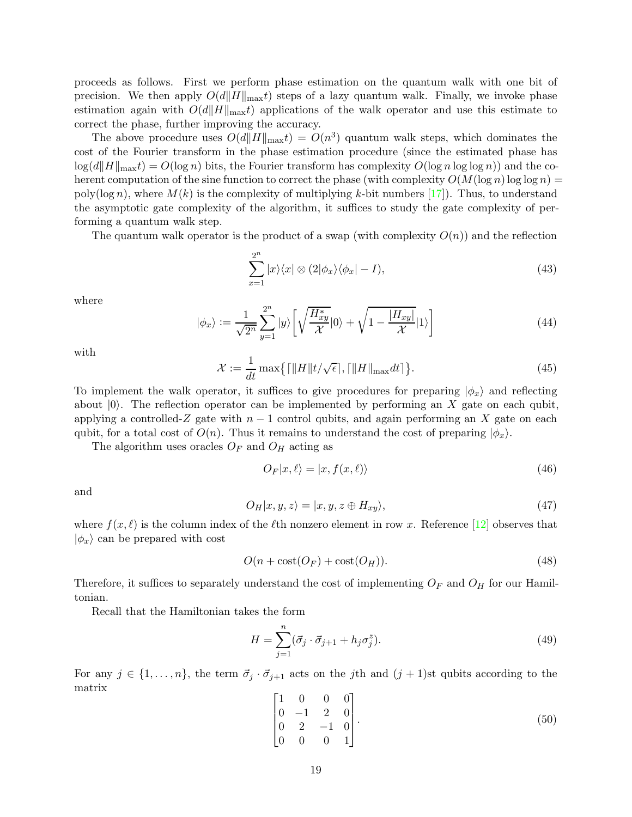proceeds as follows. First we perform phase estimation on the quantum walk with one bit of precision. We then apply  $O(d||H||_{\text{max}}t)$  steps of a lazy quantum walk. Finally, we invoke phase estimation again with  $O(d||H||_{\text{max}}t)$  applications of the walk operator and use this estimate to correct the phase, further improving the accuracy.

The above procedure uses  $O(d||H||_{\text{max}}t) = O(n^3)$  quantum walk steps, which dominates the cost of the Fourier transform in the phase estimation procedure (since the estimated phase has  $\log(d||H||_{\max}t) = O(\log n)$  bits, the Fourier transform has complexity  $O(\log n \log \log n)$  and the coherent computation of the sine function to correct the phase (with complexity  $O(M(\log n) \log \log n)$ ) poly(log n), where  $M(k)$  is the complexity of multiplying k-bit numbers [\[17](#page-57-11)]). Thus, to understand the asymptotic gate complexity of the algorithm, it suffices to study the gate complexity of performing a quantum walk step.

The quantum walk operator is the product of a swap (with complexity  $O(n)$ ) and the reflection

$$
\sum_{x=1}^{2^n} |x\rangle\langle x| \otimes (2|\phi_x\rangle\langle\phi_x| - I), \tag{43}
$$

where

$$
|\phi_x\rangle := \frac{1}{\sqrt{2^n}} \sum_{y=1}^{2^n} |y\rangle \left[ \sqrt{\frac{H_{xy}^*}{\mathcal{X}}} |0\rangle + \sqrt{1 - \frac{|H_{xy}|}{\mathcal{X}}} |1\rangle \right]
$$
(44)

with

$$
\mathcal{X} := \frac{1}{dt} \max\left\{ \left[ \|H\| t/\sqrt{\epsilon} \right], \left[ \|H\|_{\max} dt \right] \right\}.
$$
 (45)

To implement the walk operator, it suffices to give procedures for preparing  $|\phi_x\rangle$  and reflecting about  $|0\rangle$ . The reflection operator can be implemented by performing an X gate on each qubit, applying a controlled-Z gate with  $n-1$  control qubits, and again performing an X gate on each qubit, for a total cost of  $O(n)$ . Thus it remains to understand the cost of preparing  $|\phi_x\rangle$ .

The algorithm uses oracles  $O_F$  and  $O_H$  acting as

<span id="page-18-0"></span>
$$
O_F|x,\ell\rangle = |x, f(x,\ell)\rangle\tag{46}
$$

and

$$
O_H|x, y, z\rangle = |x, y, z \oplus H_{xy}\rangle, \tag{47}
$$

where  $f(x, \ell)$  is the column index of the  $\ell$ th nonzero element in row x. Reference [\[12](#page-57-2)] observes that  $|\phi_x\rangle$  can be prepared with cost

$$
O(n + \cos(\mathcal{O}_F) + \cos(\mathcal{O}_H)).
$$
\n<sup>(48)</sup>

Therefore, it suffices to separately understand the cost of implementing  $O_F$  and  $O_H$  for our Hamiltonian.

Recall that the Hamiltonian takes the form

$$
H = \sum_{j=1}^{n} (\vec{\sigma}_j \cdot \vec{\sigma}_{j+1} + h_j \sigma_j^z). \tag{49}
$$

For any  $j \in \{1, \ldots, n\}$ , the term  $\vec{\sigma}_j \cdot \vec{\sigma}_{j+1}$  acts on the jth and  $(j + 1)$ st qubits according to the matrix

$$
\begin{bmatrix} 1 & 0 & 0 & 0 \ 0 & -1 & 2 & 0 \ 0 & 2 & -1 & 0 \ 0 & 0 & 0 & 1 \end{bmatrix}.
$$
 (50)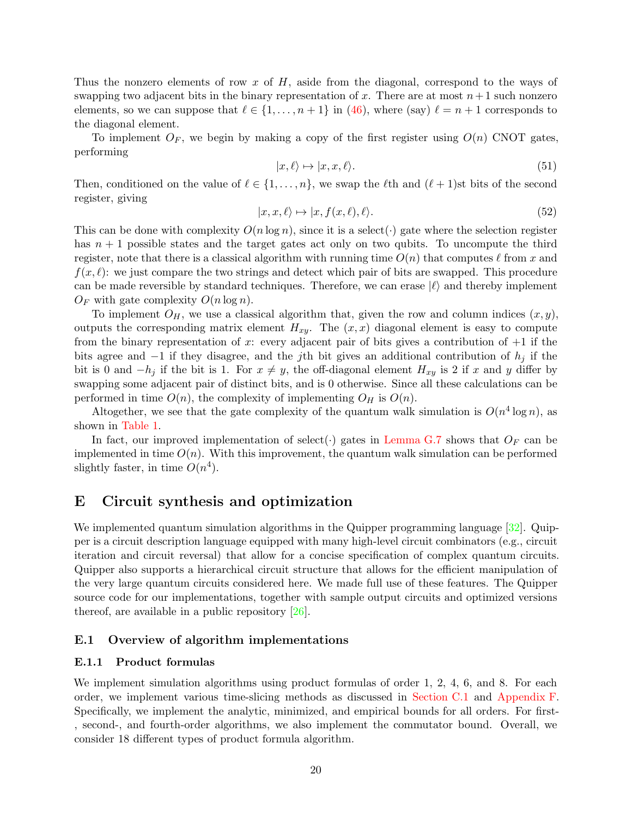Thus the nonzero elements of row x of  $H$ , aside from the diagonal, correspond to the ways of swapping two adjacent bits in the binary representation of x. There are at most  $n+1$  such nonzero elements, so we can suppose that  $\ell \in \{1, \ldots, n+1\}$  in [\(46\)](#page-18-0), where (say)  $\ell = n+1$  corresponds to the diagonal element.

To implement  $O_F$ , we begin by making a copy of the first register using  $O(n)$  CNOT gates, performing

$$
|x,\ell\rangle \mapsto |x,x,\ell\rangle. \tag{51}
$$

Then, conditioned on the value of  $\ell \in \{1, \ldots, n\}$ , we swap the  $\ell$ th and  $(\ell + 1)$ st bits of the second register, giving

$$
|x, x, \ell\rangle \mapsto |x, f(x, \ell), \ell\rangle. \tag{52}
$$

This can be done with complexity  $O(n \log n)$ , since it is a select( $\cdot$ ) gate where the selection register has  $n + 1$  possible states and the target gates act only on two qubits. To uncompute the third register, note that there is a classical algorithm with running time  $O(n)$  that computes  $\ell$  from x and  $f(x, \ell)$ : we just compare the two strings and detect which pair of bits are swapped. This procedure can be made reversible by standard techniques. Therefore, we can erase  $|\ell\rangle$  and thereby implement  $O_F$  with gate complexity  $O(n \log n)$ .

To implement  $O_H$ , we use a classical algorithm that, given the row and column indices  $(x, y)$ , outputs the corresponding matrix element  $H_{xy}$ . The  $(x, x)$  diagonal element is easy to compute from the binary representation of x: every adjacent pair of bits gives a contribution of  $+1$  if the bits agree and  $-1$  if they disagree, and the jth bit gives an additional contribution of  $h_j$  if the bit is 0 and  $-h_j$  if the bit is 1. For  $x \neq y$ , the off-diagonal element  $H_{xy}$  is 2 if x and y differ by swapping some adjacent pair of distinct bits, and is 0 otherwise. Since all these calculations can be performed in time  $O(n)$ , the complexity of implementing  $O_H$  is  $O(n)$ .

Altogether, we see that the gate complexity of the quantum walk simulation is  $O(n^4 \log n)$ , as shown in [Table 1.](#page-2-0)

In fact, our improved implementation of select(.) gates in [Lemma G.7](#page-43-0) shows that  $O_F$  can be implemented in time  $O(n)$ . With this improvement, the quantum walk simulation can be performed slightly faster, in time  $O(n^4)$ .

### <span id="page-19-0"></span>E Circuit synthesis and optimization

We implemented quantum simulation algorithms in the Quipper programming language [\[32\]](#page-59-3). Quipper is a circuit description language equipped with many high-level circuit combinators (e.g., circuit iteration and circuit reversal) that allow for a concise specification of complex quantum circuits. Quipper also supports a hierarchical circuit structure that allows for the efficient manipulation of the very large quantum circuits considered here. We made full use of these features. The Quipper source code for our implementations, together with sample output circuits and optimized versions thereof, are available in a public repository [\[26\]](#page-58-3).

#### <span id="page-19-2"></span><span id="page-19-1"></span>E.1 Overview of algorithm implementations

#### E.1.1 Product formulas

We implement simulation algorithms using product formulas of order 1, 2, 4, 6, and 8. For each order, we implement various time-slicing methods as discussed in [Section C.1](#page-11-0) and [Appendix F.](#page-22-0) Specifically, we implement the analytic, minimized, and empirical bounds for all orders. For first- , second-, and fourth-order algorithms, we also implement the commutator bound. Overall, we consider 18 different types of product formula algorithm.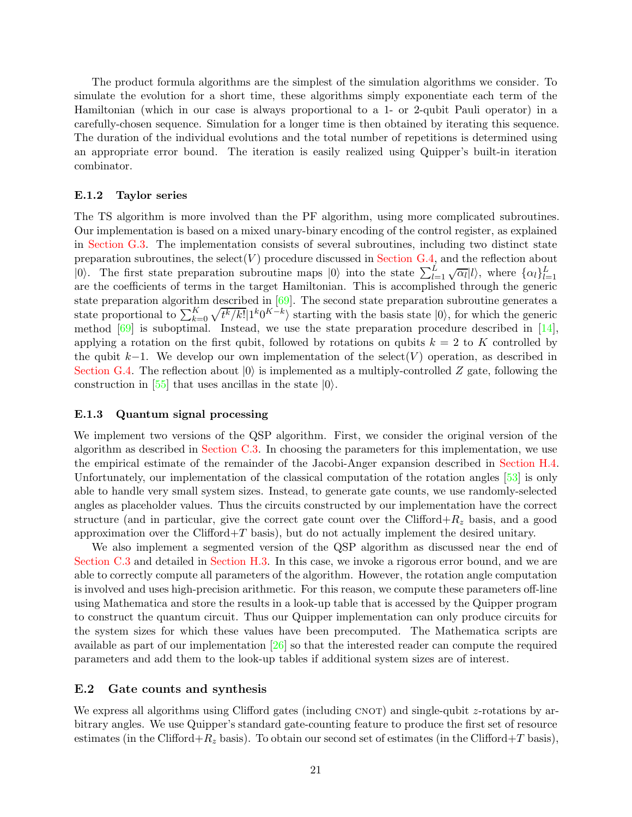The product formula algorithms are the simplest of the simulation algorithms we consider. To simulate the evolution for a short time, these algorithms simply exponentiate each term of the Hamiltonian (which in our case is always proportional to a 1- or 2-qubit Pauli operator) in a carefully-chosen sequence. Simulation for a longer time is then obtained by iterating this sequence. The duration of the individual evolutions and the total number of repetitions is determined using an appropriate error bound. The iteration is easily realized using Quipper's built-in iteration combinator.

#### <span id="page-20-0"></span>E.1.2 Taylor series

The TS algorithm is more involved than the PF algorithm, using more complicated subroutines. Our implementation is based on a mixed unary-binary encoding of the control register, as explained in [Section G.3.](#page-42-1) The implementation consists of several subroutines, including two distinct state preparation subroutines, the select  $(V)$  procedure discussed in [Section G.4,](#page-42-2) and the reflection about  $|0\rangle$ . The first state preparation subroutine maps  $|0\rangle$  into the state  $\sum_{l=1}^{L} \sqrt{\alpha_l} |l\rangle$ , where  $\{\alpha_l\}_{l=1}^L$ are the coefficients of terms in the target Hamiltonian. This is accomplished through the generic state preparation algorithm described in  $[69]$ . The second state preparation subroutine generates a state proportional to  $\sum_{k=0}^{K} \sqrt{t^k/k!} |1^k 0^{K-k}\rangle$  starting with the basis state  $|0\rangle$ , for which the generic method [\[69](#page-61-12)] is suboptimal. Instead, we use the state preparation procedure described in [\[14](#page-57-3)], applying a rotation on the first qubit, followed by rotations on qubits  $k = 2$  to K controlled by the qubit k−1. We develop our own implementation of the select(V) operation, as described in [Section G.4.](#page-42-2) The reflection about  $|0\rangle$  is implemented as a multiply-controlled Z gate, following the construction in [\[55](#page-60-14)] that uses ancillas in the state  $|0\rangle$ .

#### <span id="page-20-1"></span>E.1.3 Quantum signal processing

We implement two versions of the QSP algorithm. First, we consider the original version of the algorithm as described in [Section C.3.](#page-15-0) In choosing the parameters for this implementation, we use the empirical estimate of the remainder of the Jacobi-Anger expansion described in [Section H.4.](#page-50-0) Unfortunately, our implementation of the classical computation of the rotation angles [\[53\]](#page-60-13) is only able to handle very small system sizes. Instead, to generate gate counts, we use randomly-selected angles as placeholder values. Thus the circuits constructed by our implementation have the correct structure (and in particular, give the correct gate count over the Clifford $+R_z$  basis, and a good approximation over the Clifford+ $T$  basis), but do not actually implement the desired unitary.

We also implement a segmented version of the QSP algorithm as discussed near the end of [Section C.3](#page-15-0) and detailed in [Section H.3.](#page-48-1) In this case, we invoke a rigorous error bound, and we are able to correctly compute all parameters of the algorithm. However, the rotation angle computation is involved and uses high-precision arithmetic. For this reason, we compute these parameters off-line using Mathematica and store the results in a look-up table that is accessed by the Quipper program to construct the quantum circuit. Thus our Quipper implementation can only produce circuits for the system sizes for which these values have been precomputed. The Mathematica scripts are available as part of our implementation [\[26](#page-58-3)] so that the interested reader can compute the required parameters and add them to the look-up tables if additional system sizes are of interest.

#### <span id="page-20-2"></span>E.2 Gate counts and synthesis

We express all algorithms using Clifford gates (including  $CNOT$ ) and single-qubit z-rotations by arbitrary angles. We use Quipper's standard gate-counting feature to produce the first set of resource estimates (in the Clifford+ $R_z$  basis). To obtain our second set of estimates (in the Clifford+T basis),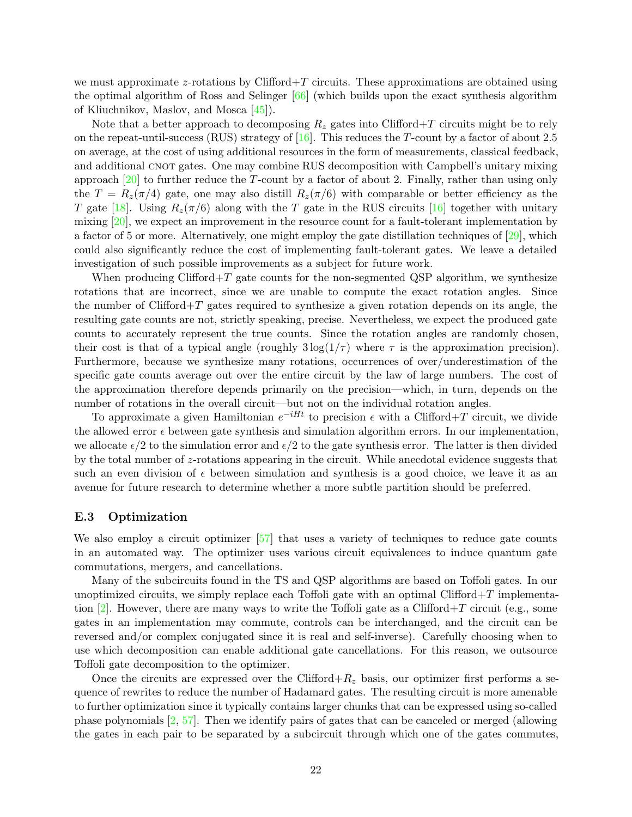we must approximate z-rotations by Clifford  $+T$  circuits. These approximations are obtained using the optimal algorithm of Ross and Selinger [\[66\]](#page-61-4) (which builds upon the exact synthesis algorithm of Kliuchnikov, Maslov, and Mosca [\[45\]](#page-59-15)).

Note that a better approach to decomposing  $R_z$  gates into Clifford+T circuits might be to rely on the repeat-until-success (RUS) strategy of  $[16]$ . This reduces the T-count by a factor of about 2.5 on average, at the cost of using additional resources in the form of measurements, classical feedback, and additional CNOT gates. One may combine RUS decomposition with Campbell's unitary mixing approach  $[20]$  to further reduce the T-count by a factor of about 2. Finally, rather than using only the  $T = R_z(\pi/4)$  gate, one may also distill  $R_z(\pi/6)$  with comparable or better efficiency as the T gate [\[18](#page-58-12)]. Using  $R_z(\pi/6)$  along with the T gate in the RUS circuits [\[16](#page-57-12)] together with unitary mixing  $[20]$ , we expect an improvement in the resource count for a fault-tolerant implementation by a factor of 5 or more. Alternatively, one might employ the gate distillation techniques of [\[29](#page-58-13)], which could also significantly reduce the cost of implementing fault-tolerant gates. We leave a detailed investigation of such possible improvements as a subject for future work.

When producing Clifford $+T$  gate counts for the non-segmented QSP algorithm, we synthesize rotations that are incorrect, since we are unable to compute the exact rotation angles. Since the number of Clifford $+T$  gates required to synthesize a given rotation depends on its angle, the resulting gate counts are not, strictly speaking, precise. Nevertheless, we expect the produced gate counts to accurately represent the true counts. Since the rotation angles are randomly chosen, their cost is that of a typical angle (roughly  $3\log(1/\tau)$  where  $\tau$  is the approximation precision). Furthermore, because we synthesize many rotations, occurrences of over/underestimation of the specific gate counts average out over the entire circuit by the law of large numbers. The cost of the approximation therefore depends primarily on the precision—which, in turn, depends on the number of rotations in the overall circuit—but not on the individual rotation angles.

To approximate a given Hamiltonian  $e^{-iHt}$  to precision  $\epsilon$  with a Clifford+T circuit, we divide the allowed error  $\epsilon$  between gate synthesis and simulation algorithm errors. In our implementation, we allocate  $\epsilon/2$  to the simulation error and  $\epsilon/2$  to the gate synthesis error. The latter is then divided by the total number of z-rotations appearing in the circuit. While anecdotal evidence suggests that such an even division of  $\epsilon$  between simulation and synthesis is a good choice, we leave it as an avenue for future research to determine whether a more subtle partition should be preferred.

#### <span id="page-21-0"></span>E.3 Optimization

We also employ a circuit optimizer [\[57\]](#page-60-5) that uses a variety of techniques to reduce gate counts in an automated way. The optimizer uses various circuit equivalences to induce quantum gate commutations, mergers, and cancellations.

Many of the subcircuits found in the TS and QSP algorithms are based on Toffoli gates. In our unoptimized circuits, we simply replace each Toffoli gate with an optimal Clifford+T implementation  $[2]$ . However, there are many ways to write the Toffoli gate as a Clifford+T circuit (e.g., some gates in an implementation may commute, controls can be interchanged, and the circuit can be reversed and/or complex conjugated since it is real and self-inverse). Carefully choosing when to use which decomposition can enable additional gate cancellations. For this reason, we outsource Toffoli gate decomposition to the optimizer.

Once the circuits are expressed over the Clifford $+R_z$  basis, our optimizer first performs a sequence of rewrites to reduce the number of Hadamard gates. The resulting circuit is more amenable to further optimization since it typically contains larger chunks that can be expressed using so-called phase polynomials [\[2](#page-56-2), [57](#page-60-5)]. Then we identify pairs of gates that can be canceled or merged (allowing the gates in each pair to be separated by a subcircuit through which one of the gates commutes,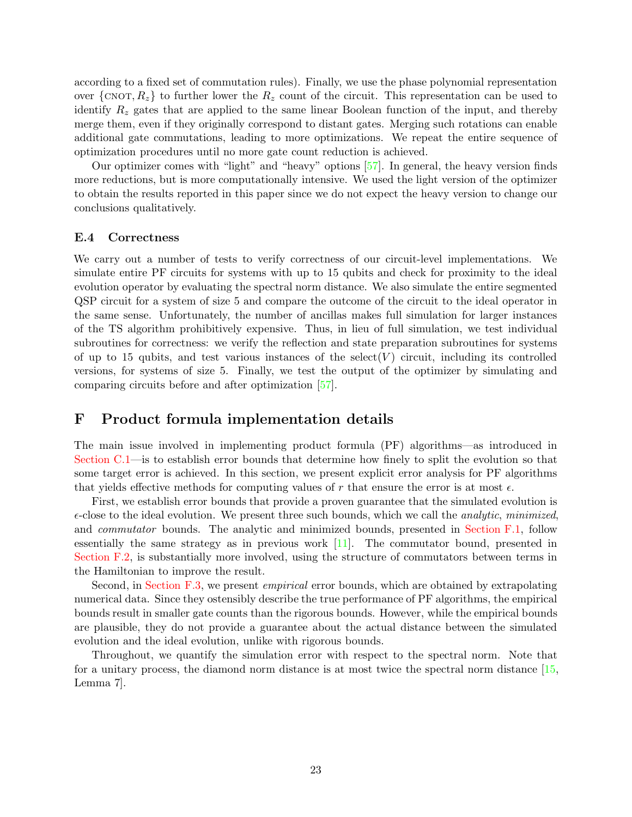according to a fixed set of commutation rules). Finally, we use the phase polynomial representation over  $\{CNOT, R_z\}$  to further lower the  $R_z$  count of the circuit. This representation can be used to identify  $R<sub>z</sub>$  gates that are applied to the same linear Boolean function of the input, and thereby merge them, even if they originally correspond to distant gates. Merging such rotations can enable additional gate commutations, leading to more optimizations. We repeat the entire sequence of optimization procedures until no more gate count reduction is achieved.

Our optimizer comes with "light" and "heavy" options [\[57](#page-60-5)]. In general, the heavy version finds more reductions, but is more computationally intensive. We used the light version of the optimizer to obtain the results reported in this paper since we do not expect the heavy version to change our conclusions qualitatively.

#### <span id="page-22-1"></span>E.4 Correctness

We carry out a number of tests to verify correctness of our circuit-level implementations. We simulate entire PF circuits for systems with up to 15 qubits and check for proximity to the ideal evolution operator by evaluating the spectral norm distance. We also simulate the entire segmented QSP circuit for a system of size 5 and compare the outcome of the circuit to the ideal operator in the same sense. Unfortunately, the number of ancillas makes full simulation for larger instances of the TS algorithm prohibitively expensive. Thus, in lieu of full simulation, we test individual subroutines for correctness: we verify the reflection and state preparation subroutines for systems of up to 15 qubits, and test various instances of the select  $(V)$  circuit, including its controlled versions, for systems of size 5. Finally, we test the output of the optimizer by simulating and comparing circuits before and after optimization [\[57](#page-60-5)].

### <span id="page-22-0"></span>F Product formula implementation details

The main issue involved in implementing product formula (PF) algorithms—as introduced in [Section C.1—](#page-11-0)is to establish error bounds that determine how finely to split the evolution so that some target error is achieved. In this section, we present explicit error analysis for PF algorithms that yields effective methods for computing values of r that ensure the error is at most  $\epsilon$ .

First, we establish error bounds that provide a proven guarantee that the simulated evolution is  $\epsilon$ -close to the ideal evolution. We present three such bounds, which we call the *analytic*, minimized, and commutator bounds. The analytic and minimized bounds, presented in [Section F.1,](#page-23-0) follow essentially the same strategy as in previous work [\[11](#page-57-1)]. The commutator bound, presented in [Section F.2,](#page-25-0) is substantially more involved, using the structure of commutators between terms in the Hamiltonian to improve the result.

Second, in [Section F.3,](#page-37-1) we present *empirical* error bounds, which are obtained by extrapolating numerical data. Since they ostensibly describe the true performance of PF algorithms, the empirical bounds result in smaller gate counts than the rigorous bounds. However, while the empirical bounds are plausible, they do not provide a guarantee about the actual distance between the simulated evolution and the ideal evolution, unlike with rigorous bounds.

Throughout, we quantify the simulation error with respect to the spectral norm. Note that for a unitary process, the diamond norm distance is at most twice the spectral norm distance [\[15](#page-57-5), Lemma 7].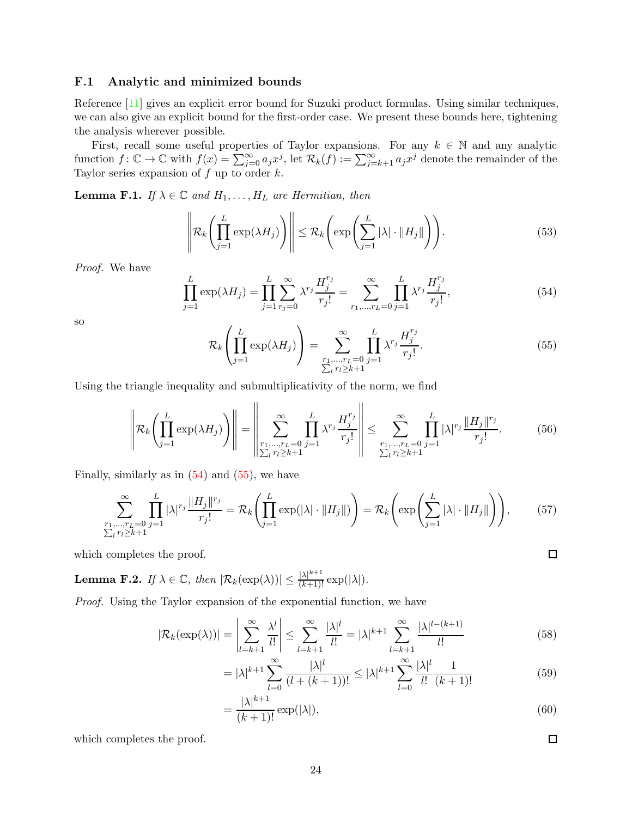#### <span id="page-23-0"></span>F.1 Analytic and minimized bounds

Reference [\[11](#page-57-1)] gives an explicit error bound for Suzuki product formulas. Using similar techniques, we can also give an explicit bound for the first-order case. We present these bounds here, tightening the analysis wherever possible.

First, recall some useful properties of Taylor expansions. For any  $k \in \mathbb{N}$  and any analytic function  $f: \mathbb{C} \to \mathbb{C}$  with  $f(x) = \sum_{j=0}^{\infty} a_j x^j$ , let  $\mathcal{R}_k(f) := \sum_{j=k+1}^{\infty} a_j x^j$  denote the remainder of the Taylor series expansion of  $f$  up to order  $k$ .

<span id="page-23-3"></span>**Lemma F.1.** If  $\lambda \in \mathbb{C}$  and  $H_1, \ldots, H_L$  are Hermitian, then

$$
\left\| \mathcal{R}_k \left( \prod_{j=1}^L \exp(\lambda H_j) \right) \right\| \leq \mathcal{R}_k \left( \exp \left( \sum_{j=1}^L |\lambda| \cdot \|H_j\| \right) \right). \tag{53}
$$

Proof. We have

<span id="page-23-1"></span>
$$
\prod_{j=1}^{L} \exp(\lambda H_j) = \prod_{j=1}^{L} \sum_{r_j=0}^{\infty} \lambda^{r_j} \frac{H_j^{r_j}}{r_j!} = \sum_{r_1, \dots, r_L=0}^{\infty} \prod_{j=1}^{L} \lambda^{r_j} \frac{H_j^{r_j}}{r_j!},
$$
\n(54)

so

<span id="page-23-2"></span>
$$
\mathcal{R}_k \left( \prod_{j=1}^L \exp(\lambda H_j) \right) = \sum_{\substack{r_1, \dots, r_L = 0 \\ \sum_i r_i \ge k+1}}^{\infty} \prod_{j=1}^L \lambda^{r_j} \frac{H_j^{r_j}}{r_j!}.
$$
\n(55)

Using the triangle inequality and submultiplicativity of the norm, we find

$$
\left\| \mathcal{R}_{k} \left( \prod_{j=1}^{L} \exp(\lambda H_{j}) \right) \right\| = \left\| \sum_{\substack{r_{1}, \dots, r_{L} = 0 \\ \sum_{i} r_{i} \ge k+1}} \prod_{j=1}^{L} \lambda^{r_{j}} \frac{H_{j}^{r_{j}}}{r_{j}!} \right\| \le \sum_{\substack{r_{1}, \dots, r_{L} = 0 \\ \sum_{i} r_{i} \ge k+1}} \prod_{j=1}^{L} |\lambda|^{r_{j}} \frac{\|H_{j}\|^{r_{j}}}{r_{j}!}.
$$
 (56)

Finally, similarly as in  $(54)$  and  $(55)$ , we have

$$
\sum_{\substack{r_1,\ldots,r_L=0\\ \sum_i r_i \ge k+1}}^{\infty} \prod_{j=1}^L |\lambda|^{r_j} \frac{\|H_j\|^{r_j}}{r_j!} = \mathcal{R}_k \left( \prod_{j=1}^L \exp(|\lambda| \cdot \|H_j\|) \right) = \mathcal{R}_k \left( \exp \left( \sum_{j=1}^L |\lambda| \cdot \|H_j\| \right) \right),\tag{57}
$$

which completes the proof.

<span id="page-23-4"></span>**Lemma F.2.** If  $\lambda \in \mathbb{C}$ , then  $|\mathcal{R}_k(\exp(\lambda))| \leq \frac{|\lambda|^{k+1}}{(k+1)!} \exp(|\lambda|)$ .

Proof. Using the Taylor expansion of the exponential function, we have

$$
|\mathcal{R}_k(\exp(\lambda))| = \left|\sum_{l=k+1}^{\infty} \frac{\lambda^l}{l!}\right| \le \sum_{l=k+1}^{\infty} \frac{|\lambda|^l}{l!} = |\lambda|^{k+1} \sum_{l=k+1}^{\infty} \frac{|\lambda|^{l-(k+1)}}{l!}
$$
(58)

$$
= |\lambda|^{k+1} \sum_{l=0}^{\infty} \frac{|\lambda|^l}{(l + (k+1))!} \le |\lambda|^{k+1} \sum_{l=0}^{\infty} \frac{|\lambda|^l}{l!} \frac{1}{(k+1)!}
$$
(59)

$$
=\frac{|\lambda|^{k+1}}{(k+1)!}\exp(|\lambda|),\tag{60}
$$

which completes the proof.

 $\Box$ 

 $\Box$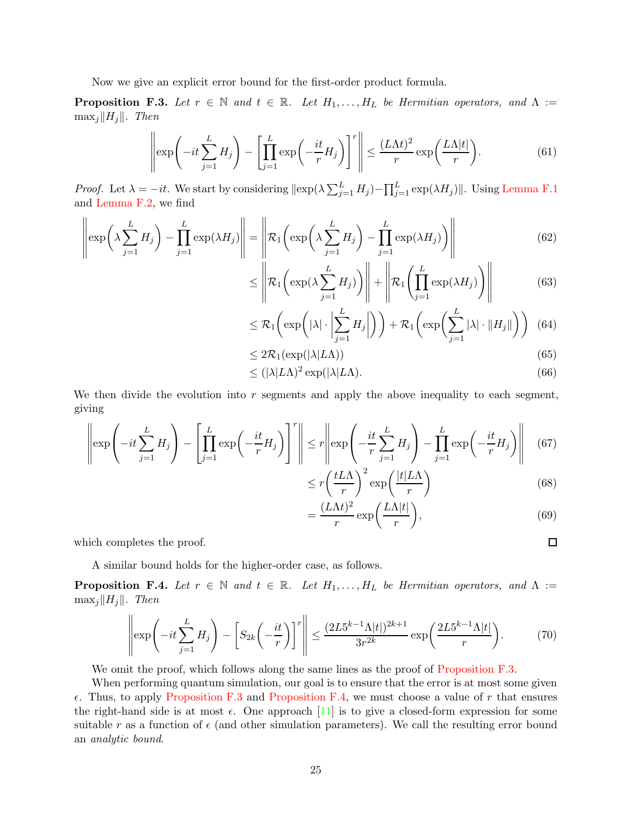Now we give an explicit error bound for the first-order product formula.

<span id="page-24-0"></span>**Proposition F.3.** Let  $r \in \mathbb{N}$  and  $t \in \mathbb{R}$ . Let  $H_1, \ldots, H_L$  be Hermitian operators, and  $\Lambda :=$  $\max_j ||H_j||$ . Then

$$
\left\|\exp\left(-it\sum_{j=1}^{L}H_j\right) - \left[\prod_{j=1}^{L}\exp\left(-\frac{it}{r}H_j\right)\right]^r\right\| \le \frac{(L\Lambda t)^2}{r}\exp\left(\frac{L\Lambda|t|}{r}\right). \tag{61}
$$

*Proof.* Let  $\lambda = -it$ . We start by considering  $\|\exp(\lambda \sum_{j=1}^{L} H_j) - \prod_{j=1}^{L} \exp(\lambda H_j)\|$ . Using [Lemma F.1](#page-23-3) and [Lemma F.2,](#page-23-4) we find

$$
\left\|\exp\left(\lambda \sum_{j=1}^{L} H_j\right) - \prod_{j=1}^{L} \exp(\lambda H_j)\right\| = \left\|\mathcal{R}_1\left(\exp\left(\lambda \sum_{j=1}^{L} H_j\right) - \prod_{j=1}^{L} \exp(\lambda H_j)\right)\right\|
$$
(62)

$$
\leq \left\| \mathcal{R}_1 \left( \exp\left(\lambda \sum_{j=1}^L H_j \right) \right) \right\| + \left\| \mathcal{R}_1 \left( \prod_{j=1}^L \exp(\lambda H_j) \right) \right\| \tag{63}
$$

$$
\leq \mathcal{R}_1\left(\exp\left(|\lambda| \cdot \left|\sum_{j=1}^L H_j\right|\right)\right) + \mathcal{R}_1\left(\exp\left(\sum_{j=1}^L |\lambda| \cdot \|H_j\|\right)\right) \tag{64}
$$

$$
\leq 2\mathcal{R}_1(\exp(|\lambda|L\Lambda))\tag{65}
$$

$$
\leq (|\lambda| L \Lambda)^2 \exp(|\lambda| L \Lambda). \tag{66}
$$

We then divide the evolution into  $r$  segments and apply the above inequality to each segment, giving

$$
\left\|\exp\left(-it\sum_{j=1}^{L}H_j\right) - \left[\prod_{j=1}^{L}\exp\left(-\frac{it}{r}H_j\right)\right]^r\right\| \le r\left\|\exp\left(-\frac{it}{r}\sum_{j=1}^{L}H_j\right) - \prod_{j=1}^{L}\exp\left(-\frac{it}{r}H_j\right)\right\| \tag{67}
$$

$$
\leq r \left(\frac{tL\Lambda}{r}\right)^2 \exp\left(\frac{|t|L\Lambda}{r}\right) \tag{68}
$$

$$
=\frac{(L\Lambda t)^2}{r}\exp\bigg(\frac{L\Lambda|t|}{r}\bigg),\tag{69}
$$

 $\Box$ 

which completes the proof.

A similar bound holds for the higher-order case, as follows.

<span id="page-24-1"></span>**Proposition F.4.** Let  $r \in \mathbb{N}$  and  $t \in \mathbb{R}$ . Let  $H_1, \ldots, H_L$  be Hermitian operators, and  $\Lambda :=$  $\max_j \|H_j\|$ . Then

$$
\left\|\exp\left(-it\sum_{j=1}^{L}H_j\right) - \left[S_{2k}\left(-\frac{it}{r}\right)\right]^r\right\| \le \frac{(2L5^{k-1}\Lambda|t|)^{2k+1}}{3r^{2k}}\exp\left(\frac{2L5^{k-1}\Lambda|t|}{r}\right). \tag{70}
$$

We omit the proof, which follows along the same lines as the proof of [Proposition F.3.](#page-24-0)

When performing quantum simulation, our goal is to ensure that the error is at most some given  $\epsilon$ . Thus, to apply [Proposition F.3](#page-24-0) and [Proposition F.4,](#page-24-1) we must choose a value of r that ensures the right-hand side is at most  $\epsilon$ . One approach [\[11](#page-57-1)] is to give a closed-form expression for some suitable r as a function of  $\epsilon$  (and other simulation parameters). We call the resulting error bound an analytic bound.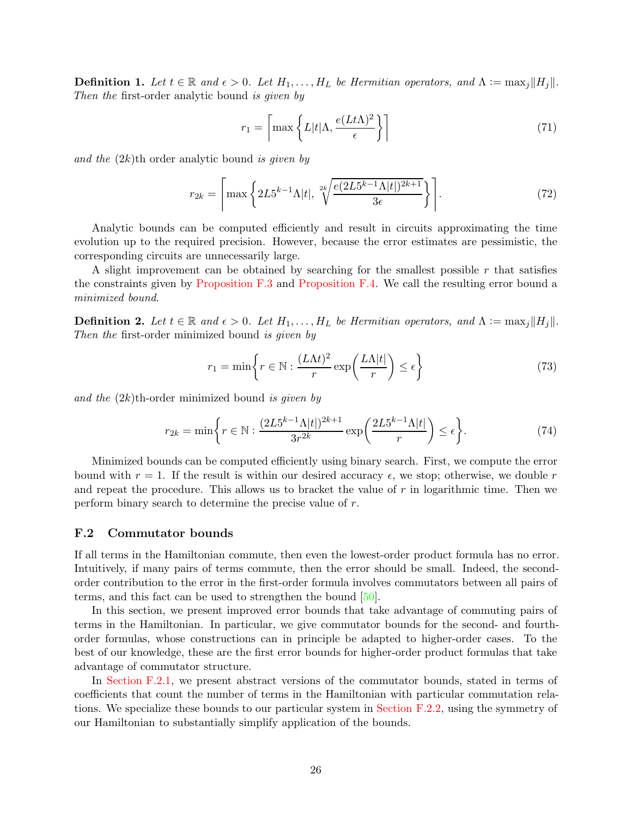**Definition 1.** Let  $t \in \mathbb{R}$  and  $\epsilon > 0$ . Let  $H_1, \ldots, H_L$  be Hermitian operators, and  $\Lambda := \max_j ||H_j||$ . Then the first-order analytic bound is given by

$$
r_1 = \left\lceil \max \left\{ L |t| \Lambda, \frac{e(Lt\Lambda)^2}{\epsilon} \right\} \right\rceil \tag{71}
$$

and the  $(2k)$ <sup>th</sup> order analytic bound is given by

$$
r_{2k} = \left[ \max \left\{ 2L5^{k-1} \Lambda |t|, \sqrt[2k]{\frac{e(2L5^{k-1} \Lambda |t|)^{2k+1}}{3\epsilon}} \right\} \right].
$$
 (72)

Analytic bounds can be computed efficiently and result in circuits approximating the time evolution up to the required precision. However, because the error estimates are pessimistic, the corresponding circuits are unnecessarily large.

A slight improvement can be obtained by searching for the smallest possible  $r$  that satisfies the constraints given by [Proposition F.3](#page-24-0) and [Proposition F.4.](#page-24-1) We call the resulting error bound a minimized bound.

**Definition 2.** Let  $t \in \mathbb{R}$  and  $\epsilon > 0$ . Let  $H_1, \ldots, H_L$  be Hermitian operators, and  $\Lambda := \max_j ||H_j||$ . Then the first-order minimized bound is given by

$$
r_1 = \min\left\{r \in \mathbb{N} : \frac{(L\Lambda t)^2}{r} \exp\left(\frac{L\Lambda |t|}{r}\right) \le \epsilon\right\}
$$
 (73)

and the  $(2k)$ th-order minimized bound is given by

$$
r_{2k} = \min\left\{r \in \mathbb{N}: \frac{(2L5^{k-1}\Lambda|t|)^{2k+1}}{3r^{2k}}\exp\left(\frac{2L5^{k-1}\Lambda|t|}{r}\right) \le \epsilon\right\}.\tag{74}
$$

Minimized bounds can be computed efficiently using binary search. First, we compute the error bound with  $r = 1$ . If the result is within our desired accuracy  $\epsilon$ , we stop; otherwise, we double r and repeat the procedure. This allows us to bracket the value of r in logarithmic time. Then we perform binary search to determine the precise value of r.

#### <span id="page-25-0"></span>F.2 Commutator bounds

If all terms in the Hamiltonian commute, then even the lowest-order product formula has no error. Intuitively, if many pairs of terms commute, then the error should be small. Indeed, the secondorder contribution to the error in the first-order formula involves commutators between all pairs of terms, and this fact can be used to strengthen the bound [\[50\]](#page-60-1).

In this section, we present improved error bounds that take advantage of commuting pairs of terms in the Hamiltonian. In particular, we give commutator bounds for the second- and fourthorder formulas, whose constructions can in principle be adapted to higher-order cases. To the best of our knowledge, these are the first error bounds for higher-order product formulas that take advantage of commutator structure.

In [Section F.2.1,](#page-26-0) we present abstract versions of the commutator bounds, stated in terms of coefficients that count the number of terms in the Hamiltonian with particular commutation relations. We specialize these bounds to our particular system in [Section F.2.2,](#page-30-0) using the symmetry of our Hamiltonian to substantially simplify application of the bounds.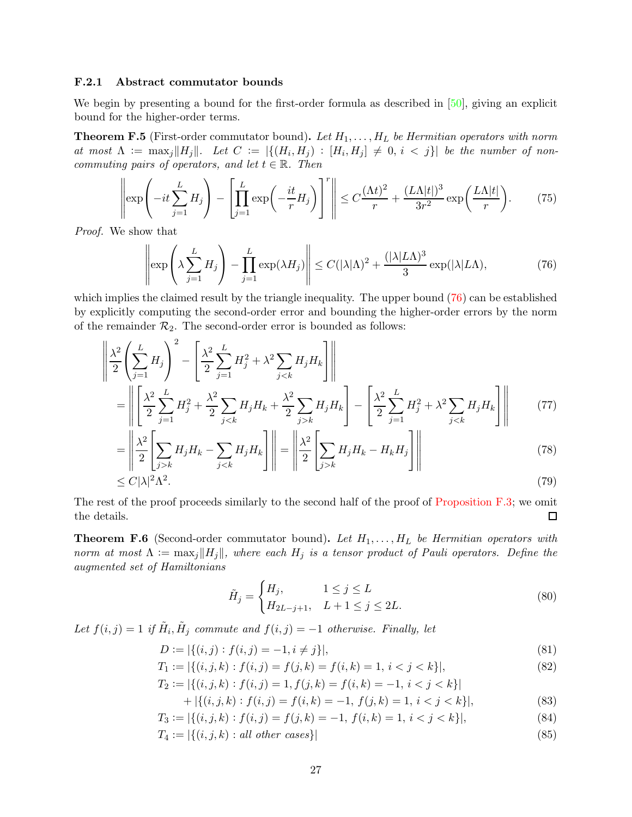#### <span id="page-26-0"></span>F.2.1 Abstract commutator bounds

 $\alpha$ 

We begin by presenting a bound for the first-order formula as described in [\[50](#page-60-1)], giving an explicit bound for the higher-order terms.

<span id="page-26-2"></span>**Theorem F.5** (First-order commutator bound). Let  $H_1, \ldots, H_L$  be Hermitian operators with norm at most  $\Lambda := \max_j ||H_j||$ . Let  $C := |\{(H_i, H_j) : [H_i, H_j] \neq 0, i < j\}|$  be the number of noncommuting pairs of operators, and let  $t \in \mathbb{R}$ . Then

$$
\left\|\exp\left(-it\sum_{j=1}^{L}H_j\right) - \left[\prod_{j=1}^{L}\exp\left(-\frac{it}{r}H_j\right)\right]^r\right\| \leq C\frac{(\Lambda t)^2}{r} + \frac{(L\Lambda|t|)^3}{3r^2}\exp\left(\frac{L\Lambda|t|}{r}\right). \tag{75}
$$

Proof. We show that

<span id="page-26-1"></span>
$$
\left\|\exp\left(\lambda \sum_{j=1}^{L} H_j\right) - \prod_{j=1}^{L} \exp(\lambda H_j)\right\| \le C(|\lambda|\Lambda)^2 + \frac{(|\lambda|L\Lambda)^3}{3} \exp(|\lambda|L\Lambda),\tag{76}
$$

which implies the claimed result by the triangle inequality. The upper bound  $(76)$  can be established by explicitly computing the second-order error and bounding the higher-order errors by the norm of the remainder  $\mathcal{R}_2$ . The second-order error is bounded as follows:

$$
\left\| \frac{\lambda^2}{2} \left( \sum_{j=1}^L H_j \right)^2 - \left[ \frac{\lambda^2}{2} \sum_{j=1}^L H_j^2 + \lambda^2 \sum_{j < k} H_j H_k \right] \right\|
$$
\n
$$
= \left\| \left[ \frac{\lambda^2}{2} \sum_{j=1}^L H_j^2 + \frac{\lambda^2}{2} \sum_{j < k} H_j H_k + \frac{\lambda^2}{2} \sum_{j > k} H_j H_k \right] - \left[ \frac{\lambda^2}{2} \sum_{j=1}^L H_j^2 + \lambda^2 \sum_{j < k} H_j H_k \right] \right\| \tag{77}
$$

$$
= \left\| \frac{\lambda^2}{2} \left[ \sum_{j>k} H_j H_k - \sum_{j < k} H_j H_k \right] \right\| = \left\| \frac{\lambda^2}{2} \left[ \sum_{j > k} H_j H_k - H_k H_j \right] \right\| \tag{78}
$$

$$
\leq C|\lambda|^2 \Lambda^2. \tag{79}
$$

The rest of the proof proceeds similarly to the second half of the proof of [Proposition F.3;](#page-24-0) we omit the details.  $\Box$ 

<span id="page-26-5"></span>**Theorem F.6** (Second-order commutator bound). Let  $H_1, \ldots, H_L$  be Hermitian operators with norm at most  $\Lambda := \max_j ||H_j||$ , where each  $H_j$  is a tensor product of Pauli operators. Define the augmented set of Hamiltonians

<span id="page-26-4"></span><span id="page-26-3"></span>
$$
\tilde{H}_j = \begin{cases} H_j, & 1 \le j \le L \\ H_{2L-j+1}, & L+1 \le j \le 2L. \end{cases}
$$
\n(80)

Let  $f(i, j) = 1$  if  $\tilde{H}_i$ ,  $\tilde{H}_j$  commute and  $f(i, j) = -1$  otherwise. Finally, let

$$
D := |\{(i, j) : f(i, j) = -1, i \neq j\}|,
$$
\n(81)

$$
T_1 := |\{(i, j, k) : f(i, j) = f(j, k) = f(i, k) = 1, i < j < k\}|,\tag{82}
$$

$$
T_2 := |\{(i, j, k) : f(i, j) = 1, f(j, k) = f(i, k) = -1, i < j < k\}|
$$

+ 
$$
|\{(i, j, k) : f(i, j) = f(i, k) = -1, f(j, k) = 1, i < j < k\}|,
$$
 (83)

$$
T_3 := |\{(i, j, k) : f(i, j) = f(j, k) = -1, f(i, k) = 1, i < j < k\}|,\tag{84}
$$

$$
T_4 := |\{(i, j, k) : all other cases\}|
$$
\n
$$
(85)
$$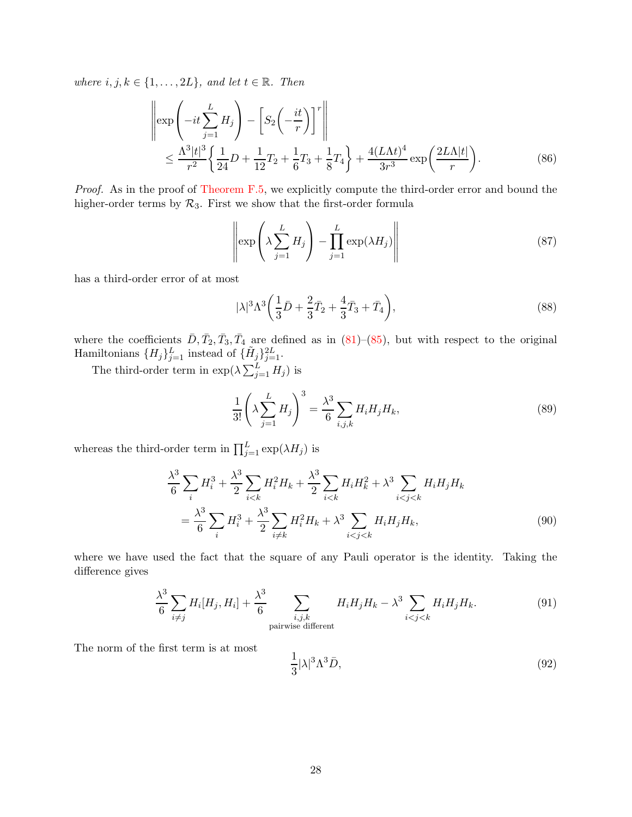where  $i, j, k \in \{1, ..., 2L\}$ , and let  $t \in \mathbb{R}$ . Then

$$
\left\| \exp\left(-it\sum_{j=1}^{L} H_j\right) - \left[S_2\left(-\frac{it}{r}\right)\right]^r \right\|
$$
  

$$
\leq \frac{\Lambda^3 |t|^3}{r^2} \left\{ \frac{1}{24} D + \frac{1}{12} T_2 + \frac{1}{6} T_3 + \frac{1}{8} T_4 \right\} + \frac{4(L\Lambda t)^4}{3r^3} \exp\left(\frac{2L\Lambda |t|}{r}\right).
$$
 (86)

Proof. As in the proof of [Theorem F.5,](#page-26-2) we explicitly compute the third-order error and bound the higher-order terms by  $\mathcal{R}_3$ . First we show that the first-order formula

<span id="page-27-2"></span>
$$
\left\| \exp\left(\lambda \sum_{j=1}^{L} H_j\right) - \prod_{j=1}^{L} \exp(\lambda H_j) \right\| \tag{87}
$$

has a third-order error of at most

<span id="page-27-1"></span>
$$
|\lambda|^3 \Lambda^3 \left(\frac{1}{3}\bar{D} + \frac{2}{3}\bar{T}_2 + \frac{4}{3}\bar{T}_3 + \bar{T}_4\right),\tag{88}
$$

where the coefficients  $\bar{D}, \bar{T}_2, \bar{T}_3, \bar{T}_4$  are defined as in [\(81\)](#page-26-3)–[\(85\)](#page-26-4), but with respect to the original Hamiltonians  $\{H_j\}_{j=1}^L$  instead of  $\{\tilde{H}_j\}_{j=1}^{2L}$ .

The third-order term in  $\exp(\lambda \sum_{j=1}^{L} H_j)$  is

$$
\frac{1}{3!} \left( \lambda \sum_{j=1}^{L} H_j \right)^3 = \frac{\lambda^3}{6} \sum_{i,j,k} H_i H_j H_k,
$$
\n(89)

whereas the third-order term in  $\prod_{j=1}^{L} \exp(\lambda H_j)$  is

$$
\frac{\lambda^3}{6} \sum_{i} H_i^3 + \frac{\lambda^3}{2} \sum_{i < k} H_i^2 H_k + \frac{\lambda^3}{2} \sum_{i < k} H_i H_k^2 + \lambda^3 \sum_{i < j < k} H_i H_j H_k
$$
\n
$$
= \frac{\lambda^3}{6} \sum_{i} H_i^3 + \frac{\lambda^3}{2} \sum_{i \neq k} H_i^2 H_k + \lambda^3 \sum_{i < j < k} H_i H_j H_k,\tag{90}
$$

where we have used the fact that the square of any Pauli operator is the identity. Taking the difference gives

$$
\frac{\lambda^3}{6} \sum_{i \neq j} H_i[H_j, H_i] + \frac{\lambda^3}{6} \sum_{\substack{i,j,k \text{ pairwise different} \\ \text{pairwise different}}} H_i H_j H_k - \lambda^3 \sum_{i < j < k} H_i H_j H_k. \tag{91}
$$

The norm of the first term is at most

<span id="page-27-0"></span>
$$
\frac{1}{3}|\lambda|^3 \Lambda^3 \bar{D},\tag{92}
$$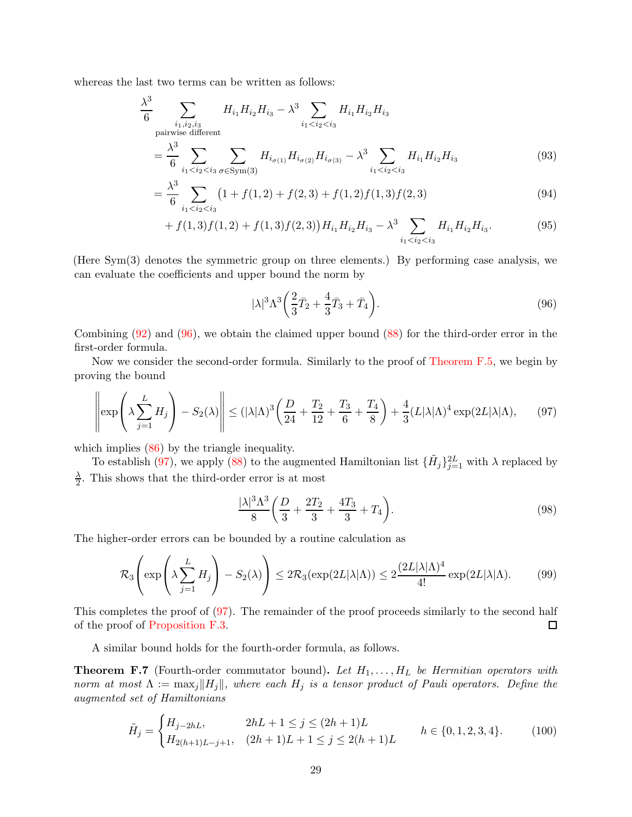whereas the last two terms can be written as follows:

$$
\frac{\lambda^3}{6} \sum_{\substack{i_1, i_2, i_3 \\ \text{pairwise different}}} H_{i_1} H_{i_2} H_{i_3} - \lambda^3 \sum_{i_1 < i_2 < i_3} H_{i_1} H_{i_2} H_{i_3}
$$
\n
$$
= \frac{\lambda^3}{6} \sum_{i_1 < i_2 < i_3} \sum_{\sigma \in \text{Sym}(3)} H_{i_{\sigma(1)}} H_{i_{\sigma(2)}} H_{i_{\sigma(3)}} - \lambda^3 \sum_{i_1 < i_2 < i_3} H_{i_1} H_{i_2} H_{i_3} \tag{93}
$$

$$
= \frac{\lambda^3}{6} \sum_{i_1 < i_2 < i_3} \left(1 + f(1,2) + f(2,3) + f(1,2)f(1,3)f(2,3)\right) \tag{94}
$$

+ 
$$
f(1,3)f(1,2) + f(1,3)f(2,3))H_{i_1}H_{i_2}H_{i_3} - \lambda^3 \sum_{i_1 < i_2 < i_3} H_{i_1}H_{i_2}H_{i_3}.
$$
 (95)

(Here Sym(3) denotes the symmetric group on three elements.) By performing case analysis, we can evaluate the coefficients and upper bound the norm by

<span id="page-28-0"></span>
$$
|\lambda|^3 \Lambda^3 \left(\frac{2}{3}\bar{T}_2 + \frac{4}{3}\bar{T}_3 + \bar{T}_4\right). \tag{96}
$$

Combining [\(92\)](#page-27-0) and [\(96\)](#page-28-0), we obtain the claimed upper bound [\(88\)](#page-27-1) for the third-order error in the first-order formula.

Now we consider the second-order formula. Similarly to the proof of [Theorem F.5,](#page-26-2) we begin by proving the bound

<span id="page-28-1"></span>
$$
\left\|\exp\left(\lambda \sum_{j=1}^L H_j\right) - S_2(\lambda)\right\| \le (|\lambda|\Lambda)^3 \left(\frac{D}{24} + \frac{T_2}{12} + \frac{T_3}{6} + \frac{T_4}{8}\right) + \frac{4}{3}(L|\lambda|\Lambda)^4 \exp(2L|\lambda|\Lambda),\tag{97}
$$

which implies  $(86)$  by the triangle inequality.

To establish [\(97\)](#page-28-1), we apply [\(88\)](#page-27-1) to the augmented Hamiltonian list  $\{\tilde{H}_j\}_{j=1}^{2L}$  with  $\lambda$  replaced by λ  $\frac{\lambda}{2}$ . This shows that the third-order error is at most

$$
\frac{|\lambda|^3 \Lambda^3}{8} \left( \frac{D}{3} + \frac{2T_2}{3} + \frac{4T_3}{3} + T_4 \right). \tag{98}
$$

The higher-order errors can be bounded by a routine calculation as

$$
\mathcal{R}_3\left(\exp\left(\lambda \sum_{j=1}^L H_j\right) - S_2(\lambda)\right) \le 2\mathcal{R}_3(\exp(2L|\lambda|\Lambda)) \le 2\frac{(2L|\lambda|\Lambda)^4}{4!} \exp(2L|\lambda|\Lambda). \tag{99}
$$

This completes the proof of [\(97\)](#page-28-1). The remainder of the proof proceeds similarly to the second half of the proof of [Proposition F.3.](#page-24-0)  $\Box$ 

A similar bound holds for the fourth-order formula, as follows.

**Theorem F.7** (Fourth-order commutator bound). Let  $H_1, \ldots, H_L$  be Hermitian operators with norm at most  $\Lambda := \max_j ||H_j||$ , where each  $H_j$  is a tensor product of Pauli operators. Define the augmented set of Hamiltonians

$$
\tilde{H}_j = \begin{cases}\nH_{j-2hL}, & 2hL + 1 \le j \le (2h+1)L \\
H_{2(h+1)L - j+1}, & (2h+1)L + 1 \le j \le 2(h+1)L\n\end{cases} \quad h \in \{0, 1, 2, 3, 4\}.
$$
\n(100)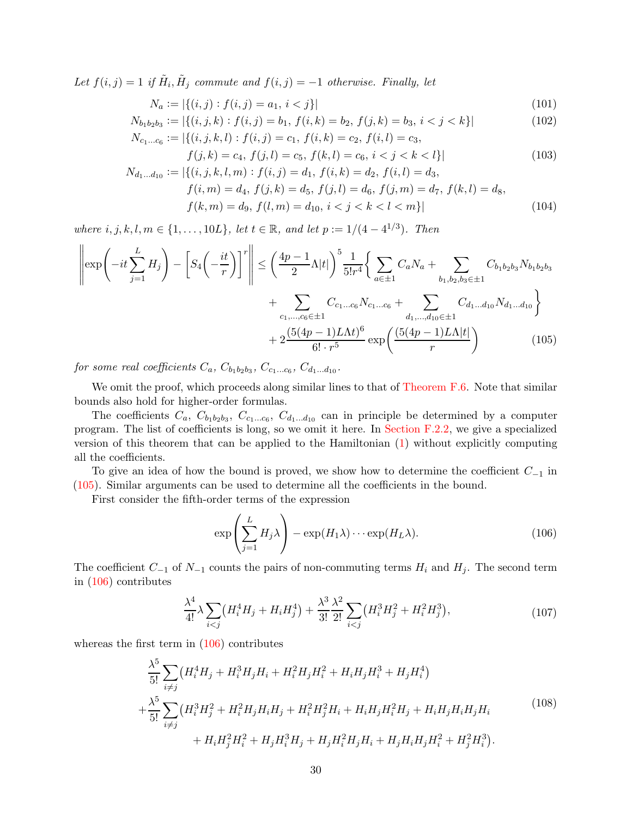Let  $f(i, j) = 1$  if  $\tilde{H}_i$ ,  $\tilde{H}_j$  commute and  $f(i, j) = -1$  otherwise. Finally, let

<span id="page-29-4"></span>
$$
N_a := |\{(i, j) : f(i, j) = a_1, i < j\}| \tag{101}
$$

$$
N_{b_1b_2b_3} := |\{(i, j, k) : f(i, j) = b_1, f(i, k) = b_2, f(j, k) = b_3, i < j < k\}|
$$
  
\n
$$
N_{c_1...c_6} := |\{(i, j, k, l) : f(i, j) = c_1, f(i, k) = c_2, f(i, l) = c_3,
$$
\n(102)

<span id="page-29-5"></span>
$$
f_{i_1...c_6} := |\{(i, j, k, l) : f(i, j) = c_1, f(i, k) = c_2, f(i, l) = c_3, f(j, k) = c_4, f(j, l) = c_5, f(k, l) = c_6, i < j < k < l\}|
$$
\n(103)

$$
N_{d_1...d_{10}} := |\{(i, j, k, l, m) : f(i, j) = d_1, f(i, k) = d_2, f(i, l) = d_3,f(i, m) = d_4, f(j, k) = d_5, f(j, l) = d_6, f(j, m) = d_7, f(k, l) = d_8,f(k, m) = d_9, f(l, m) = d_{10}, i < j < k < l < m\}|
$$
\n(104)

where  $i, j, k, l, m \in \{1, ..., 10L\}$ , let  $t \in \mathbb{R}$ , and let  $p := 1/(4 - 4^{1/3})$ . Then

$$
\left\|\exp\left(-it\sum_{j=1}^{L}H_{j}\right)-\left[S_{4}\left(-\frac{it}{r}\right)\right]^{r}\right\| \leq \left(\frac{4p-1}{2}\Lambda|t|\right)^{5}\frac{1}{5!r^{4}}\left\{\sum_{a\in\pm 1}C_{a}N_{a}+\sum_{b_{1},b_{2},b_{3}\in\pm 1}C_{b_{1}b_{2}b_{3}}N_{b_{1}b_{2}b_{3}}\right\}+\sum_{c_{1},...,c_{6}\in\pm 1}C_{c_{1}...c_{6}}N_{c_{1}...c_{6}}+\sum_{d_{1},...,d_{10}\in\pm 1}C_{d_{1}...d_{10}}N_{d_{1}...d_{10}}\right\}+2\frac{(5(4p-1)L\Lambda t)^{6}}{6!\cdot r^{5}}\exp\left(\frac{(5(4p-1)L\Lambda|t|)}{r}\right)
$$
(105)

for some real coefficients  $C_a$ ,  $C_{b_1b_2b_3}$ ,  $C_{c_1...c_6}$ ,  $C_{d_1...d_{10}}$ .

We omit the proof, which proceeds along similar lines to that of [Theorem F.6.](#page-26-5) Note that similar bounds also hold for higher-order formulas.

The coefficients  $C_a$ ,  $C_{b_1b_2b_3}$ ,  $C_{c_1...c_6}$ ,  $C_{d_1...d_{10}}$  can in principle be determined by a computer program. The list of coefficients is long, so we omit it here. In [Section F.2.2,](#page-30-0) we give a specialized version of this theorem that can be applied to the Hamiltonian [\(1\)](#page-1-0) without explicitly computing all the coefficients.

To give an idea of how the bound is proved, we show how to determine the coefficient  $C_{-1}$  in [\(105\)](#page-29-0). Similar arguments can be used to determine all the coefficients in the bound.

First consider the fifth-order terms of the expression

<span id="page-29-1"></span><span id="page-29-0"></span>
$$
\exp\left(\sum_{j=1}^{L} H_j \lambda\right) - \exp(H_1 \lambda) \cdots \exp(H_L \lambda). \tag{106}
$$

The coefficient  $C_{-1}$  of  $N_{-1}$  counts the pairs of non-commuting terms  $H_i$  and  $H_j$ . The second term in [\(106\)](#page-29-1) contributes

<span id="page-29-3"></span>
$$
\frac{\lambda^4}{4!} \lambda \sum_{i < j} \left( H_i^4 H_j + H_i H_j^4 \right) + \frac{\lambda^3}{3!} \frac{\lambda^2}{2!} \sum_{i < j} \left( H_i^3 H_j^2 + H_i^2 H_j^3 \right),\tag{107}
$$

whereas the first term in [\(106\)](#page-29-1) contributes

<span id="page-29-2"></span>
$$
\frac{\lambda^5}{5!} \sum_{i \neq j} \left( H_i^4 H_j + H_i^3 H_j H_i + H_i^2 H_j H_i^2 + H_i H_j H_i^3 + H_j H_i^4 \right) + \frac{\lambda^5}{5!} \sum_{i \neq j} \left( H_i^3 H_j^2 + H_i^2 H_j H_i H_j + H_i^2 H_j^2 H_i + H_i H_j H_i^2 H_j + H_i H_j H_i H_j H_i \right) + H_i H_j^2 H_i^2 + H_j H_i^3 H_j + H_j H_i^2 H_j H_i + H_j H_i H_j H_i^2 + H_j^2 H_i^3).
$$
\n(108)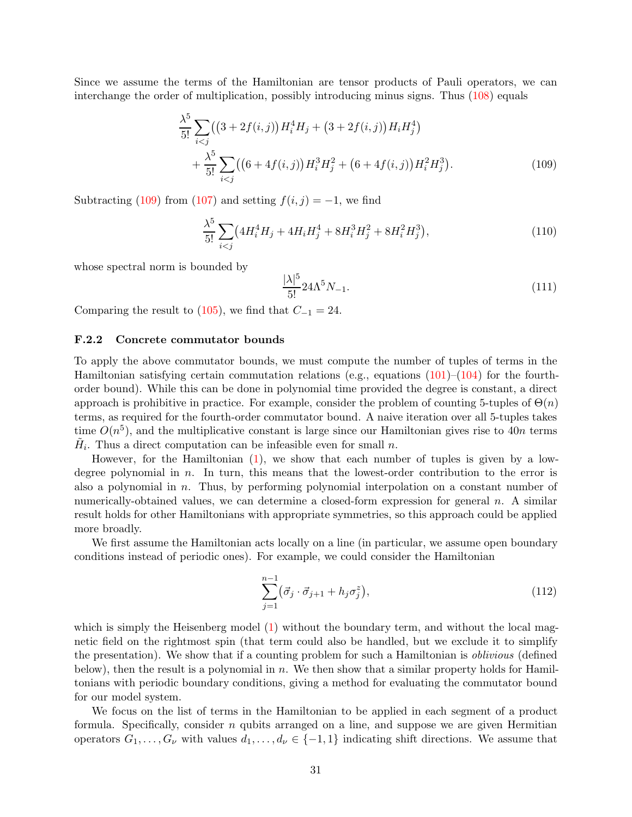Since we assume the terms of the Hamiltonian are tensor products of Pauli operators, we can interchange the order of multiplication, possibly introducing minus signs. Thus [\(108\)](#page-29-2) equals

$$
\frac{\lambda^5}{5!} \sum_{i < j} \left( \left( 3 + 2f(i, j) \right) H_i^4 H_j + \left( 3 + 2f(i, j) \right) H_i H_j^4 \right) + \frac{\lambda^5}{5!} \sum_{i < j} \left( \left( 6 + 4f(i, j) \right) H_i^3 H_j^2 + \left( 6 + 4f(i, j) \right) H_i^2 H_j^3 \right). \tag{109}
$$

Subtracting [\(109\)](#page-30-1) from [\(107\)](#page-29-3) and setting  $f(i, j) = -1$ , we find

$$
\frac{\lambda^5}{5!} \sum_{i < j} \left( 4H_i^4 H_j + 4H_i H_j^4 + 8H_i^3 H_j^2 + 8H_i^2 H_j^3 \right),\tag{110}
$$

whose spectral norm is bounded by

<span id="page-30-1"></span>
$$
\frac{|\lambda|^5}{5!} 24\Lambda^5 N_{-1}.\tag{111}
$$

<span id="page-30-0"></span>Comparing the result to  $(105)$ , we find that  $C_{-1} = 24$ .

#### F.2.2 Concrete commutator bounds

To apply the above commutator bounds, we must compute the number of tuples of terms in the Hamiltonian satisfying certain commutation relations (e.g., equations  $(101)-(104)$  $(101)-(104)$ ) for the fourthorder bound). While this can be done in polynomial time provided the degree is constant, a direct approach is prohibitive in practice. For example, consider the problem of counting 5-tuples of  $\Theta(n)$ terms, as required for the fourth-order commutator bound. A naive iteration over all 5-tuples takes time  $O(n^5)$ , and the multiplicative constant is large since our Hamiltonian gives rise to 40n terms  $\tilde{H}_i$ . Thus a direct computation can be infeasible even for small n.

However, for the Hamiltonian [\(1\)](#page-1-0), we show that each number of tuples is given by a lowdegree polynomial in  $n$ . In turn, this means that the lowest-order contribution to the error is also a polynomial in  $n$ . Thus, by performing polynomial interpolation on a constant number of numerically-obtained values, we can determine a closed-form expression for general  $n$ . A similar result holds for other Hamiltonians with appropriate symmetries, so this approach could be applied more broadly.

We first assume the Hamiltonian acts locally on a line (in particular, we assume open boundary conditions instead of periodic ones). For example, we could consider the Hamiltonian

<span id="page-30-2"></span>
$$
\sum_{j=1}^{n-1} (\vec{\sigma}_j \cdot \vec{\sigma}_{j+1} + h_j \sigma_j^z), \tag{112}
$$

which is simply the Heisenberg model [\(1\)](#page-1-0) without the boundary term, and without the local magnetic field on the rightmost spin (that term could also be handled, but we exclude it to simplify the presentation). We show that if a counting problem for such a Hamiltonian is *oblivious* (defined below), then the result is a polynomial in n. We then show that a similar property holds for Hamiltonians with periodic boundary conditions, giving a method for evaluating the commutator bound for our model system.

We focus on the list of terms in the Hamiltonian to be applied in each segment of a product formula. Specifically, consider  $n$  qubits arranged on a line, and suppose we are given Hermitian operators  $G_1, \ldots, G_\nu$  with values  $d_1, \ldots, d_\nu \in \{-1, 1\}$  indicating shift directions. We assume that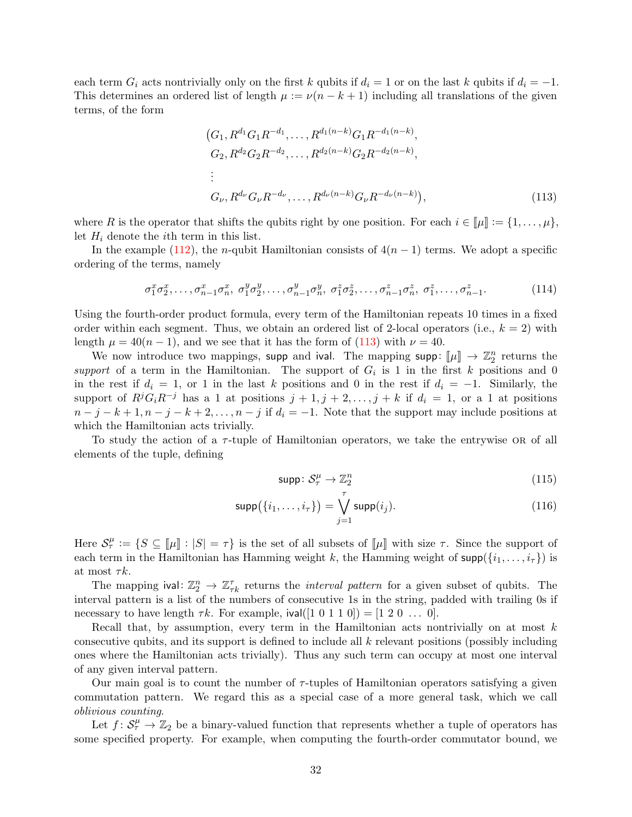each term  $G_i$  acts nontrivially only on the first k qubits if  $d_i = 1$  or on the last k qubits if  $d_i = -1$ . This determines an ordered list of length  $\mu := \nu(n - k + 1)$  including all translations of the given terms, of the form

<span id="page-31-0"></span>
$$
(G_1, R^{d_1}G_1R^{-d_1}, \dots, R^{d_1(n-k)}G_1R^{-d_1(n-k)},
$$
  
\n
$$
G_2, R^{d_2}G_2R^{-d_2}, \dots, R^{d_2(n-k)}G_2R^{-d_2(n-k)},
$$
  
\n:  
\n
$$
G_{\nu}, R^{d_{\nu}}G_{\nu}R^{-d_{\nu}}, \dots, R^{d_{\nu}(n-k)}G_{\nu}R^{-d_{\nu}(n-k)}),
$$
\n(113)

where R is the operator that shifts the qubits right by one position. For each  $i \in [\![\mu]\!] := \{1, \ldots, \mu\},\$ let  $H_i$  denote the *i*th term in this list.

In the example [\(112\)](#page-30-2), the *n*-qubit Hamiltonian consists of  $4(n - 1)$  terms. We adopt a specific ordering of the terms, namely

$$
\sigma_1^x \sigma_2^x, \dots, \sigma_{n-1}^x \sigma_n^x, \sigma_1^y \sigma_2^y, \dots, \sigma_{n-1}^y \sigma_n^y, \sigma_1^z \sigma_2^z, \dots, \sigma_{n-1}^z \sigma_n^z, \sigma_1^z, \dots, \sigma_{n-1}^z. \tag{114}
$$

Using the fourth-order product formula, every term of the Hamiltonian repeats 10 times in a fixed order within each segment. Thus, we obtain an ordered list of 2-local operators (i.e.,  $k = 2$ ) with length  $\mu = 40(n - 1)$ , and we see that it has the form of [\(113\)](#page-31-0) with  $\nu = 40$ .

We now introduce two mappings, supp and ival. The mapping supp:  $[\![\mu]\!] \to \mathbb{Z}_2^n$  returns the support of a term in the Hamiltonian. The support of  $G_i$  is 1 in the first k positions and 0 in the rest if  $d_i = 1$ , or 1 in the last k positions and 0 in the rest if  $d_i = -1$ . Similarly, the support of  $R^j G_i R^{-j}$  has a 1 at positions  $j + 1, j + 2, \ldots, j + k$  if  $d_i = 1$ , or a 1 at positions  $n-j-k+1, n-j-k+2, \ldots, n-j$  if  $d_i = -1$ . Note that the support may include positions at which the Hamiltonian acts trivially.

To study the action of a  $\tau$ -tuple of Hamiltonian operators, we take the entrywise OR of all elements of the tuple, defining

<span id="page-31-1"></span>
$$
\text{supp} \colon \mathcal{S}_{\tau}^{\mu} \to \mathbb{Z}_2^n \tag{115}
$$

$$
\operatorname{supp}(\{i_1,\ldots,i_\tau\}) = \bigvee_{j=1}^\tau \operatorname{supp}(i_j).
$$
 (116)

Here  $S_{\tau}^{\mu} := \{ S \subseteq [\![ \mu ] \!] : |S| = \tau \}$  is the set of all subsets of  $[\![ \mu ] \!]$  with size  $\tau$ . Since the support of each term in the Hamiltonian has Hamming weight k, the Hamming weight of  $\text{supp}(\{i_1, \ldots, i_\tau\})$  is at most  $\tau k$ .

The mapping ival:  $\mathbb{Z}_2^n \to \mathbb{Z}_{\tau k}^{\tau}$  returns the *interval pattern* for a given subset of qubits. The interval pattern is a list of the numbers of consecutive 1s in the string, padded with trailing 0s if necessary to have length  $\tau k$ . For example, ival([1 0 1 1 0]) = [1 2 0 ... 0].

Recall that, by assumption, every term in the Hamiltonian acts nontrivially on at most  $k$ consecutive qubits, and its support is defined to include all k relevant positions (possibly including ones where the Hamiltonian acts trivially). Thus any such term can occupy at most one interval of any given interval pattern.

Our main goal is to count the number of  $\tau$ -tuples of Hamiltonian operators satisfying a given commutation pattern. We regard this as a special case of a more general task, which we call oblivious counting.

Let  $f: S^{\mu}_{\tau} \to \mathbb{Z}_2$  be a binary-valued function that represents whether a tuple of operators has some specified property. For example, when computing the fourth-order commutator bound, we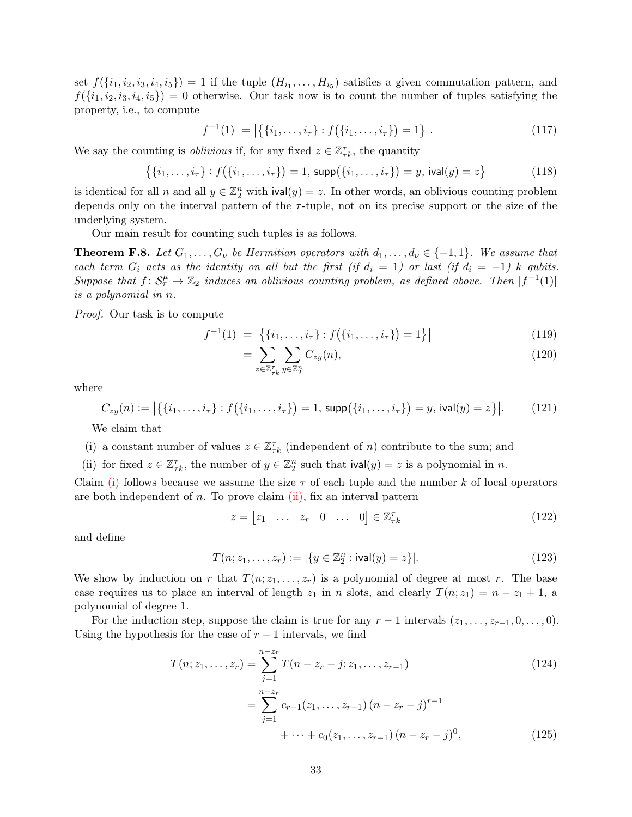set  $f(\{i_1, i_2, i_3, i_4, i_5\}) = 1$  if the tuple  $(H_{i_1}, \ldots, H_{i_5})$  satisfies a given commutation pattern, and  $f({i_1, i_2, i_3, i_4, i_5}) = 0$  otherwise. Our task now is to count the number of tuples satisfying the property, i.e., to compute

<span id="page-32-2"></span>
$$
|f^{-1}(1)| = |\{ \{i_1, \ldots, i_\tau\} : f(\{i_1, \ldots, i_\tau\}) = 1 \}|. \tag{117}
$$

We say the counting is *oblivious* if, for any fixed  $z \in \mathbb{Z}_{\tau k}^{\tau}$ , the quantity

$$
|\{(i_1,\ldots,i_\tau):f(\{i_1,\ldots,i_\tau\})=1,\,\text{supp}(\{i_1,\ldots,i_\tau\})=y,\,\text{ival}(y)=z\}|
$$
\n(118)

is identical for all n and all  $y \in \mathbb{Z}_2^n$  with  $\text{ival}(y) = z$ . In other words, an oblivious counting problem depends only on the interval pattern of the  $\tau$ -tuple, not on its precise support or the size of the underlying system.

Our main result for counting such tuples is as follows.

<span id="page-32-3"></span>**Theorem F.8.** Let  $G_1, \ldots, G_{\nu}$  be Hermitian operators with  $d_1, \ldots, d_{\nu} \in \{-1, 1\}$ . We assume that each term  $G_i$  acts as the identity on all but the first (if  $d_i = 1$ ) or last (if  $d_i = -1$ ) k qubits. Suppose that  $f: S^{\mu}_{\tau} \to \mathbb{Z}_2$  induces an oblivious counting problem, as defined above. Then  $|f^{-1}(1)|$ is a polynomial in n.

Proof. Our task is to compute

$$
|f^{-1}(1)| = |\{ \{i_1, \ldots, i_\tau\} : f(\{i_1, \ldots, i_\tau\}) = 1 \}| \tag{119}
$$

$$
=\sum_{z\in\mathbb{Z}_{\tau_k}^{\tau}}\sum_{y\in\mathbb{Z}_2^n}C_{zy}(n),\tag{120}
$$

where

$$
C_{zy}(n) := |\{ \{i_1, \ldots, i_{\tau}\} : f(\{i_1, \ldots, i_{\tau}\}) = 1, \, \text{supp}(\{i_1, \ldots, i_{\tau}\}) = y, \, \text{ival}(y) = z \}|. \tag{121}
$$

<span id="page-32-0"></span>We claim that

- <span id="page-32-1"></span>(i) a constant number of values  $z \in \mathbb{Z}_{\tau k}^{\tau}$  (independent of n) contribute to the sum; and
- (ii) for fixed  $z \in \mathbb{Z}_{\tau k}^{\tau}$ , the number of  $y \in \mathbb{Z}_2^n$  such that  $\text{ival}(y) = z$  is a polynomial in n.

Claim [\(i\)](#page-32-0) follows because we assume the size  $\tau$  of each tuple and the number k of local operators are both independent of n. To prove claim  $(ii)$ , fix an interval pattern

$$
z = \begin{bmatrix} z_1 & \dots & z_r & 0 & \dots & 0 \end{bmatrix} \in \mathbb{Z}_{\tau k}^{\tau}
$$
 (122)

and define

$$
T(n; z_1, \dots, z_r) := |\{ y \in \mathbb{Z}_2^n : \text{ival}(y) = z \}|. \tag{123}
$$

We show by induction on r that  $T(n; z_1, \ldots, z_r)$  is a polynomial of degree at most r. The base case requires us to place an interval of length  $z_1$  in n slots, and clearly  $T(n; z_1) = n - z_1 + 1$ , a polynomial of degree 1.

For the induction step, suppose the claim is true for any  $r-1$  intervals  $(z_1, \ldots, z_{r-1}, 0, \ldots, 0)$ . Using the hypothesis for the case of  $r-1$  intervals, we find

$$
T(n; z_1, \dots, z_r) = \sum_{j=1}^{n-z_r} T(n - z_r - j; z_1, \dots, z_{r-1})
$$
\n(124)

$$
= \sum_{j=1}^{n-z_r} c_{r-1}(z_1, \dots, z_{r-1}) (n - z_r - j)^{r-1}
$$
  
+ \dots + c\_0(z\_1, \dots, z\_{r-1}) (n - z\_r - j)^0, (125)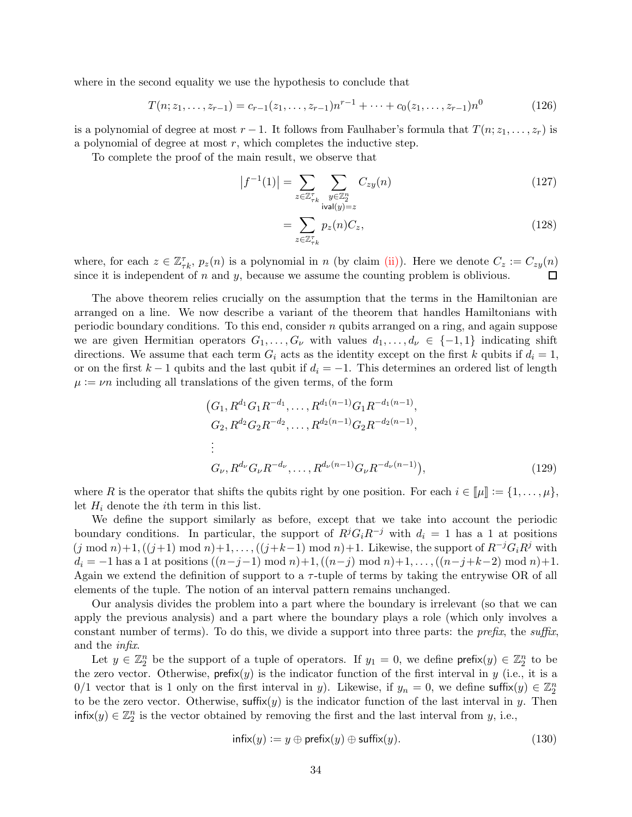where in the second equality we use the hypothesis to conclude that

$$
T(n; z_1, \dots, z_{r-1}) = c_{r-1}(z_1, \dots, z_{r-1})n^{r-1} + \dots + c_0(z_1, \dots, z_{r-1})n^0
$$
\n(126)

is a polynomial of degree at most  $r-1$ . It follows from Faulhaber's formula that  $T(n; z_1, \ldots, z_r)$  is a polynomial of degree at most  $r$ , which completes the inductive step.

To complete the proof of the main result, we observe that

$$
\left|f^{-1}(1)\right| = \sum_{z \in \mathbb{Z}_{\tau_k}^{\tau}} \sum_{\substack{y \in \mathbb{Z}_2^n \\ \text{ival}(y) = z}} C_{zy}(n) \tag{127}
$$

$$
=\sum_{z\in\mathbb{Z}_{\tau_k}^{\tau}}p_z(n)C_z,\tag{128}
$$

where, for each  $z \in \mathbb{Z}_{\tau k}^{\tau}$ ,  $p_z(n)$  is a polynomial in n (by claim [\(ii\)\)](#page-32-1). Here we denote  $C_z := C_{zy}(n)$ since it is independent of  $n$  and  $y$ , because we assume the counting problem is oblivious. □

The above theorem relies crucially on the assumption that the terms in the Hamiltonian are arranged on a line. We now describe a variant of the theorem that handles Hamiltonians with periodic boundary conditions. To this end, consider  $n$  qubits arranged on a ring, and again suppose we are given Hermitian operators  $G_1, \ldots, G_{\nu}$  with values  $d_1, \ldots, d_{\nu} \in \{-1, 1\}$  indicating shift directions. We assume that each term  $G_i$  acts as the identity except on the first k qubits if  $d_i = 1$ , or on the first  $k-1$  qubits and the last qubit if  $d_i = -1$ . This determines an ordered list of length  $\mu := \nu n$  including all translations of the given terms, of the form

$$
(G_1, R^{d_1}G_1R^{-d_1}, \dots, R^{d_1(n-1)}G_1R^{-d_1(n-1)},
$$
  
\n
$$
G_2, R^{d_2}G_2R^{-d_2}, \dots, R^{d_2(n-1)}G_2R^{-d_2(n-1)},
$$
  
\n:  
\n
$$
G_{\nu}, R^{d_{\nu}}G_{\nu}R^{-d_{\nu}}, \dots, R^{d_{\nu}(n-1)}G_{\nu}R^{-d_{\nu}(n-1)}),
$$
\n(129)

where R is the operator that shifts the qubits right by one position. For each  $i \in [\![\mu]\!] := \{1, \ldots, \mu\}$ , let  $H_i$  denote the *i*th term in this list.

We define the support similarly as before, except that we take into account the periodic boundary conditions. In particular, the support of  $R^jG_iR^{-j}$  with  $d_i = 1$  has a 1 at positions  $(j \mod n)+1$ ,  $((j+1) \mod n)+1, \ldots$ ,  $((j+k-1) \mod n)+1$ . Likewise, the support of  $R^{-j}G_iR^j$  with  $d_i = -1$  has a 1 at positions  $((n-j-1) \mod n)+1, ((n-j) \mod n)+1, ..., ((n-j+k-2) \mod n)+1$ . Again we extend the definition of support to a  $\tau$ -tuple of terms by taking the entrywise OR of all elements of the tuple. The notion of an interval pattern remains unchanged.

Our analysis divides the problem into a part where the boundary is irrelevant (so that we can apply the previous analysis) and a part where the boundary plays a role (which only involves a constant number of terms). To do this, we divide a support into three parts: the *prefix*, the suffix, and the infix.

Let  $y \in \mathbb{Z}_2^n$  be the support of a tuple of operators. If  $y_1 = 0$ , we define  $\mathsf{prefix}(y) \in \mathbb{Z}_2^n$  to be the zero vector. Otherwise,  $\text{prefix}(y)$  is the indicator function of the first interval in y (i.e., it is a 0/1 vector that is 1 only on the first interval in y). Likewise, if  $y_n = 0$ , we define suffix $(y) \in \mathbb{Z}_2^n$ to be the zero vector. Otherwise, suffix(y) is the indicator function of the last interval in y. Then  $\text{infix}(y) \in \mathbb{Z}_2^n$  is the vector obtained by removing the first and the last interval from y, i.e.,

$$
\mathsf{infix}(y) := y \oplus \mathsf{prefix}(y) \oplus \mathsf{suffix}(y). \tag{130}
$$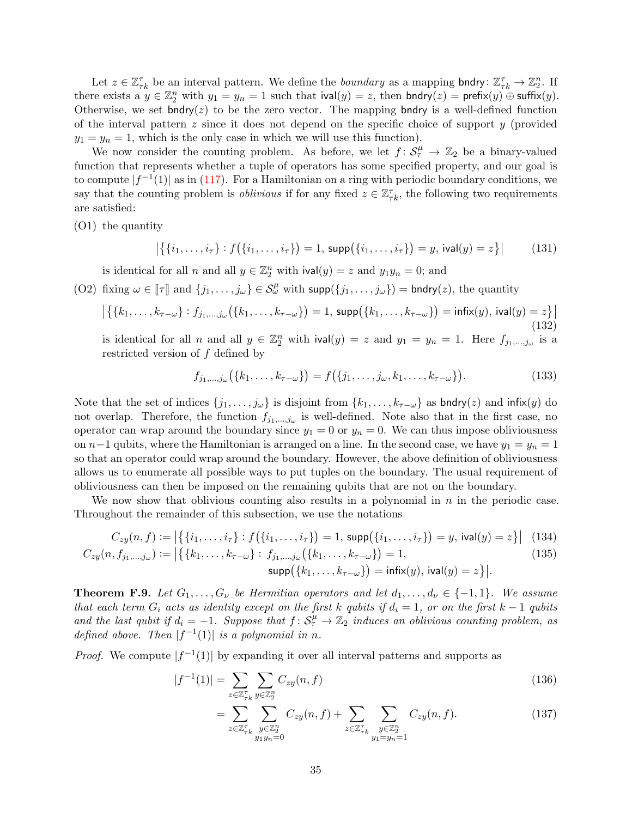Let  $z \in \mathbb{Z}_{\tau k}^{\tau}$  be an interval pattern. We define the *boundary* as a mapping bndry:  $\mathbb{Z}_{\tau k}^{\tau} \to \mathbb{Z}_2^n$ . If there exists a  $y \in \mathbb{Z}_2^n$  with  $y_1 = y_n = 1$  such that  $i\text{val}(y) = z$ , then  $\text{bndry}(z) = \text{prefix}(y) \oplus \text{suffix}(y)$ . Otherwise, we set bndry( $z$ ) to be the zero vector. The mapping bndry is a well-defined function of the interval pattern  $z$  since it does not depend on the specific choice of support  $y$  (provided  $y_1 = y_n = 1$ , which is the only case in which we will use this function).

We now consider the counting problem. As before, we let  $f: S^{\mu}_{\tau} \to \mathbb{Z}_2$  be a binary-valued function that represents whether a tuple of operators has some specified property, and our goal is to compute  $|f^{-1}(1)|$  as in [\(117\)](#page-32-2). For a Hamiltonian on a ring with periodic boundary conditions, we say that the counting problem is *oblivious* if for any fixed  $z \in \mathbb{Z}_{\tau k}^{\tau}$ , the following two requirements are satisfied:

(O1) the quantity

<span id="page-34-2"></span>
$$
|\{(i_1,\ldots,i_\tau):f(\{i_1,\ldots,i_\tau\})=1,\,\text{supp}(\{i_1,\ldots,i_\tau\})=y,\,\text{ival}(y)=z\}|
$$
 (131)

is identical for all n and all  $y \in \mathbb{Z}_2^n$  with  $\text{ival}(y) = z$  and  $y_1 y_n = 0$ ; and

<span id="page-34-0"></span>(O2) fixing  $\omega \in [\![\tau]\!]$  and  $\{j_1, \ldots, j_\omega\} \in \mathcal{S}_\omega^\mu$  with  $\text{supp}(\{j_1, \ldots, j_\omega\}) = \text{bndry}(z)$ , the quantity

$$
\left| \{ \{k_1, \ldots, k_{\tau-\omega} \} : f_{j_1, \ldots, j_\omega} (\{k_1, \ldots, k_{\tau-\omega} \}) = 1, \, \text{supp} \big( \{k_1, \ldots, k_{\tau-\omega} \} \big) = \text{infix}(y), \, \text{ival}(y) = z \} \right| \tag{132}
$$

is identical for all n and all  $y \in \mathbb{Z}_2^n$  with  $\text{ival}(y) = z$  and  $y_1 = y_n = 1$ . Here  $f_{j_1,\dots,j_\omega}$  is a restricted version of  $f$  defined by

$$
f_{j_1,...,j_\omega}(\{k_1,...,k_{\tau-\omega}\}) = f(\{j_1,...,j_\omega,k_1,...,k_{\tau-\omega}\}).
$$
\n(133)

Note that the set of indices  $\{j_1, \ldots, j_\omega\}$  is disjoint from  $\{k_1, \ldots, k_{\tau-\omega}\}$  as bndry(z) and infix(y) do not overlap. Therefore, the function  $f_{j_1,\dots,j_\omega}$  is well-defined. Note also that in the first case, no operator can wrap around the boundary since  $y_1 = 0$  or  $y_n = 0$ . We can thus impose obliviousness on  $n-1$  qubits, where the Hamiltonian is arranged on a line. In the second case, we have  $y_1 = y_n = 1$ so that an operator could wrap around the boundary. However, the above definition of obliviousness allows us to enumerate all possible ways to put tuples on the boundary. The usual requirement of obliviousness can then be imposed on the remaining qubits that are not on the boundary.

We now show that oblivious counting also results in a polynomial in  $n$  in the periodic case. Throughout the remainder of this subsection, we use the notations

$$
C_{zy}(n, f) := \left| \left\{ \{i_1, \ldots, i_{\tau} \} : f(\{i_1, \ldots, i_{\tau} \}) = 1, \, \text{supp}(\{i_1, \ldots, i_{\tau} \}) = y, \, \text{ival}(y) = z \} \right| \tag{134}
$$
\n
$$
C_{zy}(n, f_{j_1, \ldots, j_{\omega}}) := \left| \left\{ \{k_1, \ldots, k_{\tau - \omega} \} : f_{j_1, \ldots, j_{\omega}}(\{k_1, \ldots, k_{\tau - \omega} \}) = 1, \right. \right. \qquad (135)
$$
\n
$$
\text{supp}(\{k_1, \ldots, k_{\tau - \omega} \}) = \text{infix}(y), \, \text{ival}(y) = z \} \right|.
$$

<span id="page-34-1"></span>**Theorem F.9.** Let  $G_1, \ldots, G_{\nu}$  be Hermitian operators and let  $d_1, \ldots, d_{\nu} \in \{-1,1\}$ . We assume that each term  $G_i$  acts as identity except on the first k qubits if  $d_i = 1$ , or on the first k – 1 qubits and the last qubit if  $d_i = -1$ . Suppose that  $f: S^{\mu}_{\tau} \to \mathbb{Z}_2$  induces an oblivious counting problem, as defined above. Then  $|f^{-1}(1)|$  is a polynomial in n.

*Proof.* We compute  $|f^{-1}(1)|$  by expanding it over all interval patterns and supports as

$$
|f^{-1}(1)| = \sum_{z \in \mathbb{Z}_{\tau_k}^{\tau}} \sum_{y \in \mathbb{Z}_2^n} C_{zy}(n, f) \tag{136}
$$

$$
= \sum_{z \in \mathbb{Z}_{\tau_k}^{\tau}} \sum_{\substack{y \in \mathbb{Z}_2^n \\ y_1 y_n = 0}} C_{zy}(n, f) + \sum_{z \in \mathbb{Z}_{\tau_k}^{\tau}} \sum_{\substack{y \in \mathbb{Z}_2^n \\ y_1 = y_n = 1}} C_{zy}(n, f). \tag{137}
$$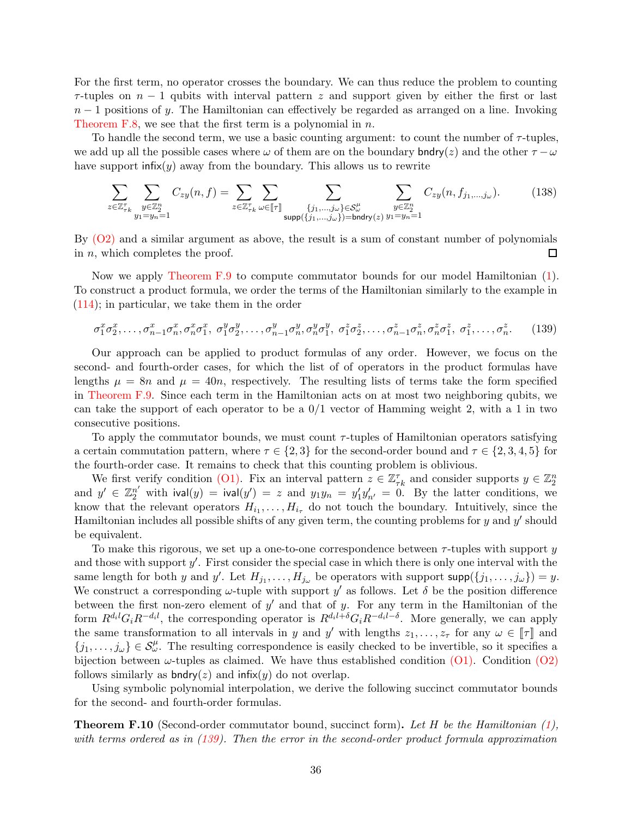For the first term, no operator crosses the boundary. We can thus reduce the problem to counting  $\tau$ -tuples on  $n-1$  qubits with interval pattern z and support given by either the first or last  $n-1$  positions of y. The Hamiltonian can effectively be regarded as arranged on a line. Invoking [Theorem F.8,](#page-32-3) we see that the first term is a polynomial in  $n$ .

To handle the second term, we use a basic counting argument: to count the number of  $\tau$ -tuples, we add up all the possible cases where  $\omega$  of them are on the boundary bndry(z) and the other  $\tau - \omega$ have support  $\text{infix}(y)$  away from the boundary. This allows us to rewrite

$$
\sum_{z \in \mathbb{Z}_{\tau k}^{\tau}} \sum_{\substack{y \in \mathbb{Z}_2^n \\ y_1 = y_n = 1}} C_{zy}(n, f) = \sum_{z \in \mathbb{Z}_{\tau k}^{\tau}} \sum_{\omega \in [\![\tau]\!]} \sum_{\substack{\{j_1, \dots, j_{\omega}\} \in \mathcal{S}_{\omega}^{\mu} \\ \text{supp}(\{j_1, \dots, j_{\omega}\}) = \text{bndry}(z)}} \sum_{\substack{y \in \mathbb{Z}_2^n \\ y_1 = y_n = 1}} C_{zy}(n, f_{j_1, \dots, j_{\omega}}). \tag{138}
$$

By  $(O2)$  and a similar argument as above, the result is a sum of constant number of polynomials in  $n$ , which completes the proof.  $\Box$ 

Now we apply [Theorem F.9](#page-34-1) to compute commutator bounds for our model Hamiltonian [\(1\)](#page-1-0). To construct a product formula, we order the terms of the Hamiltonian similarly to the example in [\(114\)](#page-31-1); in particular, we take them in the order

<span id="page-35-0"></span>
$$
\sigma_1^x \sigma_2^x, \dots, \sigma_{n-1}^x \sigma_n^x, \sigma_n^x \sigma_1^x, \sigma_1^y \sigma_2^y, \dots, \sigma_{n-1}^y \sigma_n^y, \sigma_n^y \sigma_1^y, \sigma_1^z \sigma_2^z, \dots, \sigma_{n-1}^z \sigma_n^z, \sigma_n^z \sigma_1^z, \sigma_1^z, \dots, \sigma_n^z. \tag{139}
$$

Our approach can be applied to product formulas of any order. However, we focus on the second- and fourth-order cases, for which the list of of operators in the product formulas have lengths  $\mu = 8n$  and  $\mu = 40n$ , respectively. The resulting lists of terms take the form specified in [Theorem F.9.](#page-34-1) Since each term in the Hamiltonian acts on at most two neighboring qubits, we can take the support of each operator to be a  $0/1$  vector of Hamming weight 2, with a 1 in two consecutive positions.

To apply the commutator bounds, we must count  $\tau$ -tuples of Hamiltonian operators satisfying a certain commutation pattern, where  $\tau \in \{2,3\}$  for the second-order bound and  $\tau \in \{2,3,4,5\}$  for the fourth-order case. It remains to check that this counting problem is oblivious.

We first verify condition [\(O1\).](#page-34-2) Fix an interval pattern  $z \in \mathbb{Z}_{\tau k}^{\tau}$  and consider supports  $y \in \mathbb{Z}_{2}^{n}$ and  $y' \in \mathbb{Z}_2^{n'}$  with  $\text{ival}(y) = \text{ival}(y') = z$  and  $y_1y_n = y'_1y'_n = 0$ . By the latter conditions, we know that the relevant operators  $H_{i_1}, \ldots, H_{i_{\tau}}$  do not touch the boundary. Intuitively, since the Hamiltonian includes all possible shifts of any given term, the counting problems for  $y$  and  $y'$  should be equivalent.

To make this rigorous, we set up a one-to-one correspondence between  $\tau$ -tuples with support y and those with support  $y'$ . First consider the special case in which there is only one interval with the same length for both y and y'. Let  $H_{j_1}, \ldots, H_{j_\omega}$  be operators with support  $\text{supp}(\{j_1, \ldots, j_\omega\}) = y$ . We construct a corresponding  $\omega$ -tuple with support y' as follows. Let  $\delta$  be the position difference between the first non-zero element of  $y'$  and that of y. For any term in the Hamiltonian of the form  $R^{d_i l} G_i R^{-d_i l}$ , the corresponding operator is  $R^{d_i l + \delta} G_i R^{-d_i l - \delta}$ . More generally, we can apply the same transformation to all intervals in y and y' with lengths  $z_1, \ldots, z_{\tau}$  for any  $\omega \in [\![\tau]\!]$  and  ${j_1,\ldots, j_\omega} \in \mathcal{S}_\omega^\mu$ . The resulting correspondence is easily checked to be invertible, so it specifies a bijection between  $\omega$ -tuples as claimed. We have thus established condition  $(01)$ . Condition  $(02)$ follows similarly as bndry( $z$ ) and infix( $y$ ) do not overlap.

Using symbolic polynomial interpolation, we derive the following succinct commutator bounds for the second- and fourth-order formulas.

<span id="page-35-1"></span>**Theorem F.10** (Second-order commutator bound, succinct form). Let  $H$  be the Hamiltonian  $(1)$ , with terms ordered as in [\(139\)](#page-35-0). Then the error in the second-order product formula approximation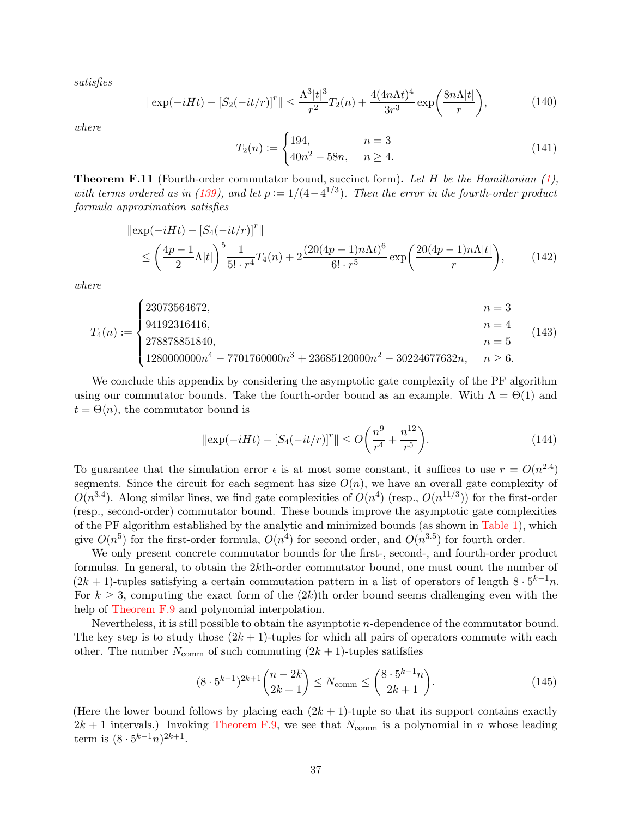satisfies

$$
\|\exp(-iHt) - [S_2(-it/r)]^r\| \le \frac{\Lambda^3 |t|^3}{r^2} T_2(n) + \frac{4(4n\Lambda t)^4}{3r^3} \exp\left(\frac{8n\Lambda |t|}{r}\right),\tag{140}
$$

where

$$
T_2(n) := \begin{cases} 194, & n = 3 \\ 40n^2 - 58n, & n \ge 4. \end{cases}
$$
 (141)

<span id="page-36-0"></span>**Theorem F.11** (Fourth-order commutator bound, succinct form). Let H be the Hamiltonian  $(1)$ , with terms ordered as in [\(139\)](#page-35-0), and let  $p := 1/(4-4^{1/3})$ . Then the error in the fourth-order product formula approximation satisfies

$$
\|\exp(-iHt) - [S_4(-it/r)]^r\|
$$
  
\n
$$
\leq \left(\frac{4p-1}{2}\Lambda|t|\right)^5 \frac{1}{5! \cdot r^4} T_4(n) + 2 \frac{(20(4p-1)n\Lambda t)^6}{6! \cdot r^5} \exp\left(\frac{20(4p-1)n\Lambda|t|}{r}\right),
$$
 (142)

where

$$
T_4(n) := \begin{cases} 23073564672, & n = 3 \\ 94192316416, & n = 4 \\ 278878851840, & n = 5 \\ 1280000000n^4 - 7701760000n^3 + 23685120000n^2 - 30224677632n, & n \ge 6. \end{cases}
$$
(143)

We conclude this appendix by considering the asymptotic gate complexity of the PF algorithm using our commutator bounds. Take the fourth-order bound as an example. With  $\Lambda = \Theta(1)$  and  $t = \Theta(n)$ , the commutator bound is

$$
\|\exp(-iHt) - [S_4(-it/r)]^r\| \le O\left(\frac{n^9}{r^4} + \frac{n^{12}}{r^5}\right). \tag{144}
$$

To guarantee that the simulation error  $\epsilon$  is at most some constant, it suffices to use  $r = O(n^{2.4})$ segments. Since the circuit for each segment has size  $O(n)$ , we have an overall gate complexity of  $O(n^{3.4})$ . Along similar lines, we find gate complexities of  $O(n^4)$  (resp.,  $O(n^{11/3})$ ) for the first-order (resp., second-order) commutator bound. These bounds improve the asymptotic gate complexities of the PF algorithm established by the analytic and minimized bounds (as shown in [Table 1\)](#page-2-0), which give  $O(n^5)$  for the first-order formula,  $O(n^4)$  for second order, and  $O(n^{3.5})$  for fourth order.

We only present concrete commutator bounds for the first-, second-, and fourth-order product formulas. In general, to obtain the 2kth-order commutator bound, one must count the number of  $(2k + 1)$ -tuples satisfying a certain commutation pattern in a list of operators of length  $8 \cdot 5^{k-1}n$ . For  $k \geq 3$ , computing the exact form of the  $(2k)$ th order bound seems challenging even with the help of [Theorem F.9](#page-34-1) and polynomial interpolation.

Nevertheless, it is still possible to obtain the asymptotic n-dependence of the commutator bound. The key step is to study those  $(2k + 1)$ -tuples for which all pairs of operators commute with each other. The number  $N_{\text{comm}}$  of such commuting  $(2k+1)$ -tuples satifsfies

$$
(8 \cdot 5^{k-1})^{2k+1} \binom{n-2k}{2k+1} \le N_{\text{comm}} \le \binom{8 \cdot 5^{k-1} n}{2k+1}.
$$
 (145)

(Here the lower bound follows by placing each  $(2k + 1)$ -tuple so that its support contains exactly  $2k + 1$  intervals.) Invoking [Theorem F.9,](#page-34-1) we see that  $N_{\text{comm}}$  is a polynomial in n whose leading term is  $(8 \cdot 5^{k-1}n)^{2k+1}$ .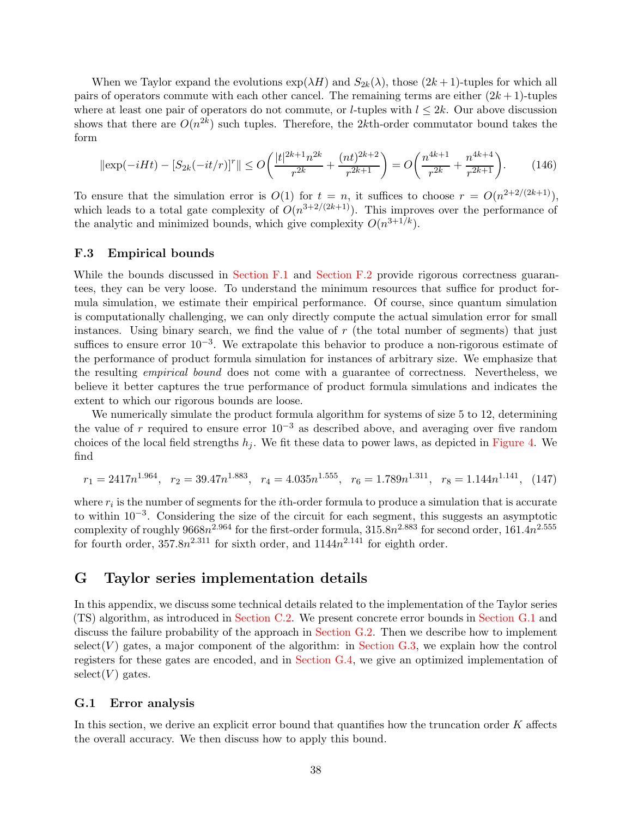When we Taylor expand the evolutions  $\exp(\lambda H)$  and  $S_{2k}(\lambda)$ , those  $(2k+1)$ -tuples for which all pairs of operators commute with each other cancel. The remaining terms are either  $(2k + 1)$ -tuples where at least one pair of operators do not commute, or *l*-tuples with  $l \leq 2k$ . Our above discussion shows that there are  $O(n^{2k})$  such tuples. Therefore, the 2kth-order commutator bound takes the form

$$
\|\exp(-iHt) - [S_{2k}(-it/r)]^r\| \le O\left(\frac{|t|^{2k+1}n^{2k}}{r^{2k}} + \frac{(nt)^{2k+2}}{r^{2k+1}}\right) = O\left(\frac{n^{4k+1}}{r^{2k}} + \frac{n^{4k+4}}{r^{2k+1}}\right). \tag{146}
$$

To ensure that the simulation error is  $O(1)$  for  $t = n$ , it suffices to choose  $r = O(n^{2+2/(2k+1)})$ , which leads to a total gate complexity of  $O(n^{3+2/(2k+1)})$ . This improves over the performance of the analytic and minimized bounds, which give complexity  $O(n^{3+1/k})$ .

#### <span id="page-37-1"></span>F.3 Empirical bounds

While the bounds discussed in [Section F.1](#page-23-0) and [Section F.2](#page-25-0) provide rigorous correctness guarantees, they can be very loose. To understand the minimum resources that suffice for product formula simulation, we estimate their empirical performance. Of course, since quantum simulation is computationally challenging, we can only directly compute the actual simulation error for small instances. Using binary search, we find the value of  $r$  (the total number of segments) that just suffices to ensure error  $10^{-3}$ . We extrapolate this behavior to produce a non-rigorous estimate of the performance of product formula simulation for instances of arbitrary size. We emphasize that the resulting empirical bound does not come with a guarantee of correctness. Nevertheless, we believe it better captures the true performance of product formula simulations and indicates the extent to which our rigorous bounds are loose.

We numerically simulate the product formula algorithm for systems of size 5 to 12, determining the value of r required to ensure error  $10^{-3}$  as described above, and averaging over five random choices of the local field strengths  $h_i$ . We fit these data to power laws, as depicted in [Figure 4.](#page-38-0) We find

$$
r_1 = 2417n^{1.964}, \quad r_2 = 39.47n^{1.883}, \quad r_4 = 4.035n^{1.555}, \quad r_6 = 1.789n^{1.311}, \quad r_8 = 1.144n^{1.141}, \quad (147)
$$

where  $r_i$  is the number of segments for the *i*th-order formula to produce a simulation that is accurate to within 10−<sup>3</sup> . Considering the size of the circuit for each segment, this suggests an asymptotic complexity of roughly  $9668n^{2.964}$  for the first-order formula,  $315.8n^{2.883}$  for second order,  $161.4n^{2.555}$ for fourth order,  $357.8n^{2.311}$  for sixth order, and  $1144n^{2.141}$  for eighth order.

# <span id="page-37-0"></span>G Taylor series implementation details

In this appendix, we discuss some technical details related to the implementation of the Taylor series (TS) algorithm, as introduced in [Section C.2.](#page-12-0) We present concrete error bounds in [Section G.1](#page-37-2) and discuss the failure probability of the approach in [Section G.2.](#page-42-0) Then we describe how to implement  $select(V)$  gates, a major component of the algorithm: in [Section G.3,](#page-42-1) we explain how the control registers for these gates are encoded, and in [Section G.4,](#page-42-2) we give an optimized implementation of  $select(V)$  gates.

#### <span id="page-37-2"></span>G.1 Error analysis

In this section, we derive an explicit error bound that quantifies how the truncation order  $K$  affects the overall accuracy. We then discuss how to apply this bound.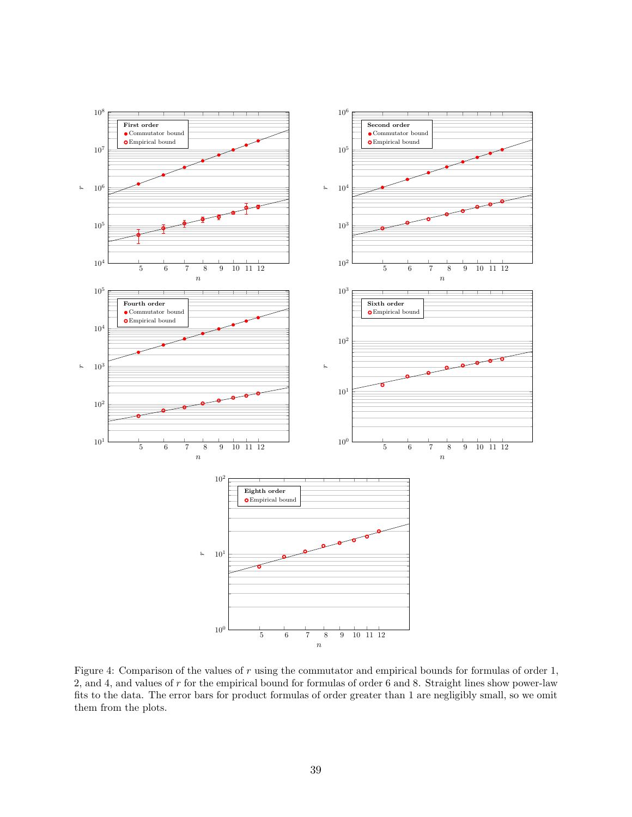<span id="page-38-0"></span>

Figure 4: Comparison of the values of r using the commutator and empirical bounds for formulas of order 1, 2, and 4, and values of r for the empirical bound for formulas of order 6 and 8. Straight lines show power-law fits to the data. The error bars for product formulas of order greater than 1 are negligibly small, so we omit them from the plots.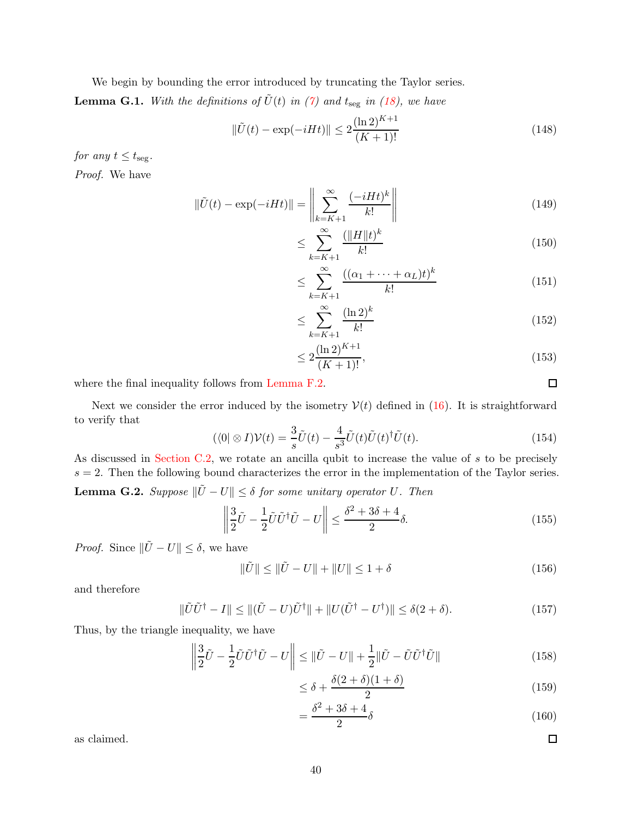We begin by bounding the error introduced by truncating the Taylor series.

<span id="page-39-0"></span>**Lemma G.1.** With the definitions of  $\tilde{U}(t)$  in [\(7\)](#page-12-1) and  $t_{\text{seg}}$  in [\(18\)](#page-13-1), we have

$$
\|\tilde{U}(t) - \exp(-iHt)\| \le 2\frac{(\ln 2)^{K+1}}{(K+1)!}
$$
\n(148)

for any  $t \leq t_{\text{seg}}$ . Proof. We have

> $\Vert \tilde{U}(t) - \exp(-iHt) \Vert =$   $\sum^{\infty}$  $k=K+1$  $(-iHt)^k$  $k!$  (149)

$$
\leq \sum_{k=K+1}^{\infty} \frac{(\|H\|t)^k}{k!} \tag{150}
$$

$$
\leq \sum_{k=K+1}^{\infty} \frac{((\alpha_1 + \dots + \alpha_L)t)^k}{k!} \tag{151}
$$

$$
\leq \sum_{k=K+1}^{\infty} \frac{(\ln 2)^k}{k!} \tag{152}
$$

$$
\leq 2 \frac{(\ln 2)^{K+1}}{(K+1)!},\tag{153}
$$

where the final inequality follows from [Lemma F.2.](#page-23-4)

Next we consider the error induced by the isometry  $V(t)$  defined in [\(16\)](#page-13-2). It is straightforward to verify that

$$
(\langle 0 | \otimes I) \mathcal{V}(t) = \frac{3}{s} \tilde{U}(t) - \frac{4}{s^3} \tilde{U}(t) \tilde{U}(t)^\dagger \tilde{U}(t). \tag{154}
$$

<span id="page-39-1"></span>As discussed in [Section C.2,](#page-12-0) we rotate an ancilla qubit to increase the value of s to be precisely  $s = 2$ . Then the following bound characterizes the error in the implementation of the Taylor series. **Lemma G.2.** Suppose  $\|\tilde{U} - U\| \leq \delta$  for some unitary operator U. Then

$$
\left\| \frac{3}{2}\tilde{U} - \frac{1}{2}\tilde{U}\tilde{U}^{\dagger}\tilde{U} - U \right\| \le \frac{\delta^2 + 3\delta + 4}{2}\delta. \tag{155}
$$

*Proof.* Since  $\|\tilde{U} - U\| \le \delta$ , we have

$$
\|\tilde{U}\| \le \|\tilde{U} - U\| + \|U\| \le 1 + \delta \tag{156}
$$

and therefore

$$
\|\tilde{U}\tilde{U}^{\dagger} - I\| \le \|\tilde{U} - U\tilde{U}^{\dagger}\| + \|U(\tilde{U}^{\dagger} - U^{\dagger})\| \le \delta(2 + \delta). \tag{157}
$$

Thus, by the triangle inequality, we have

$$
\left\| \frac{3}{2}\tilde{U} - \frac{1}{2}\tilde{U}\tilde{U}^{\dagger}\tilde{U} - U \right\| \le \left\| \tilde{U} - U \right\| + \frac{1}{2} \left\| \tilde{U} - \tilde{U}\tilde{U}^{\dagger}\tilde{U} \right\|
$$
\n(158)

$$
\leq \delta + \frac{\delta(2+\delta)(1+\delta)}{2} \tag{159}
$$

$$
=\frac{\delta^2 + 3\delta + 4}{2}\delta\tag{160}
$$

as claimed.

 $\Box$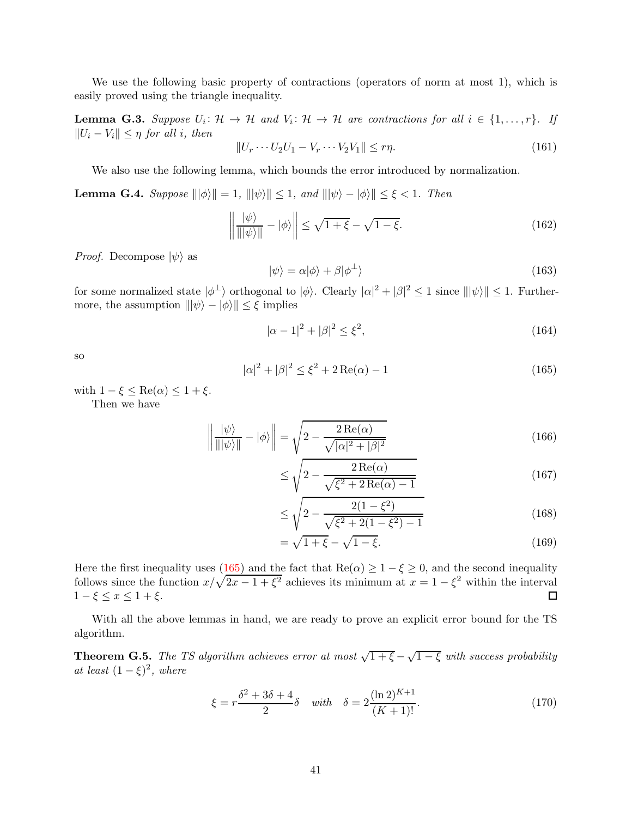We use the following basic property of contractions (operators of norm at most 1), which is easily proved using the triangle inequality.

<span id="page-40-1"></span>**Lemma G.3.** Suppose  $U_i: \mathcal{H} \to \mathcal{H}$  and  $V_i: \mathcal{H} \to \mathcal{H}$  are contractions for all  $i \in \{1, ..., r\}$ . If  $||U_i - V_i|| \leq \eta$  for all i, then

$$
||U_r \cdots U_2 U_1 - V_r \cdots V_2 V_1|| \leq r\eta.
$$
\n
$$
(161)
$$

We also use the following lemma, which bounds the error introduced by normalization.

<span id="page-40-2"></span>**Lemma G.4.** Suppose  $\|\|\phi\rangle\| = 1$ ,  $\|\|\psi\rangle\| \leq 1$ , and  $\|\|\psi\rangle - \|\phi\rangle\| \leq \xi < 1$ . Then

$$
\left\| \frac{\left| \psi \right\rangle}{\left\| \left| \psi \right\rangle \right\|} - \left| \phi \right\rangle \right\| \leq \sqrt{1 + \xi} - \sqrt{1 - \xi}.
$$
\n(162)

*Proof.* Decompose  $|\psi\rangle$  as

$$
|\psi\rangle = \alpha|\phi\rangle + \beta|\phi^{\perp}\rangle \tag{163}
$$

for some normalized state  $|\phi^{\perp}\rangle$  orthogonal to  $|\phi\rangle$ . Clearly  $|\alpha|^2 + |\beta|^2 \leq 1$  since  $\|\|\psi\rangle\| \leq 1$ . Furthermore, the assumption  $\|\psi\rangle - \psi\rangle\| \leq \xi$  implies

$$
|\alpha - 1|^2 + |\beta|^2 \le \xi^2,\tag{164}
$$

so

<span id="page-40-0"></span>
$$
|\alpha|^2 + |\beta|^2 \le \xi^2 + 2\operatorname{Re}(\alpha) - 1\tag{165}
$$

with  $1 - \xi \leq \text{Re}(\alpha) \leq 1 + \xi$ . Then we have

$$
\left\| \frac{\left| \psi \right\rangle}{\left\| \left| \psi \right\rangle \right\|} - \left| \phi \right\rangle \right\| = \sqrt{2 - \frac{2 \operatorname{Re}(\alpha)}{\sqrt{|\alpha|^2 + |\beta|^2}}}
$$
(166)

$$
\leq \sqrt{2 - \frac{2\operatorname{Re}(\alpha)}{\sqrt{\xi^2 + 2\operatorname{Re}(\alpha) - 1}}}
$$
(167)

$$
\leq \sqrt{2 - \frac{2(1 - \xi^2)}{\sqrt{\xi^2 + 2(1 - \xi^2) - 1}}}
$$
\n(168)

$$
=\sqrt{1+\xi}-\sqrt{1-\xi}.\tag{169}
$$

Here the first inequality uses  $(\frac{165}{\sqrt{2}})$  and the fact that  $\text{Re}(\alpha) \geq 1 - \xi \geq 0$ , and the second inequality follows since the function  $x/\sqrt{2x-1+\xi^2}$  achieves its minimum at  $x=1-\xi^2$  within the interval  $1-\xi \leq x \leq 1+\xi$ .  $\Box$ 

With all the above lemmas in hand, we are ready to prove an explicit error bound for the TS algorithm.

<span id="page-40-3"></span>**Theorem G.5.** The TS algorithm achieves error at most  $\sqrt{1+\xi} - \sqrt{1-\xi}$  with success probability at least  $(1 - \xi)^2$ , where

$$
\xi = r \frac{\delta^2 + 3\delta + 4}{2} \delta \quad \text{with} \quad \delta = 2 \frac{(\ln 2)^{K+1}}{(K+1)!}. \tag{170}
$$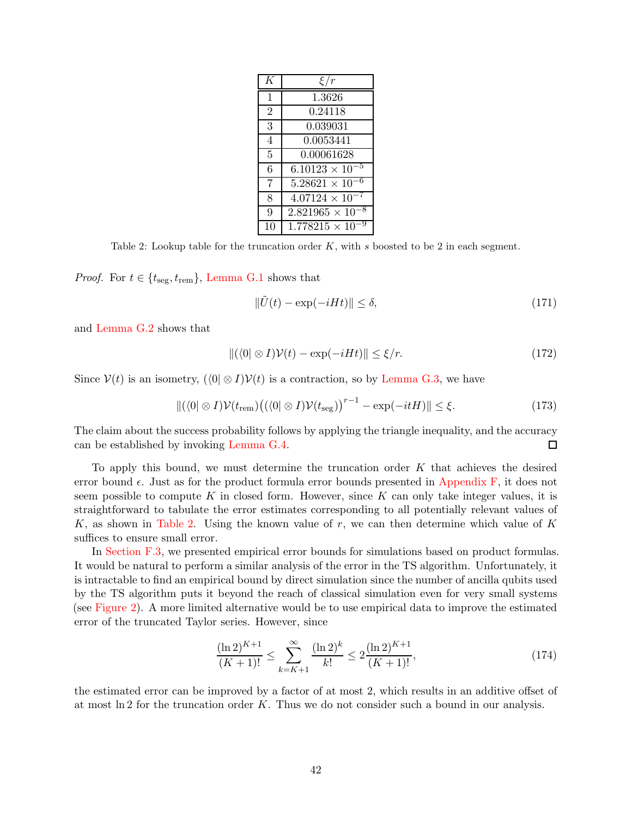<span id="page-41-0"></span>

| K              | $\xi/r$                   |
|----------------|---------------------------|
| $\mathbf{1}$   | 1.3626                    |
| $\overline{2}$ | 0.24118                   |
| 3              | 0.039031                  |
| 4              | 0.0053441                 |
| 5              | 0.00061628                |
| 6              | $6.10123 \times 10^{-5}$  |
| 7              | $5.28621 \times 10^{-6}$  |
| 8              | $4.07124 \times 10^{-7}$  |
| 9              | $2.821965 \times 10^{-7}$ |
| 10             | $1.778215 \times 10$      |

Table 2: Lookup table for the truncation order  $K$ , with s boosted to be 2 in each segment.

*Proof.* For  $t \in \{t_{\text{seg}}, t_{\text{rem}}\}$ , [Lemma G.1](#page-39-0) shows that

$$
\|\tilde{U}(t) - \exp(-iHt)\| \le \delta,\tag{171}
$$

and [Lemma G.2](#page-39-1) shows that

$$
\|(\langle 0| \otimes I)\mathcal{V}(t) - \exp(-iHt)\| \le \xi/r. \tag{172}
$$

Since  $\mathcal{V}(t)$  is an isometry,  $\left(\langle 0|\otimes I\right)\mathcal{V}(t)$  is a contraction, so by [Lemma G.3,](#page-40-1) we have

$$
\|(\langle 0| \otimes I) \mathcal{V}(t_{\text{rem}}) \big( (\langle 0| \otimes I) \mathcal{V}(t_{\text{seg}}) \big)^{r-1} - \exp(-itH) \| \leq \xi. \tag{173}
$$

The claim about the success probability follows by applying the triangle inequality, and the accuracy can be established by invoking [Lemma G.4.](#page-40-2) □

To apply this bound, we must determine the truncation order K that achieves the desired error bound  $\epsilon$ . Just as for the product formula error bounds presented in [Appendix F,](#page-22-0) it does not seem possible to compute K in closed form. However, since K can only take integer values, it is straightforward to tabulate the error estimates corresponding to all potentially relevant values of K, as shown in [Table 2.](#page-41-0) Using the known value of  $r$ , we can then determine which value of K suffices to ensure small error.

In [Section F.3,](#page-37-1) we presented empirical error bounds for simulations based on product formulas. It would be natural to perform a similar analysis of the error in the TS algorithm. Unfortunately, it is intractable to find an empirical bound by direct simulation since the number of ancilla qubits used by the TS algorithm puts it beyond the reach of classical simulation even for very small systems (see [Figure 2\)](#page-5-0). A more limited alternative would be to use empirical data to improve the estimated error of the truncated Taylor series. However, since

$$
\frac{(\ln 2)^{K+1}}{(K+1)!} \le \sum_{k=K+1}^{\infty} \frac{(\ln 2)^k}{k!} \le 2 \frac{(\ln 2)^{K+1}}{(K+1)!},\tag{174}
$$

the estimated error can be improved by a factor of at most 2, which results in an additive offset of at most  $\ln 2$  for the truncation order K. Thus we do not consider such a bound in our analysis.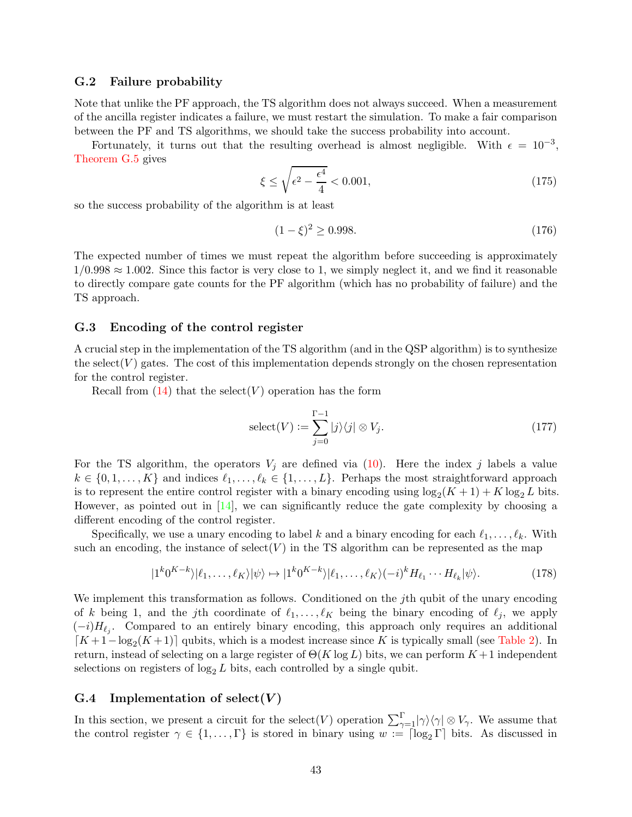#### <span id="page-42-0"></span>G.2 Failure probability

Note that unlike the PF approach, the TS algorithm does not always succeed. When a measurement of the ancilla register indicates a failure, we must restart the simulation. To make a fair comparison between the PF and TS algorithms, we should take the success probability into account.

Fortunately, it turns out that the resulting overhead is almost negligible. With  $\epsilon = 10^{-3}$ , [Theorem G.5](#page-40-3) gives

$$
\xi \le \sqrt{\epsilon^2 - \frac{\epsilon^4}{4}} < 0.001,\tag{175}
$$

so the success probability of the algorithm is at least

$$
(1 - \xi)^2 \ge 0.998. \tag{176}
$$

The expected number of times we must repeat the algorithm before succeeding is approximately  $1/0.998 \approx 1.002$ . Since this factor is very close to 1, we simply neglect it, and we find it reasonable to directly compare gate counts for the PF algorithm (which has no probability of failure) and the TS approach.

#### <span id="page-42-1"></span>G.3 Encoding of the control register

A crucial step in the implementation of the TS algorithm (and in the QSP algorithm) is to synthesize the select  $(V)$  gates. The cost of this implementation depends strongly on the chosen representation for the control register.

Recall from  $(14)$  that the select (V) operation has the form

<span id="page-42-3"></span>
$$
select(V) := \sum_{j=0}^{\Gamma-1} |j\rangle\langle j| \otimes V_j.
$$
\n(177)

For the TS algorithm, the operators  $V_j$  are defined via  $(10)$ . Here the index j labels a value  $k \in \{0, 1, \ldots, K\}$  and indices  $\ell_1, \ldots, \ell_k \in \{1, \ldots, L\}$ . Perhaps the most straightforward approach is to represent the entire control register with a binary encoding using  $\log_2(K+1) + K \log_2 L$  bits. However, as pointed out in  $[14]$ , we can significantly reduce the gate complexity by choosing a different encoding of the control register.

Specifically, we use a unary encoding to label k and a binary encoding for each  $\ell_1, \ldots, \ell_k$ . With such an encoding, the instance of  $select(V)$  in the TS algorithm can be represented as the map

$$
|1^{k}0^{K-k}\rangle|\ell_{1},\ldots,\ell_{K}\rangle|\psi\rangle \mapsto |1^{k}0^{K-k}\rangle|\ell_{1},\ldots,\ell_{K}\rangle(-i)^{k}H_{\ell_{1}}\cdots H_{\ell_{k}}|\psi\rangle. \tag{178}
$$

We implement this transformation as follows. Conditioned on the j<sup>th</sup> qubit of the unary encoding of k being 1, and the jth coordinate of  $\ell_1, \ldots, \ell_K$  being the binary encoding of  $\ell_j$ , we apply  $(-i)H_{\ell_j}$ . Compared to an entirely binary encoding, this approach only requires an additional  $\lceil K+1-\log_2(K+1) \rceil$  qubits, which is a modest increase since K is typically small (see [Table 2\)](#page-41-0). In return, instead of selecting on a large register of  $\Theta(K \log L)$  bits, we can perform  $K+1$  independent selections on registers of  $\log_2 L$  bits, each controlled by a single qubit.

#### <span id="page-42-2"></span> $G.4$  Implementation of select $(V)$

In this section, we present a circuit for the select (V) operation  $\sum_{\gamma=1}^{\Gamma} |\gamma\rangle \langle \gamma | \otimes V_{\gamma}$ . We assume that the control register  $\gamma \in \{1,\ldots,\Gamma\}$  is stored in binary using  $w := \lceil \log_2 \Gamma \rceil$  bits. As discussed in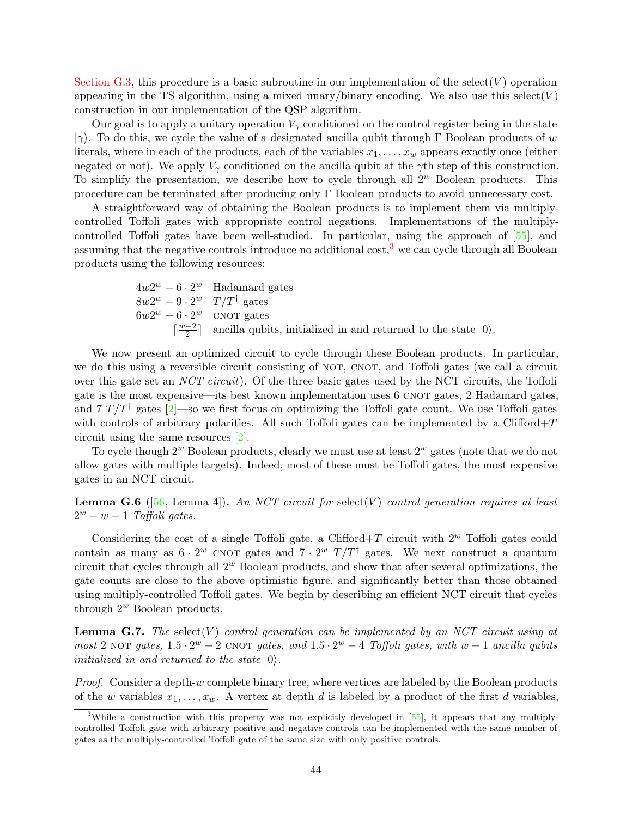[Section G.3,](#page-42-1) this procedure is a basic subroutine in our implementation of the select  $(V)$  operation appearing in the TS algorithm, using a mixed unary/binary encoding. We also use this select  $(V)$ construction in our implementation of the QSP algorithm.

Our goal is to apply a unitary operation  $V_{\gamma}$  conditioned on the control register being in the state  $|\gamma\rangle$ . To do this, we cycle the value of a designated ancilla qubit through Γ Boolean products of w literals, where in each of the products, each of the variables  $x_1, \ldots, x_w$  appears exactly once (either negated or not). We apply  $V_{\gamma}$  conditioned on the ancilla qubit at the  $\gamma$ th step of this construction. To simplify the presentation, we describe how to cycle through all  $2^w$  Boolean products. This procedure can be terminated after producing only Γ Boolean products to avoid unnecessary cost.

A straightforward way of obtaining the Boolean products is to implement them via multiplycontrolled Toffoli gates with appropriate control negations. Implementations of the multiplycontrolled Toffoli gates have been well-studied. In particular, using the approach of [\[55\]](#page-60-14), and assuming that the negative controls introduce no additional  $\cos t$ ,<sup>[3](#page-43-1)</sup> we can cycle through all Boolean products using the following resources:

$$
4w2^w - 6 \cdot 2^w
$$
 Hadamard gates  
\n
$$
8w2^w - 9 \cdot 2^w
$$
  $T/T^{\dagger}$  gates  
\n
$$
6w2^w - 6 \cdot 2^w
$$
 CNOT gates  
\n
$$
\lceil \frac{w-2}{2} \rceil
$$
 ancilla qubits, initialized in and returned to the state  $|0\rangle$ .

We now present an optimized circuit to cycle through these Boolean products. In particular, we do this using a reversible circuit consisting of NOT, CNOT, and Toffoli gates (we call a circuit over this gate set an NCT circuit). Of the three basic gates used by the NCT circuits, the Toffoli gate is the most expensive—its best known implementation uses 6 CNOT gates, 2 Hadamard gates, and 7  $T/T^{\dagger}$  gates [\[2](#page-56-2)]—so we first focus on optimizing the Toffoli gate count. We use Toffoli gates with controls of arbitrary polarities. All such Toffoli gates can be implemented by a  $Clifford+T$ circuit using the same resources [\[2\]](#page-56-2).

To cycle though  $2^w$  Boolean products, clearly we must use at least  $2^w$  gates (note that we do not allow gates with multiple targets). Indeed, most of these must be Toffoli gates, the most expensive gates in an NCT circuit.

<span id="page-43-2"></span>**Lemma G.6** ([\[56](#page-60-6), Lemma 4]). An NCT circuit for select(V) control generation requires at least  $2^w - w - 1$  Toffoli gates.

Considering the cost of a single Toffoli gate, a Clifford+T circuit with  $2^w$  Toffoli gates could contain as many as  $6 \cdot 2^w$  CNOT gates and  $7 \cdot 2^w$   $T/T^{\dagger}$  gates. We next construct a quantum circuit that cycles through all  $2^w$  Boolean products, and show that after several optimizations, the gate counts are close to the above optimistic figure, and significantly better than those obtained using multiply-controlled Toffoli gates. We begin by describing an efficient NCT circuit that cycles through  $2^w$  Boolean products.

<span id="page-43-0"></span>**Lemma G.7.** The select  $(V)$  control generation can be implemented by an NCT circuit using at most 2 NOT gates,  $1.5 \cdot 2^w - 2$  CNOT gates, and  $1.5 \cdot 2^w - 4$  Toffoli gates, with  $w - 1$  ancilla qubits initialized in and returned to the state  $|0\rangle$ .

Proof. Consider a depth-w complete binary tree, where vertices are labeled by the Boolean products of the w variables  $x_1, \ldots, x_w$ . A vertex at depth d is labeled by a product of the first d variables,

<span id="page-43-1"></span><sup>&</sup>lt;sup>3</sup>While a construction with this property was not explicitly developed in [\[55](#page-60-14)], it appears that any multiplycontrolled Toffoli gate with arbitrary positive and negative controls can be implemented with the same number of gates as the multiply-controlled Toffoli gate of the same size with only positive controls.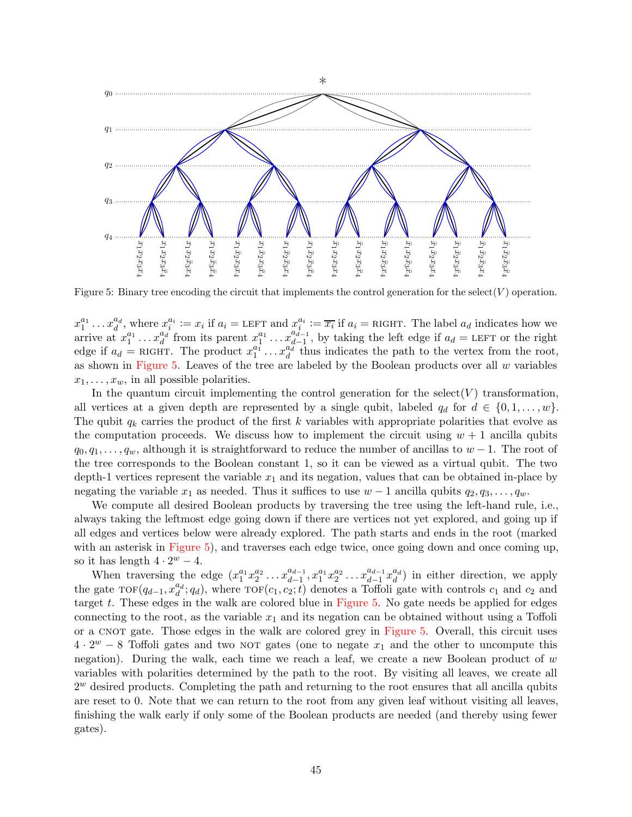<span id="page-44-0"></span>

Figure 5: Binary tree encoding the circuit that implements the control generation for the select( $V$ ) operation.

 $x_1^{a_1} \ldots x_d^{a_d}$ , where  $x_i^{a_i} := x_i$  if  $a_i =$  LEFT and  $x_i^{a_i} := \overline{x_i}$  if  $a_i =$  RIGHT. The label  $a_d$  indicates how we arrive at  $x_1^{a_1} \ldots x_d^{a_d}$  from its parent  $x_1^{a_1} \ldots x_{d-1}^{a_{d-1}}$  $\frac{a_{d-1}}{d-1}$ , by taking the left edge if  $a_d =$  LEFT or the right edge if  $a_d$  = RIGHT. The product  $x_1^{a_1} \dots x_d^{a_d}$  thus indicates the path to the vertex from the root, as shown in [Figure 5.](#page-44-0) Leaves of the tree are labeled by the Boolean products over all  $w$  variables  $x_1, \ldots, x_w$ , in all possible polarities.

In the quantum circuit implementing the control generation for the select  $(V)$  transformation, all vertices at a given depth are represented by a single qubit, labeled  $q_d$  for  $d \in \{0, 1, \ldots, w\}$ . The qubit  $q_k$  carries the product of the first k variables with appropriate polarities that evolve as the computation proceeds. We discuss how to implement the circuit using  $w + 1$  ancilla qubits  $q_0, q_1, \ldots, q_w$ , although it is straightforward to reduce the number of ancillas to  $w-1$ . The root of the tree corresponds to the Boolean constant 1, so it can be viewed as a virtual qubit. The two depth-1 vertices represent the variable  $x_1$  and its negation, values that can be obtained in-place by negating the variable  $x_1$  as needed. Thus it suffices to use  $w-1$  ancilla qubits  $q_2, q_3, \ldots, q_w$ .

We compute all desired Boolean products by traversing the tree using the left-hand rule, i.e., always taking the leftmost edge going down if there are vertices not yet explored, and going up if all edges and vertices below were already explored. The path starts and ends in the root (marked with an asterisk in [Figure 5\)](#page-44-0), and traverses each edge twice, once going down and once coming up, so it has length  $4 \cdot 2^w - 4$ .

When traversing the edge  $(x_1^{a_1}x_2^{a_2}\ldots x_{d-1}^{a_{d-1}})$  $a_{d-1}^{a_{d-1}}, x_1^{a_1} x_2^{a_2} \ldots x_{d-1}^{a_{d-1}}$  $\frac{a_{d-1}}{d-1}x_d^{a_d}$ ) in either direction, we apply the gate  $\text{TOF}(q_{d-1}, x_d^{a_d}; q_d)$ , where  $\text{TOF}(c_1, c_2; t)$  denotes a Toffoli gate with controls  $c_1$  and  $c_2$  and target t. These edges in the walk are colored blue in [Figure 5.](#page-44-0) No gate needs be applied for edges connecting to the root, as the variable  $x_1$  and its negation can be obtained without using a Toffoli or a CNOT gate. Those edges in the walk are colored grey in [Figure 5.](#page-44-0) Overall, this circuit uses  $4 \cdot 2^w - 8$  Toffoli gates and two NOT gates (one to negate  $x_1$  and the other to uncompute this negation). During the walk, each time we reach a leaf, we create a new Boolean product of  $w$ variables with polarities determined by the path to the root. By visiting all leaves, we create all  $2<sup>w</sup>$  desired products. Completing the path and returning to the root ensures that all ancilla qubits are reset to 0. Note that we can return to the root from any given leaf without visiting all leaves, finishing the walk early if only some of the Boolean products are needed (and thereby using fewer gates).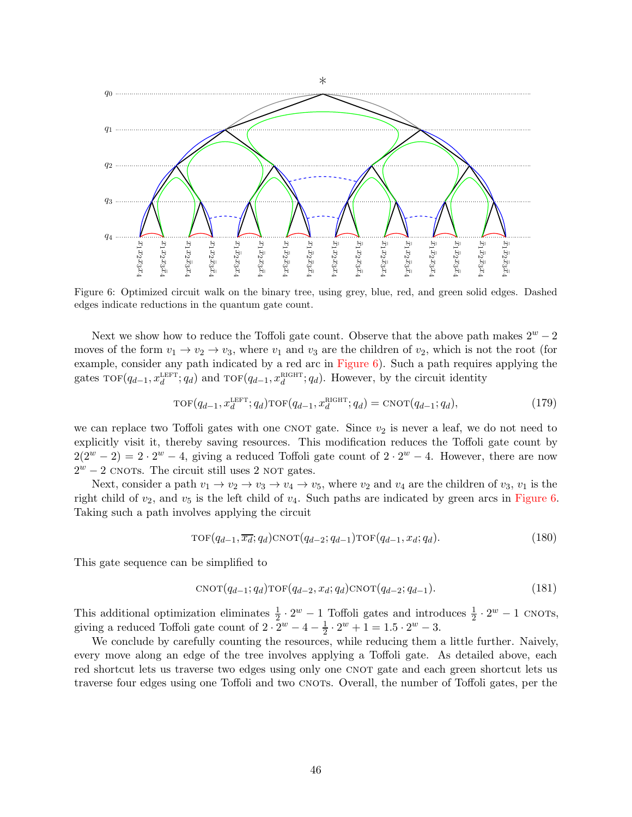<span id="page-45-0"></span>

Figure 6: Optimized circuit walk on the binary tree, using grey, blue, red, and green solid edges. Dashed edges indicate reductions in the quantum gate count.

Next we show how to reduce the Toffoli gate count. Observe that the above path makes  $2^w - 2$ moves of the form  $v_1 \to v_2 \to v_3$ , where  $v_1$  and  $v_3$  are the children of  $v_2$ , which is not the root (for example, consider any path indicated by a red arc in [Figure 6\)](#page-45-0). Such a path requires applying the gates  $\text{TOF}(q_{d-1}, x_d^{\text{LEFT}}; q_d)$  and  $\text{TOF}(q_{d-1}, x_d^{\text{RIGHT}}; q_d)$ . However, by the circuit identity

$$
\text{TOF}(q_{d-1}, x_d^{\text{LEFT}}; q_d) \text{TOF}(q_{d-1}, x_d^{\text{RIGHT}}; q_d) = \text{CNOT}(q_{d-1}; q_d),\tag{179}
$$

we can replace two Toffoli gates with one CNOT gate. Since  $v_2$  is never a leaf, we do not need to explicitly visit it, thereby saving resources. This modification reduces the Toffoli gate count by  $2(2^w - 2) = 2 \cdot 2^w - 4$ , giving a reduced Toffoli gate count of  $2 \cdot 2^w - 4$ . However, there are now  $2^w - 2$  CNOTs. The circuit still uses 2 NOT gates.

Next, consider a path  $v_1 \to v_2 \to v_3 \to v_4 \to v_5$ , where  $v_2$  and  $v_4$  are the children of  $v_3$ ,  $v_1$  is the right child of  $v_2$ , and  $v_5$  is the left child of  $v_4$ . Such paths are indicated by green arcs in [Figure 6.](#page-45-0) Taking such a path involves applying the circuit

$$
\text{TOF}(q_{d-1}, \overline{x_d}; q_d) \text{CNOT}(q_{d-2}; q_{d-1}) \text{TOF}(q_{d-1}, x_d; q_d). \tag{180}
$$

This gate sequence can be simplified to

$$
CNOT(q_{d-1}; q_d)TOF(q_{d-2}, x_d; q_d)CNOT(q_{d-2}; q_{d-1}).
$$
\n(181)

This additional optimization eliminates  $\frac{1}{2} \cdot 2^w - 1$  Toffoli gates and introduces  $\frac{1}{2} \cdot 2^w - 1$  CNOTs, giving a reduced Toffoli gate count of  $2 \cdot 2^w - 4 - \frac{1}{2}$  $\frac{1}{2} \cdot 2^w + 1 = 1.5 \cdot 2^w - 3.$ 

We conclude by carefully counting the resources, while reducing them a little further. Naively, every move along an edge of the tree involves applying a Toffoli gate. As detailed above, each red shortcut lets us traverse two edges using only one CNOT gate and each green shortcut lets us traverse four edges using one Toffoli and two CNOTS. Overall, the number of Toffoli gates, per the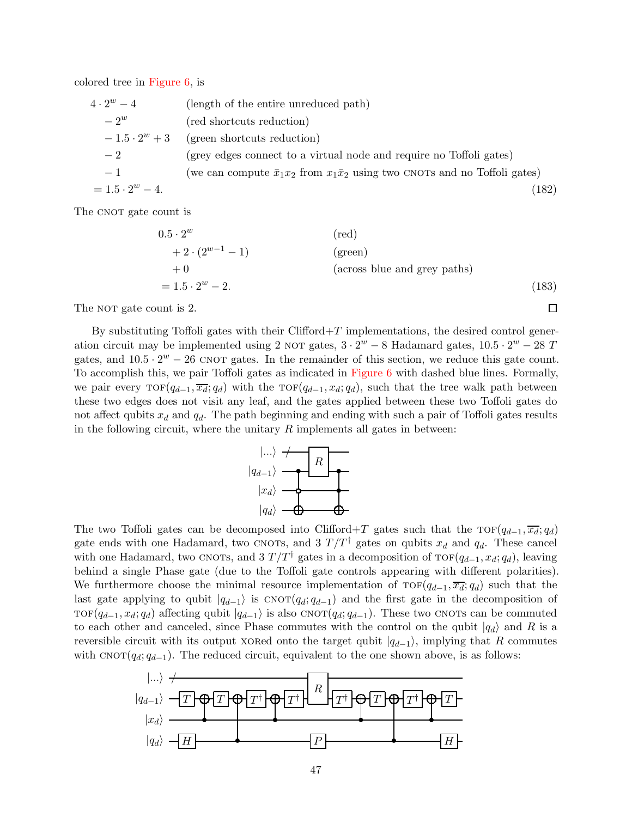colored tree in [Figure 6,](#page-45-0) is

| $4\cdot 2^w - 4$       | (length of the entire unreduced path)                                                      |
|------------------------|--------------------------------------------------------------------------------------------|
| $-2^w$                 | (red shortcuts reduction)                                                                  |
| $-1.5 \cdot 2^w + 3$   | (green shortcuts reduction)                                                                |
| $-2$                   | (grey edges connect to a virtual node and require no Toffoli gates)                        |
| $-1$                   | (we can compute $\bar{x}_1 x_2$ from $x_1 \bar{x}_2$ using two CNOTs and no Toffoli gates) |
| $= 1.5 \cdot 2^w - 4.$ | (182)                                                                                      |

The CNOT gate count is

$$
0.5 \cdot 2^{w}
$$
 (red)  
+2 \cdot (2<sup>w-1</sup> - 1) (green)  
+0 (across blue and grey paths)  
= 1.5 \cdot 2<sup>w</sup> - 2. (183)

 $\Box$ 

The NOT gate count is 2.

By substituting Toffoli gates with their Clifford $+T$  implementations, the desired control generation circuit may be implemented using 2 NOT gates,  $3 \cdot 2^w - 8$  Hadamard gates,  $10.5 \cdot 2^w - 28$  T gates, and  $10.5 \cdot 2^w - 26$  CNOT gates. In the remainder of this section, we reduce this gate count. To accomplish this, we pair Toffoli gates as indicated in [Figure 6](#page-45-0) with dashed blue lines. Formally, we pair every  $\text{TOF}(q_{d-1}, \overline{x_d}; q_d)$  with the  $\text{TOF}(q_{d-1}, x_d; q_d)$ , such that the tree walk path between these two edges does not visit any leaf, and the gates applied between these two Toffoli gates do not affect qubits  $x_d$  and  $q_d$ . The path beginning and ending with such a pair of Toffoli gates results in the following circuit, where the unitary  $R$  implements all gates in between:



The two Toffoli gates can be decomposed into Clifford+T gates such that the  $\text{TOF}(q_{d-1}, \overline{x_d}; q_d)$ gate ends with one Hadamard, two CNOTs, and 3  $T/T^{\dagger}$  gates on qubits  $x_d$  and  $q_d$ . These cancel with one Hadamard, two CNOTs, and  $3 T/T^{\dagger}$  gates in a decomposition of TOF( $q_{d-1}, x_d; q_d$ ), leaving behind a single Phase gate (due to the Toffoli gate controls appearing with different polarities). We furthermore choose the minimal resource implementation of  $\text{TOF}(q_{d-1}, \overline{x_d}; q_d)$  such that the last gate applying to qubit  $|q_{d-1}\rangle$  is  $CNOT(q_d; q_{d-1})$  and the first gate in the decomposition of TOF( $q_{d-1}, x_d; q_d$ ) affecting qubit  $|q_{d-1}\rangle$  is also CNOT( $q_d; q_{d-1}$ ). These two CNOTs can be commuted to each other and canceled, since Phase commutes with the control on the qubit  $|q_d\rangle$  and R is a reversible circuit with its output xored onto the target qubit  $|q_{d-1}\rangle$ , implying that R commutes with  $CNOT(q_d; q_{d-1})$ . The reduced circuit, equivalent to the one shown above, is as follows:

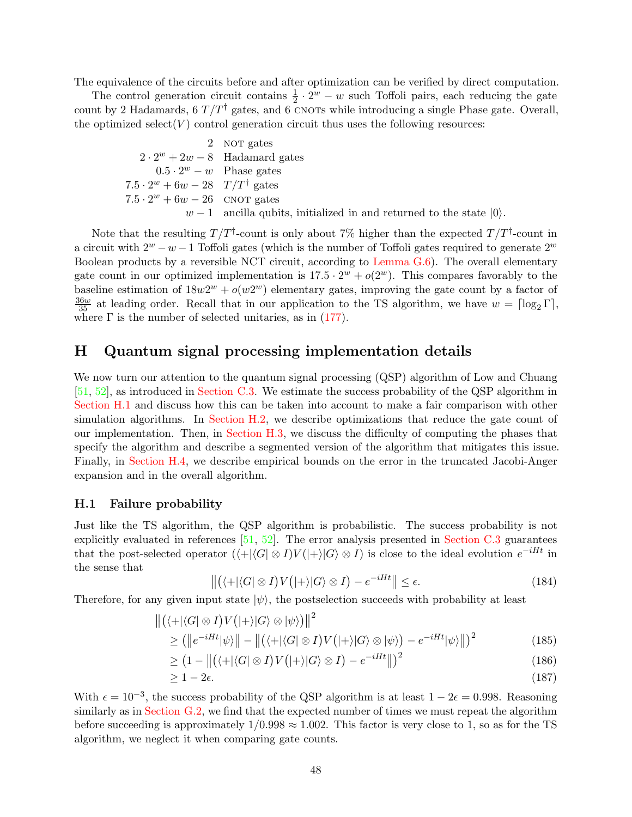The equivalence of the circuits before and after optimization can be verified by direct computation.

The control generation circuit contains  $\frac{1}{2} \cdot 2^w - w$  such Toffoli pairs, each reducing the gate count by 2 Hadamards, 6  $T/T^{\dagger}$  gates, and 6 CNOTs while introducing a single Phase gate. Overall, the optimized select  $(V)$  control generation circuit thus uses the following resources:

> 2 NOT gates  $2 \cdot 2^w + 2w - 8$  Hadamard gates  $0.5 \cdot 2^w - w$  Phase gates  $7.5 \cdot 2^w + 6w - 28 \quad T/T^{\dagger}$  gates  $7.5 \cdot 2^w + 6w - 26$  CNOT gates  $w - 1$  ancilla qubits, initialized in and returned to the state  $|0\rangle$ .

Note that the resulting  $T/T^{\dagger}$ -count is only about 7% higher than the expected  $T/T^{\dagger}$ -count in a circuit with  $2^w - w - 1$  Toffoli gates (which is the number of Toffoli gates required to generate  $2^w$ Boolean products by a reversible NCT circuit, according to Lemma  $G(6)$ . The overall elementary gate count in our optimized implementation is  $17.5 \cdot 2^w + o(2^w)$ . This compares favorably to the baseline estimation of  $18w2^w + o(w2^w)$  elementary gates, improving the gate count by a factor of  $\frac{36w}{35}$  at leading order. Recall that in our application to the TS algorithm, we have  $w = \lceil \log_2 \Gamma \rceil$ , where  $\Gamma$  is the number of selected unitaries, as in [\(177\)](#page-42-3).

### <span id="page-47-0"></span>H Quantum signal processing implementation details

We now turn our attention to the quantum signal processing (QSP) algorithm of Low and Chuang [\[51,](#page-60-2) [52](#page-60-3)], as introduced in [Section C.3.](#page-15-0) We estimate the success probability of the QSP algorithm in [Section H.1](#page-47-1) and discuss how this can be taken into account to make a fair comparison with other simulation algorithms. In [Section H.2,](#page-48-0) we describe optimizations that reduce the gate count of our implementation. Then, in [Section H.3,](#page-48-1) we discuss the difficulty of computing the phases that specify the algorithm and describe a segmented version of the algorithm that mitigates this issue. Finally, in [Section H.4,](#page-50-0) we describe empirical bounds on the error in the truncated Jacobi-Anger expansion and in the overall algorithm.

#### <span id="page-47-1"></span>H.1 Failure probability

Just like the TS algorithm, the QSP algorithm is probabilistic. The success probability is not explicitly evaluated in references [\[51](#page-60-2), [52](#page-60-3)]. The error analysis presented in [Section C.3](#page-15-0) guarantees that the post-selected operator  $(\langle + | \langle G | \otimes I \rangle V ( | + \rangle | G \rangle \otimes I)$  is close to the ideal evolution  $e^{-iHt}$  in the sense that

$$
\left\| \left( \langle + | \langle G | \otimes I \rangle V ( | + \rangle | G \rangle \otimes I \right) - e^{-iHt} \right\| \le \epsilon.
$$
 (184)

Therefore, for any given input state  $|\psi\rangle$ , the postselection succeeds with probability at least

$$
\left\| \left( \langle + | \langle G | \otimes I \rangle V ( | + \rangle | G \rangle \otimes | \psi \rangle \right) \right\|^2 \ge \left( \left\| e^{-iHt} | \psi \rangle \right\| - \left\| \left( \langle + | \langle G | \otimes I \rangle V ( | + \rangle | G \rangle \otimes | \psi \rangle \right) - e^{-iHt} | \psi \rangle \right\| \right)^2 \tag{185}
$$

$$
\geq \left(1 - \left\|\left(\langle +|\langle G|\otimes I\rangle V(|+\rangle|G\rangle \otimes I)\right) - e^{-iHt}\right\|\right)^2\tag{186}
$$

$$
\geq 1 - 2\epsilon. \tag{187}
$$

With  $\epsilon = 10^{-3}$ , the success probability of the QSP algorithm is at least  $1 - 2\epsilon = 0.998$ . Reasoning similarly as in [Section G.2,](#page-42-0) we find that the expected number of times we must repeat the algorithm before succeeding is approximately  $1/0.998 \approx 1.002$ . This factor is very close to 1, so as for the TS algorithm, we neglect it when comparing gate counts.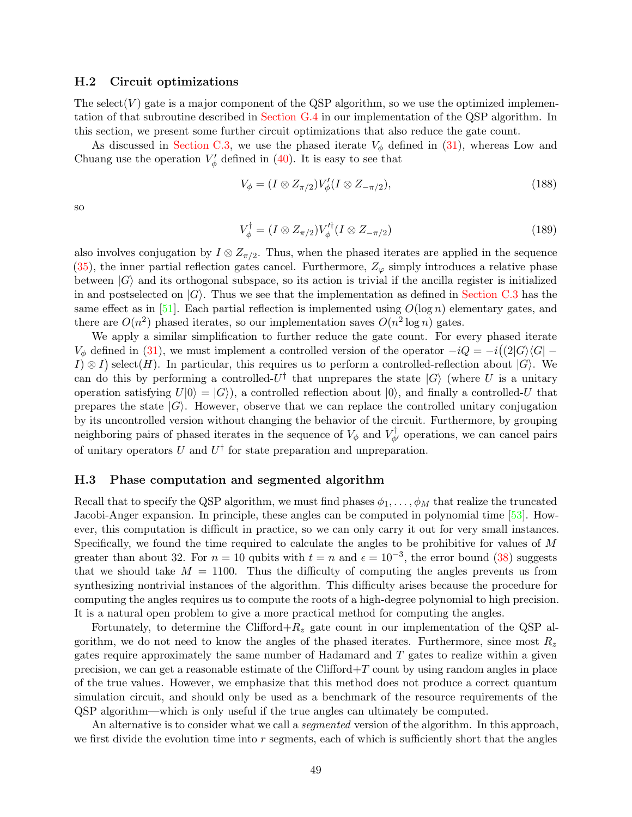#### <span id="page-48-0"></span>H.2 Circuit optimizations

The select  $(V)$  gate is a major component of the QSP algorithm, so we use the optimized implementation of that subroutine described in [Section G.4](#page-42-2) in our implementation of the QSP algorithm. In this section, we present some further circuit optimizations that also reduce the gate count.

As discussed in [Section C.3,](#page-15-0) we use the phased iterate  $V_{\phi}$  defined in [\(31\)](#page-15-1), whereas Low and Chuang use the operation  $V'_{\phi}$  defined in [\(40\)](#page-16-0). It is easy to see that

$$
V_{\phi} = (I \otimes Z_{\pi/2}) V_{\phi}' (I \otimes Z_{-\pi/2}), \qquad (188)
$$

so

$$
V_{\phi}^{\dagger} = (I \otimes Z_{\pi/2}) V_{\phi}^{\prime \dagger} (I \otimes Z_{-\pi/2}) \tag{189}
$$

also involves conjugation by  $I \otimes Z_{\pi/2}$ . Thus, when the phased iterates are applied in the sequence  $(35)$ , the inner partial reflection gates cancel. Furthermore,  $Z_{\varphi}$  simply introduces a relative phase between  $|G\rangle$  and its orthogonal subspace, so its action is trivial if the ancilla register is initialized in and postselected on  $|G\rangle$ . Thus we see that the implementation as defined in [Section C.3](#page-15-0) has the same effect as in  $[51]$ . Each partial reflection is implemented using  $O(\log n)$  elementary gates, and there are  $O(n^2)$  phased iterates, so our implementation saves  $O(n^2 \log n)$  gates.

We apply a similar simplification to further reduce the gate count. For every phased iterate  $V_{\phi}$  defined in [\(31\)](#page-15-1), we must implement a controlled version of the operator  $-iQ = -i((2|G)\langle G| I(\mathcal{A}) \otimes I$  select $(H)$ . In particular, this requires us to perform a controlled-reflection about  $|G\rangle$ . We can do this by performing a controlled- $U^{\dagger}$  that unprepares the state  $|G\rangle$  (where U is a unitary operation satisfying  $U|0\rangle = |G\rangle$ , a controlled reflection about  $|0\rangle$ , and finally a controlled-U that prepares the state  $|G\rangle$ . However, observe that we can replace the controlled unitary conjugation by its uncontrolled version without changing the behavior of the circuit. Furthermore, by grouping neighboring pairs of phased iterates in the sequence of  $V_{\phi}$  and  $V_{\phi'}^{\dagger}$  operations, we can cancel pairs of unitary operators U and  $U^{\dagger}$  for state preparation and unpreparation.

#### <span id="page-48-1"></span>H.3 Phase computation and segmented algorithm

Recall that to specify the QSP algorithm, we must find phases  $\phi_1, \ldots, \phi_M$  that realize the truncated Jacobi-Anger expansion. In principle, these angles can be computed in polynomial time [\[53](#page-60-13)]. However, this computation is difficult in practice, so we can only carry it out for very small instances. Specifically, we found the time required to calculate the angles to be prohibitive for values of M greater than about 32. For  $n = 10$  qubits with  $t = n$  and  $\epsilon = 10^{-3}$ , the error bound  $(38)$  suggests that we should take  $M = 1100$ . Thus the difficulty of computing the angles prevents us from synthesizing nontrivial instances of the algorithm. This difficulty arises because the procedure for computing the angles requires us to compute the roots of a high-degree polynomial to high precision. It is a natural open problem to give a more practical method for computing the angles.

Fortunately, to determine the Clifford+ $R_z$  gate count in our implementation of the QSP algorithm, we do not need to know the angles of the phased iterates. Furthermore, since most  $R_z$ gates require approximately the same number of Hadamard and  $T$  gates to realize within a given precision, we can get a reasonable estimate of the Clifford $+T$  count by using random angles in place of the true values. However, we emphasize that this method does not produce a correct quantum simulation circuit, and should only be used as a benchmark of the resource requirements of the QSP algorithm—which is only useful if the true angles can ultimately be computed.

An alternative is to consider what we call a *segmented* version of the algorithm. In this approach, we first divide the evolution time into  $r$  segments, each of which is sufficiently short that the angles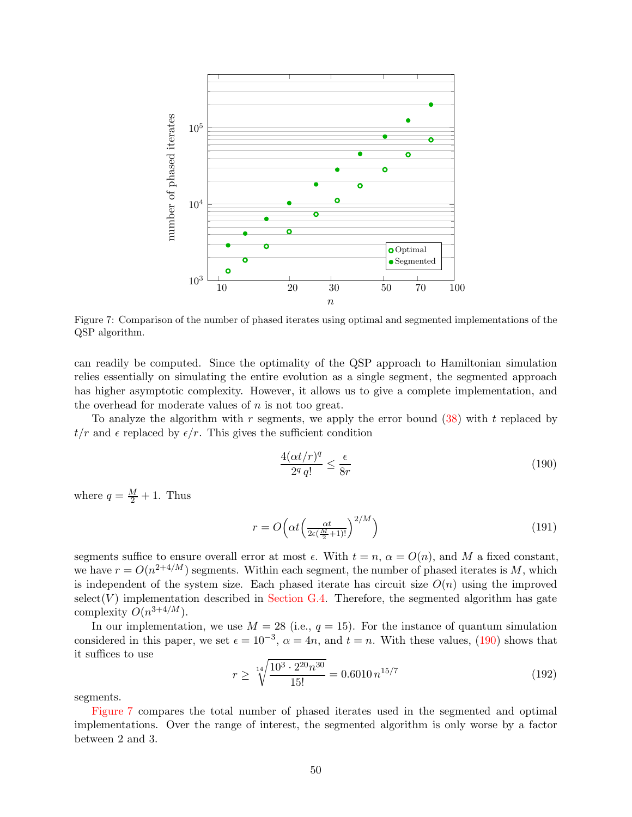<span id="page-49-1"></span>

Figure 7: Comparison of the number of phased iterates using optimal and segmented implementations of the QSP algorithm.

can readily be computed. Since the optimality of the QSP approach to Hamiltonian simulation relies essentially on simulating the entire evolution as a single segment, the segmented approach has higher asymptotic complexity. However, it allows us to give a complete implementation, and the overhead for moderate values of  $n$  is not too great.

To analyze the algorithm with  $r$  segments, we apply the error bound  $(38)$  with  $t$  replaced by  $t/r$  and  $\epsilon$  replaced by  $\epsilon/r$ . This gives the sufficient condition

<span id="page-49-0"></span>
$$
\frac{4(\alpha t/r)^q}{2^q q!} \le \frac{\epsilon}{8r} \tag{190}
$$

where  $q = \frac{M}{2} + 1$ . Thus

$$
r = O\left(\alpha t \left(\frac{\alpha t}{2\epsilon(\frac{M}{2}+1)!}\right)^{2/M}\right)
$$
\n(191)

segments suffice to ensure overall error at most  $\epsilon$ . With  $t = n$ ,  $\alpha = O(n)$ , and M a fixed constant, we have  $r = O(n^{2+4/M})$  segments. Within each segment, the number of phased iterates is M, which is independent of the system size. Each phased iterate has circuit size  $O(n)$  using the improved  $select(V)$  implementation described in [Section G.4.](#page-42-2) Therefore, the segmented algorithm has gate complexity  $O(n^{3+4/M})$ .

In our implementation, we use  $M = 28$  (i.e.,  $q = 15$ ). For the instance of quantum simulation considered in this paper, we set  $\epsilon = 10^{-3}$ ,  $\alpha = 4n$ , and  $t = n$ . With these values, [\(190\)](#page-49-0) shows that it suffices to use

$$
r \ge \sqrt[14]{\frac{10^3 \cdot 2^{20} n^{30}}{15!}} = 0.6010 n^{15/7}
$$
\n(192)

segments.

[Figure 7](#page-49-1) compares the total number of phased iterates used in the segmented and optimal implementations. Over the range of interest, the segmented algorithm is only worse by a factor between 2 and 3.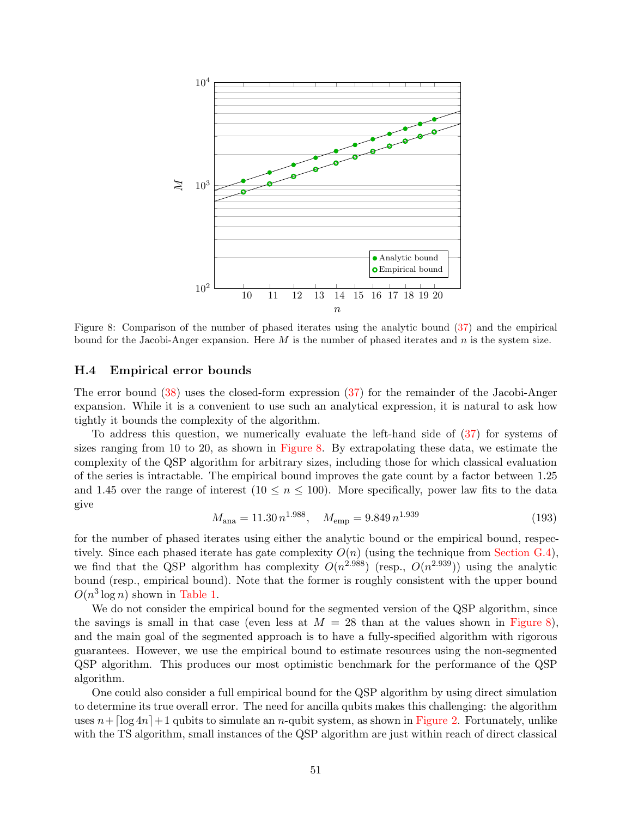<span id="page-50-1"></span>

Figure 8: Comparison of the number of phased iterates using the analytic bound [\(37\)](#page-16-3) and the empirical bound for the Jacobi-Anger expansion. Here  $M$  is the number of phased iterates and  $n$  is the system size.

#### <span id="page-50-0"></span>H.4 Empirical error bounds

The error bound [\(38\)](#page-16-2) uses the closed-form expression [\(37\)](#page-16-3) for the remainder of the Jacobi-Anger expansion. While it is a convenient to use such an analytical expression, it is natural to ask how tightly it bounds the complexity of the algorithm.

To address this question, we numerically evaluate the left-hand side of [\(37\)](#page-16-3) for systems of sizes ranging from 10 to 20, as shown in [Figure 8.](#page-50-1) By extrapolating these data, we estimate the complexity of the QSP algorithm for arbitrary sizes, including those for which classical evaluation of the series is intractable. The empirical bound improves the gate count by a factor between 1.25 and 1.45 over the range of interest  $(10 \le n \le 100)$ . More specifically, power law fits to the data give

<span id="page-50-2"></span>
$$
M_{\text{ana}} = 11.30 n^{1.988}, \quad M_{\text{emp}} = 9.849 n^{1.939} \tag{193}
$$

for the number of phased iterates using either the analytic bound or the empirical bound, respectively. Since each phased iterate has gate complexity  $O(n)$  (using the technique from [Section G.4\)](#page-42-2). we find that the QSP algorithm has complexity  $O(n^{2.988})$  (resp.,  $O(n^{2.939})$ ) using the analytic bound (resp., empirical bound). Note that the former is roughly consistent with the upper bound  $O(n^3 \log n)$  shown in [Table 1.](#page-2-0)

We do not consider the empirical bound for the segmented version of the QSP algorithm, since the savings is small in that case (even less at  $M = 28$  than at the values shown in [Figure 8\)](#page-50-1). and the main goal of the segmented approach is to have a fully-specified algorithm with rigorous guarantees. However, we use the empirical bound to estimate resources using the non-segmented QSP algorithm. This produces our most optimistic benchmark for the performance of the QSP algorithm.

One could also consider a full empirical bound for the QSP algorithm by using direct simulation to determine its true overall error. The need for ancilla qubits makes this challenging: the algorithm uses  $n+[\log 4n]+1$  qubits to simulate an n-qubit system, as shown in [Figure 2.](#page-5-0) Fortunately, unlike with the TS algorithm, small instances of the QSP algorithm are just within reach of direct classical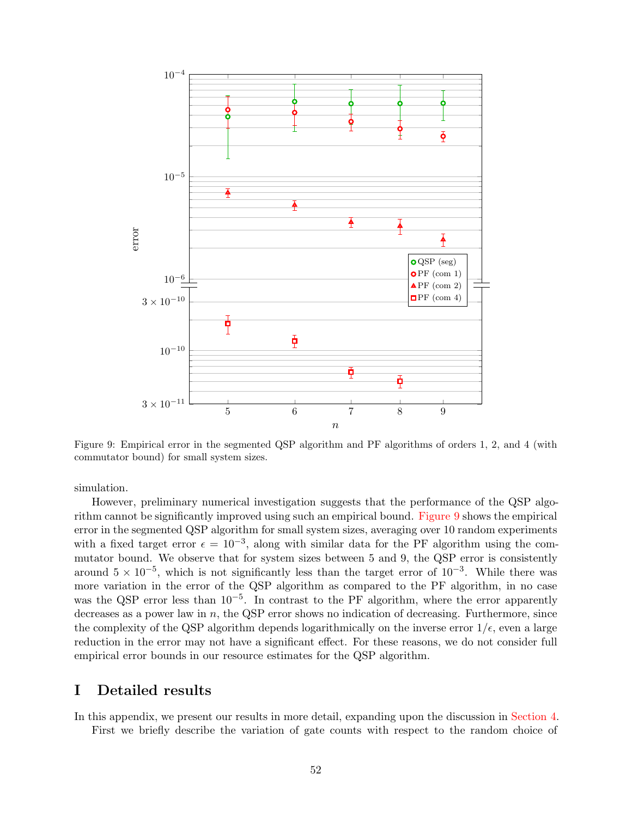<span id="page-51-1"></span>

Figure 9: Empirical error in the segmented QSP algorithm and PF algorithms of orders 1, 2, and 4 (with commutator bound) for small system sizes.

simulation.

However, preliminary numerical investigation suggests that the performance of the QSP algorithm cannot be significantly improved using such an empirical bound. [Figure 9](#page-51-1) shows the empirical error in the segmented QSP algorithm for small system sizes, averaging over 10 random experiments with a fixed target error  $\epsilon = 10^{-3}$ , along with similar data for the PF algorithm using the commutator bound. We observe that for system sizes between 5 and 9, the QSP error is consistently around  $5 \times 10^{-5}$ , which is not significantly less than the target error of  $10^{-3}$ . While there was more variation in the error of the QSP algorithm as compared to the PF algorithm, in no case was the QSP error less than 10<sup>-5</sup>. In contrast to the PF algorithm, where the error apparently decreases as a power law in  $n$ , the QSP error shows no indication of decreasing. Furthermore, since the complexity of the QSP algorithm depends logarithmically on the inverse error  $1/\epsilon$ , even a large reduction in the error may not have a significant effect. For these reasons, we do not consider full empirical error bounds in our resource estimates for the QSP algorithm.

### <span id="page-51-0"></span>I Detailed results

In this appendix, we present our results in more detail, expanding upon the discussion in [Section 4.](#page-4-1) First we briefly describe the variation of gate counts with respect to the random choice of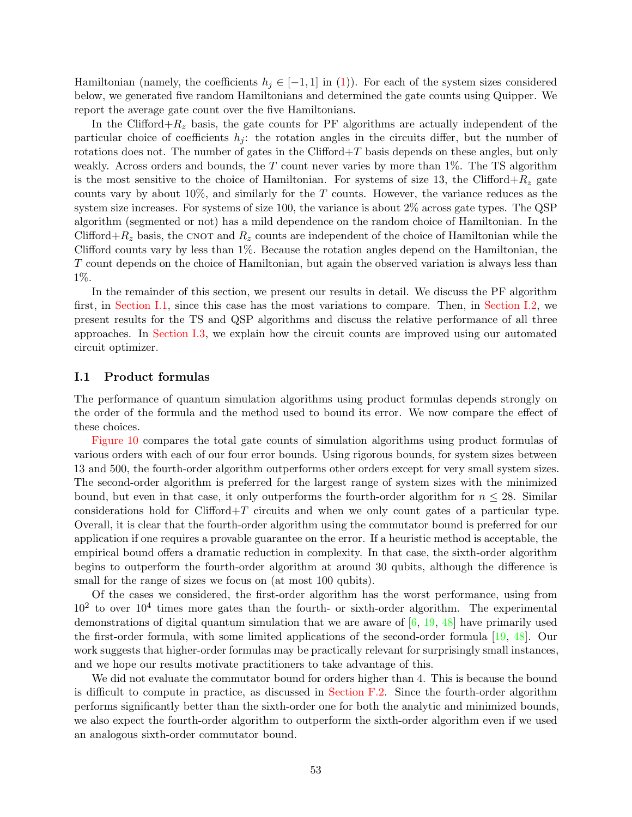Hamiltonian (namely, the coefficients  $h_j \in [-1,1]$  in [\(1\)](#page-1-0)). For each of the system sizes considered below, we generated five random Hamiltonians and determined the gate counts using Quipper. We report the average gate count over the five Hamiltonians.

In the Clifford+ $R_z$  basis, the gate counts for PF algorithms are actually independent of the particular choice of coefficients  $h_j$ : the rotation angles in the circuits differ, but the number of rotations does not. The number of gates in the Clifford $+T$  basis depends on these angles, but only weakly. Across orders and bounds, the  $T$  count never varies by more than  $1\%$ . The TS algorithm is the most sensitive to the choice of Hamiltonian. For systems of size 13, the Clifford+ $R_z$  gate counts vary by about  $10\%$ , and similarly for the T counts. However, the variance reduces as the system size increases. For systems of size 100, the variance is about 2% across gate types. The QSP algorithm (segmented or not) has a mild dependence on the random choice of Hamiltonian. In the Clifford+ $R_z$  basis, the CNOT and  $R_z$  counts are independent of the choice of Hamiltonian while the Clifford counts vary by less than 1%. Because the rotation angles depend on the Hamiltonian, the T count depends on the choice of Hamiltonian, but again the observed variation is always less than 1%.

In the remainder of this section, we present our results in detail. We discuss the PF algorithm first, in [Section I.1,](#page-52-0) since this case has the most variations to compare. Then, in [Section I.2,](#page-54-0) we present results for the TS and QSP algorithms and discuss the relative performance of all three approaches. In [Section I.3,](#page-55-0) we explain how the circuit counts are improved using our automated circuit optimizer.

#### <span id="page-52-0"></span>I.1 Product formulas

The performance of quantum simulation algorithms using product formulas depends strongly on the order of the formula and the method used to bound its error. We now compare the effect of these choices.

[Figure 10](#page-53-0) compares the total gate counts of simulation algorithms using product formulas of various orders with each of our four error bounds. Using rigorous bounds, for system sizes between 13 and 500, the fourth-order algorithm outperforms other orders except for very small system sizes. The second-order algorithm is preferred for the largest range of system sizes with the minimized bound, but even in that case, it only outperforms the fourth-order algorithm for  $n \leq 28$ . Similar considerations hold for Clifford+T circuits and when we only count gates of a particular type. Overall, it is clear that the fourth-order algorithm using the commutator bound is preferred for our application if one requires a provable guarantee on the error. If a heuristic method is acceptable, the empirical bound offers a dramatic reduction in complexity. In that case, the sixth-order algorithm begins to outperform the fourth-order algorithm at around 30 qubits, although the difference is small for the range of sizes we focus on (at most 100 qubits).

Of the cases we considered, the first-order algorithm has the worst performance, using from  $10<sup>2</sup>$  to over  $10<sup>4</sup>$  times more gates than the fourth- or sixth-order algorithm. The experimental demonstrations of digital quantum simulation that we are aware of  $[6, 19, 48]$  $[6, 19, 48]$  $[6, 19, 48]$  $[6, 19, 48]$  $[6, 19, 48]$  have primarily used the first-order formula, with some limited applications of the second-order formula [\[19](#page-58-4), [48\]](#page-60-9). Our work suggests that higher-order formulas may be practically relevant for surprisingly small instances, and we hope our results motivate practitioners to take advantage of this.

We did not evaluate the commutator bound for orders higher than 4. This is because the bound is difficult to compute in practice, as discussed in [Section F.2.](#page-25-0) Since the fourth-order algorithm performs significantly better than the sixth-order one for both the analytic and minimized bounds, we also expect the fourth-order algorithm to outperform the sixth-order algorithm even if we used an analogous sixth-order commutator bound.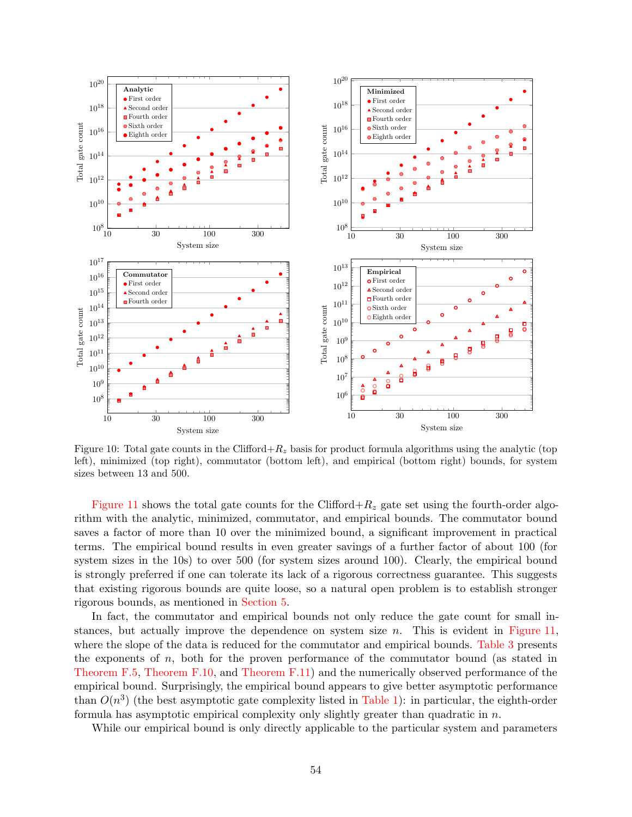<span id="page-53-0"></span>

Figure 10: Total gate counts in the Clifford+ $R_z$  basis for product formula algorithms using the analytic (top left), minimized (top right), commutator (bottom left), and empirical (bottom right) bounds, for system sizes between 13 and 500.

[Figure 11](#page-54-1) shows the total gate counts for the Clifford+ $R_z$  gate set using the fourth-order algorithm with the analytic, minimized, commutator, and empirical bounds. The commutator bound saves a factor of more than 10 over the minimized bound, a significant improvement in practical terms. The empirical bound results in even greater savings of a further factor of about 100 (for system sizes in the 10s) to over 500 (for system sizes around 100). Clearly, the empirical bound is strongly preferred if one can tolerate its lack of a rigorous correctness guarantee. This suggests that existing rigorous bounds are quite loose, so a natural open problem is to establish stronger rigorous bounds, as mentioned in [Section 5.](#page-6-1)

In fact, the commutator and empirical bounds not only reduce the gate count for small instances, but actually improve the dependence on system size  $n$ . This is evident in [Figure 11,](#page-54-1) where the slope of the data is reduced for the commutator and empirical bounds. [Table 3](#page-54-2) presents the exponents of  $n$ , both for the proven performance of the commutator bound (as stated in [Theorem F.5,](#page-26-2) [Theorem F.10,](#page-35-1) and [Theorem F.11\)](#page-36-0) and the numerically observed performance of the empirical bound. Surprisingly, the empirical bound appears to give better asymptotic performance than  $O(n^3)$  (the best asymptotic gate complexity listed in [Table 1\)](#page-2-0): in particular, the eighth-order formula has asymptotic empirical complexity only slightly greater than quadratic in  $n$ .

While our empirical bound is only directly applicable to the particular system and parameters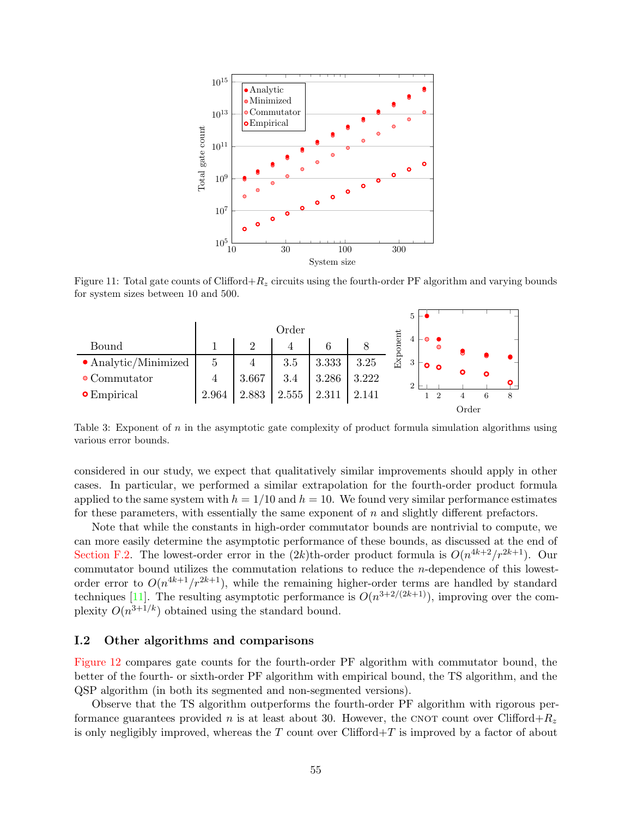<span id="page-54-1"></span>

<span id="page-54-2"></span>Figure 11: Total gate counts of Clifford+ $R_z$  circuits using the fourth-order PF algorithm and varying bounds for system sizes between 10 and 500.

|                              |                |       |       |       |       |      | 5             |          |       |   |   |
|------------------------------|----------------|-------|-------|-------|-------|------|---------------|----------|-------|---|---|
|                              | Order          |       |       |       |       |      |               |          |       |   |   |
| Bound                        |                | າ     | 4     | 6     |       | ment | 4             | $\circ$  |       |   |   |
| $\bullet$ Analytic/Minimized | 5              | 4     | 3.5   | 3.333 | 3.25  | ExI  | 3             | $\Omega$ |       |   |   |
| $\bullet$ Commutator         | $\overline{4}$ | 3.667 | 3.4   | 3.286 | 3.222 |      | $\mathcal{D}$ |          | ົ     | ∩ |   |
| $\bullet$ Empirical          | 2.964          | 2.883 | 2.555 | 2.311 | 2.141 |      |               |          |       | 6 | 8 |
|                              |                |       |       |       |       |      |               |          | Order |   |   |

Table 3: Exponent of n in the asymptotic gate complexity of product formula simulation algorithms using various error bounds.

considered in our study, we expect that qualitatively similar improvements should apply in other cases. In particular, we performed a similar extrapolation for the fourth-order product formula applied to the same system with  $h = 1/10$  and  $h = 10$ . We found very similar performance estimates for these parameters, with essentially the same exponent of n and slightly different prefactors.

Note that while the constants in high-order commutator bounds are nontrivial to compute, we can more easily determine the asymptotic performance of these bounds, as discussed at the end of [Section F.2.](#page-25-0) The lowest-order error in the  $(2k)$ th-order product formula is  $O(n^{4k+2}/r^{2k+1})$ . Our commutator bound utilizes the commutation relations to reduce the n-dependence of this lowestorder error to  $O(n^{4k+1}/r^{2k+1})$ , while the remaining higher-order terms are handled by standard techniques [\[11](#page-57-1)]. The resulting asymptotic performance is  $O(n^{3+2/(2k+1)})$ , improving over the complexity  $O(n^{3+1/k})$  obtained using the standard bound.

#### <span id="page-54-0"></span>I.2 Other algorithms and comparisons

[Figure 12](#page-56-3) compares gate counts for the fourth-order PF algorithm with commutator bound, the better of the fourth- or sixth-order PF algorithm with empirical bound, the TS algorithm, and the QSP algorithm (in both its segmented and non-segmented versions).

Observe that the TS algorithm outperforms the fourth-order PF algorithm with rigorous performance guarantees provided n is at least about 30. However, the CNOT count over Clifford+ $R_z$ is only negligibly improved, whereas the  $T$  count over Clifford $+T$  is improved by a factor of about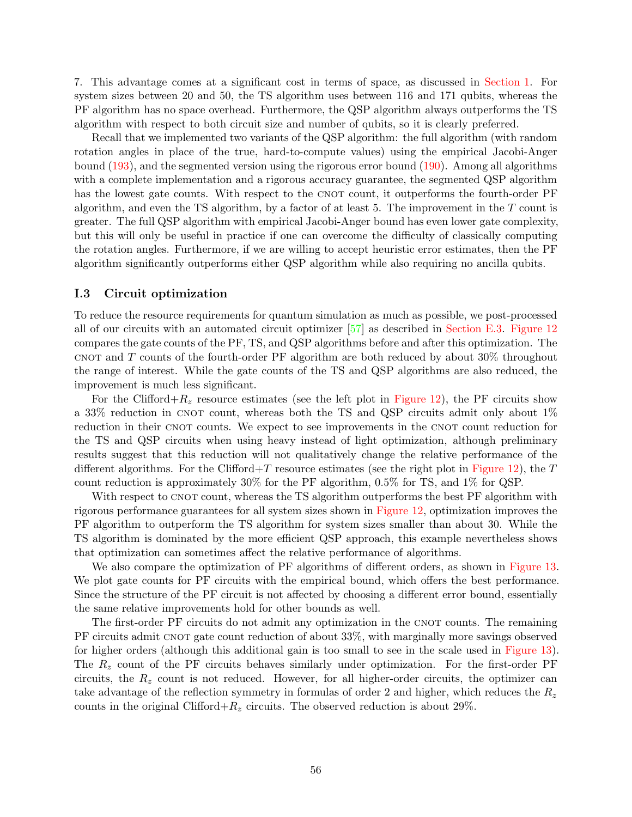7. This advantage comes at a significant cost in terms of space, as discussed in [Section 1.](#page-0-0) For system sizes between 20 and 50, the TS algorithm uses between 116 and 171 qubits, whereas the PF algorithm has no space overhead. Furthermore, the QSP algorithm always outperforms the TS algorithm with respect to both circuit size and number of qubits, so it is clearly preferred.

Recall that we implemented two variants of the QSP algorithm: the full algorithm (with random rotation angles in place of the true, hard-to-compute values) using the empirical Jacobi-Anger bound [\(193\)](#page-50-2), and the segmented version using the rigorous error bound [\(190\)](#page-49-0). Among all algorithms with a complete implementation and a rigorous accuracy guarantee, the segmented QSP algorithm has the lowest gate counts. With respect to the CNOT count, it outperforms the fourth-order PF algorithm, and even the TS algorithm, by a factor of at least 5. The improvement in the  $T$  count is greater. The full QSP algorithm with empirical Jacobi-Anger bound has even lower gate complexity, but this will only be useful in practice if one can overcome the difficulty of classically computing the rotation angles. Furthermore, if we are willing to accept heuristic error estimates, then the PF algorithm significantly outperforms either QSP algorithm while also requiring no ancilla qubits.

#### <span id="page-55-0"></span>I.3 Circuit optimization

To reduce the resource requirements for quantum simulation as much as possible, we post-processed all of our circuits with an automated circuit optimizer [\[57](#page-60-5)] as described in [Section E.3.](#page-21-0) [Figure 12](#page-56-3) compares the gate counts of the PF, TS, and QSP algorithms before and after this optimization. The CNOT and  $T$  counts of the fourth-order PF algorithm are both reduced by about  $30\%$  throughout the range of interest. While the gate counts of the TS and QSP algorithms are also reduced, the improvement is much less significant.

For the Clifford+ $R_z$  resource estimates (see the left plot in [Figure 12\)](#page-56-3), the PF circuits show a 33% reduction in CNOT count, whereas both the TS and QSP circuits admit only about  $1\%$ reduction in their CNOT counts. We expect to see improvements in the CNOT count reduction for the TS and QSP circuits when using heavy instead of light optimization, although preliminary results suggest that this reduction will not qualitatively change the relative performance of the different algorithms. For the Clifford $+T$  resource estimates (see the right plot in [Figure 12\)](#page-56-3), the T count reduction is approximately 30% for the PF algorithm, 0.5% for TS, and 1% for QSP.

With respect to CNOT count, whereas the TS algorithm outperforms the best PF algorithm with rigorous performance guarantees for all system sizes shown in [Figure 12,](#page-56-3) optimization improves the PF algorithm to outperform the TS algorithm for system sizes smaller than about 30. While the TS algorithm is dominated by the more efficient QSP approach, this example nevertheless shows that optimization can sometimes affect the relative performance of algorithms.

We also compare the optimization of PF algorithms of different orders, as shown in [Figure 13.](#page-56-4) We plot gate counts for PF circuits with the empirical bound, which offers the best performance. Since the structure of the PF circuit is not affected by choosing a different error bound, essentially the same relative improvements hold for other bounds as well.

The first-order PF circuits do not admit any optimization in the CNOT counts. The remaining PF circuits admit CNOT gate count reduction of about 33%, with marginally more savings observed for higher orders (although this additional gain is too small to see in the scale used in [Figure 13\)](#page-56-4). The  $R_z$  count of the PF circuits behaves similarly under optimization. For the first-order PF circuits, the  $R<sub>z</sub>$  count is not reduced. However, for all higher-order circuits, the optimizer can take advantage of the reflection symmetry in formulas of order 2 and higher, which reduces the  $R_z$ counts in the original Clifford+ $R_z$  circuits. The observed reduction is about 29%.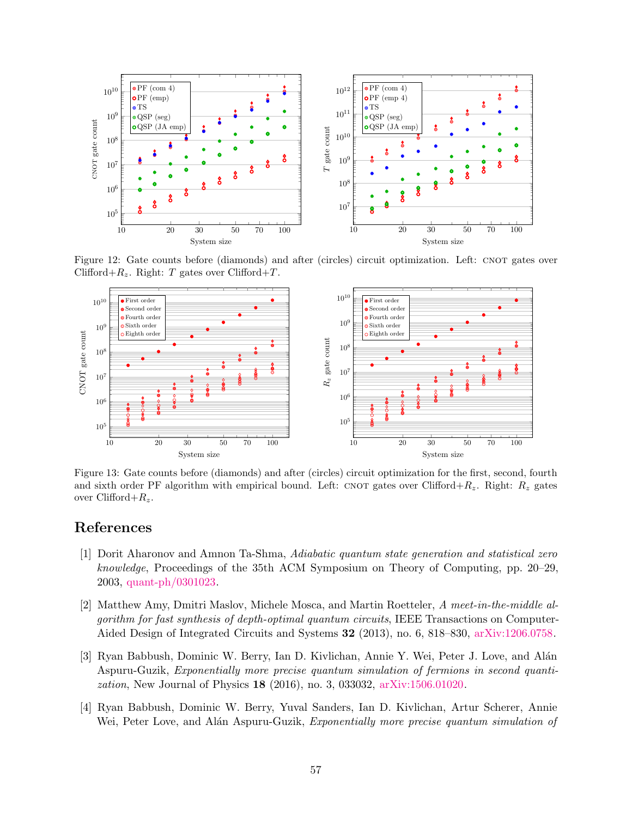<span id="page-56-3"></span>

Figure 12: Gate counts before (diamonds) and after (circles) circuit optimization. Left: CNOT gates over Clifford+ $R_z$ . Right: T gates over Clifford+T.

<span id="page-56-4"></span>

Figure 13: Gate counts before (diamonds) and after (circles) circuit optimization for the first, second, fourth and sixth order PF algorithm with empirical bound. Left: CNOT gates over Clifford+ $R_z$ . Right:  $R_z$  gates over Clifford+ $R_z$ .

### References

- <span id="page-56-0"></span>[1] Dorit Aharonov and Amnon Ta-Shma, Adiabatic quantum state generation and statistical zero knowledge, Proceedings of the 35th ACM Symposium on Theory of Computing, pp. 20–29, 2003, [quant-ph/0301023.](http://arxiv.org/abs/quant-ph/0301023)
- <span id="page-56-2"></span>[2] Matthew Amy, Dmitri Maslov, Michele Mosca, and Martin Roetteler, A meet-in-the-middle algorithm for fast synthesis of depth-optimal quantum circuits, IEEE Transactions on Computer-Aided Design of Integrated Circuits and Systems 32 (2013), no. 6, 818–830, [arXiv:1206.0758.](http://arxiv.org/abs/arXiv:1206.0758)
- <span id="page-56-1"></span>[3] Ryan Babbush, Dominic W. Berry, Ian D. Kivlichan, Annie Y. Wei, Peter J. Love, and Alán Aspuru-Guzik, Exponentially more precise quantum simulation of fermions in second quantization, New Journal of Physics 18 (2016), no. 3, 033032, [arXiv:1506.01020.](http://arxiv.org/abs/arXiv:1506.01020)
- [4] Ryan Babbush, Dominic W. Berry, Yuval Sanders, Ian D. Kivlichan, Artur Scherer, Annie Wei, Peter Love, and Alán Aspuru-Guzik, *Exponentially more precise quantum simulation of*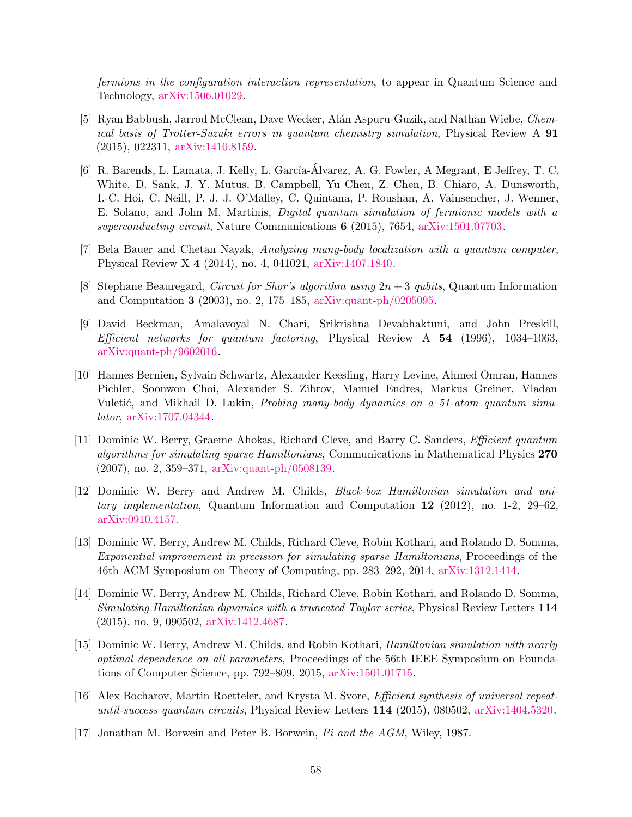fermions in the configuration interaction representation, to appear in Quantum Science and Technology, [arXiv:1506.01029.](http://arxiv.org/abs/arXiv:1506.01029)

- <span id="page-57-6"></span>[5] Ryan Babbush, Jarrod McClean, Dave Wecker, Alán Aspuru-Guzik, and Nathan Wiebe, Chemical basis of Trotter-Suzuki errors in quantum chemistry simulation, Physical Review A 91 (2015), 022311, [arXiv:1410.8159.](http://arxiv.org/abs/arXiv:1410.8159)
- <span id="page-57-7"></span>[6] R. Barends, L. Lamata, J. Kelly, L. García-Álvarez, A. G. Fowler, A Megrant, E Jeffrey, T. C. White, D. Sank, J. Y. Mutus, B. Campbell, Yu Chen, Z. Chen, B. Chiaro, A. Dunsworth, I.-C. Hoi, C. Neill, P. J. J. O'Malley, C. Quintana, P. Roushan, A. Vainsencher, J. Wenner, E. Solano, and John M. Martinis, Digital quantum simulation of fermionic models with a superconducting circuit, Nature Communications 6 (2015), 7654, [arXiv:1501.07703.](http://arxiv.org/abs/arXiv:1501.07703)
- <span id="page-57-10"></span>[7] Bela Bauer and Chetan Nayak, Analyzing many-body localization with a quantum computer, Physical Review X 4 (2014), no. 4, 041021, [arXiv:1407.1840.](http://arxiv.org/abs/arXiv:1407.1840)
- <span id="page-57-8"></span>[8] Stephane Beauregard, *Circuit for Shor's algorithm using*  $2n + 3$  *qubits*, Quantum Information and Computation 3 (2003), no. 2, 175–185, [arXiv:quant-ph/0205095.](http://arxiv.org/abs/arXiv:quant-ph/0205095)
- <span id="page-57-9"></span>[9] David Beckman, Amalavoyal N. Chari, Srikrishna Devabhaktuni, and John Preskill, Efficient networks for quantum factoring, Physical Review  $A$  54 (1996), 1034–1063, [arXiv:quant-ph/9602016.](http://arxiv.org/abs/arXiv:quant-ph/9602016)
- <span id="page-57-0"></span>[10] Hannes Bernien, Sylvain Schwartz, Alexander Keesling, Harry Levine, Ahmed Omran, Hannes Pichler, Soonwon Choi, Alexander S. Zibrov, Manuel Endres, Markus Greiner, Vladan Vuletić, and Mikhail D. Lukin, *Probing many-body dynamics on a 51-atom quantum simu*lator, [arXiv:1707.04344.](http://arxiv.org/abs/arXiv:1707.04344)
- <span id="page-57-1"></span>[11] Dominic W. Berry, Graeme Ahokas, Richard Cleve, and Barry C. Sanders, Efficient quantum algorithms for simulating sparse Hamiltonians, Communications in Mathematical Physics 270 (2007), no. 2, 359–371, [arXiv:quant-ph/0508139.](http://arxiv.org/abs/arXiv:quant-ph/0508139)
- <span id="page-57-2"></span>[12] Dominic W. Berry and Andrew M. Childs, Black-box Hamiltonian simulation and unitary implementation, Quantum Information and Computation  $12$  (2012), no. 1-2, 29–62. [arXiv:0910.4157.](http://arxiv.org/abs/arXiv:0910.4157)
- <span id="page-57-4"></span>[13] Dominic W. Berry, Andrew M. Childs, Richard Cleve, Robin Kothari, and Rolando D. Somma, Exponential improvement in precision for simulating sparse Hamiltonians, Proceedings of the 46th ACM Symposium on Theory of Computing, pp. 283–292, 2014, [arXiv:1312.1414.](http://arxiv.org/abs/arXiv:1312.1414)
- <span id="page-57-3"></span>[14] Dominic W. Berry, Andrew M. Childs, Richard Cleve, Robin Kothari, and Rolando D. Somma, Simulating Hamiltonian dynamics with a truncated Taylor series, Physical Review Letters 114 (2015), no. 9, 090502, [arXiv:1412.4687.](http://arxiv.org/abs/arXiv:1412.4687)
- <span id="page-57-5"></span>[15] Dominic W. Berry, Andrew M. Childs, and Robin Kothari, Hamiltonian simulation with nearly optimal dependence on all parameters, Proceedings of the 56th IEEE Symposium on Foundations of Computer Science, pp. 792–809, 2015, [arXiv:1501.01715.](http://arxiv.org/abs/arXiv:1501.01715)
- <span id="page-57-12"></span>[16] Alex Bocharov, Martin Roetteler, and Krysta M. Svore, Efficient synthesis of universal repeatuntil-success quantum circuits, Physical Review Letters 114 (2015), 080502, [arXiv:1404.5320.](http://arxiv.org/abs/arXiv:1404.5320)
- <span id="page-57-11"></span>[17] Jonathan M. Borwein and Peter B. Borwein, Pi and the AGM, Wiley, 1987.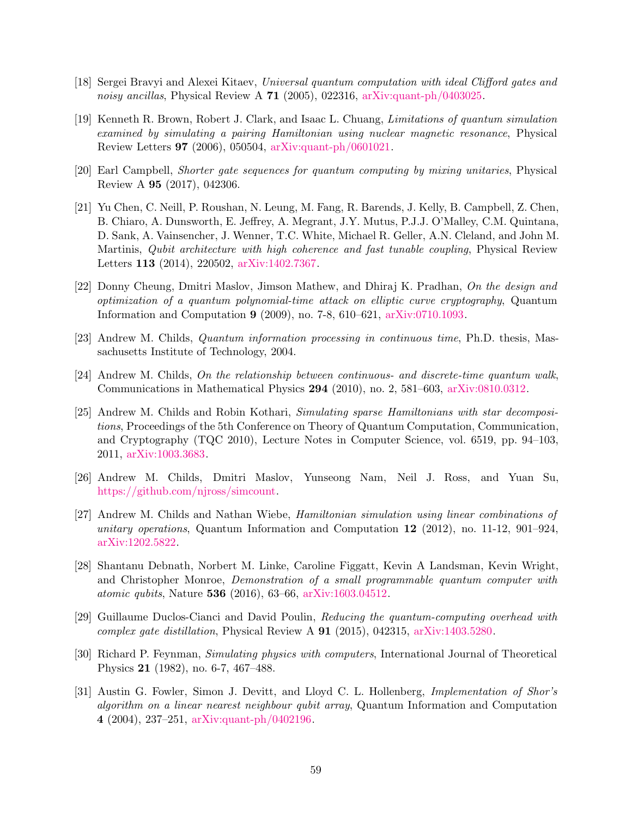- <span id="page-58-12"></span>[18] Sergei Bravyi and Alexei Kitaev, Universal quantum computation with ideal Clifford gates and noisy ancillas, Physical Review A 71 (2005), 022316, [arXiv:quant-ph/0403025.](http://arxiv.org/abs/arXiv:quant-ph/0403025)
- <span id="page-58-4"></span>[19] Kenneth R. Brown, Robert J. Clark, and Isaac L. Chuang, Limitations of quantum simulation examined by simulating a pairing Hamiltonian using nuclear magnetic resonance, Physical Review Letters 97 (2006), 050504, [arXiv:quant-ph/0601021.](http://arxiv.org/abs/arXiv:quant-ph/0601021)
- <span id="page-58-11"></span>[20] Earl Campbell, Shorter gate sequences for quantum computing by mixing unitaries, Physical Review A 95 (2017), 042306.
- <span id="page-58-0"></span>[21] Yu Chen, C. Neill, P. Roushan, N. Leung, M. Fang, R. Barends, J. Kelly, B. Campbell, Z. Chen, B. Chiaro, A. Dunsworth, E. Jeffrey, A. Megrant, J.Y. Mutus, P.J.J. O'Malley, C.M. Quintana, D. Sank, A. Vainsencher, J. Wenner, T.C. White, Michael R. Geller, A.N. Cleland, and John M. Martinis, Qubit architecture with high coherence and fast tunable coupling, Physical Review Letters 113 (2014), 220502, [arXiv:1402.7367.](http://arxiv.org/abs/arXiv:1402.7367)
- <span id="page-58-8"></span>[22] Donny Cheung, Dmitri Maslov, Jimson Mathew, and Dhiraj K. Pradhan, On the design and optimization of a quantum polynomial-time attack on elliptic curve cryptography, Quantum Information and Computation 9 (2009), no. 7-8, 610–621, [arXiv:0710.1093.](http://arxiv.org/abs/arXiv:0710.1093)
- <span id="page-58-5"></span>[23] Andrew M. Childs, Quantum information processing in continuous time, Ph.D. thesis, Massachusetts Institute of Technology, 2004.
- <span id="page-58-9"></span>[24] Andrew M. Childs, On the relationship between continuous- and discrete-time quantum walk, Communications in Mathematical Physics 294 (2010), no. 2, 581–603, [arXiv:0810.0312.](http://arxiv.org/abs/arXiv:0810.0312)
- <span id="page-58-6"></span>[25] Andrew M. Childs and Robin Kothari, Simulating sparse Hamiltonians with star decompositions, Proceedings of the 5th Conference on Theory of Quantum Computation, Communication, and Cryptography (TQC 2010), Lecture Notes in Computer Science, vol. 6519, pp. 94–103, 2011, [arXiv:1003.3683.](http://arxiv.org/abs/arXiv:1003.3683)
- <span id="page-58-3"></span>[26] Andrew M. Childs, Dmitri Maslov, Yunseong Nam, Neil J. Ross, and Yuan Su, [https://github.com/njross/simcount.](https://github.com/njross/simcount)
- <span id="page-58-10"></span>[27] Andrew M. Childs and Nathan Wiebe, Hamiltonian simulation using linear combinations of unitary operations, Quantum Information and Computation  $12$  (2012), no. 11-12, 901–924, [arXiv:1202.5822.](http://arxiv.org/abs/arXiv:1202.5822)
- <span id="page-58-1"></span>[28] Shantanu Debnath, Norbert M. Linke, Caroline Figgatt, Kevin A Landsman, Kevin Wright, and Christopher Monroe, Demonstration of a small programmable quantum computer with atomic qubits, Nature 536 (2016), 63–66, [arXiv:1603.04512.](http://arxiv.org/abs/arXiv:1603.04512)
- <span id="page-58-13"></span>[29] Guillaume Duclos-Cianci and David Poulin, Reducing the quantum-computing overhead with complex gate distillation, Physical Review A 91 (2015), 042315, [arXiv:1403.5280.](http://arxiv.org/abs/arXiv:1403.5280)
- <span id="page-58-2"></span>[30] Richard P. Feynman, Simulating physics with computers, International Journal of Theoretical Physics 21 (1982), no. 6-7, 467–488.
- <span id="page-58-7"></span>[31] Austin G. Fowler, Simon J. Devitt, and Lloyd C. L. Hollenberg, Implementation of Shor's algorithm on a linear nearest neighbour qubit array, Quantum Information and Computation 4 (2004), 237–251, [arXiv:quant-ph/0402196.](http://arxiv.org/abs/arXiv:quant-ph/0402196)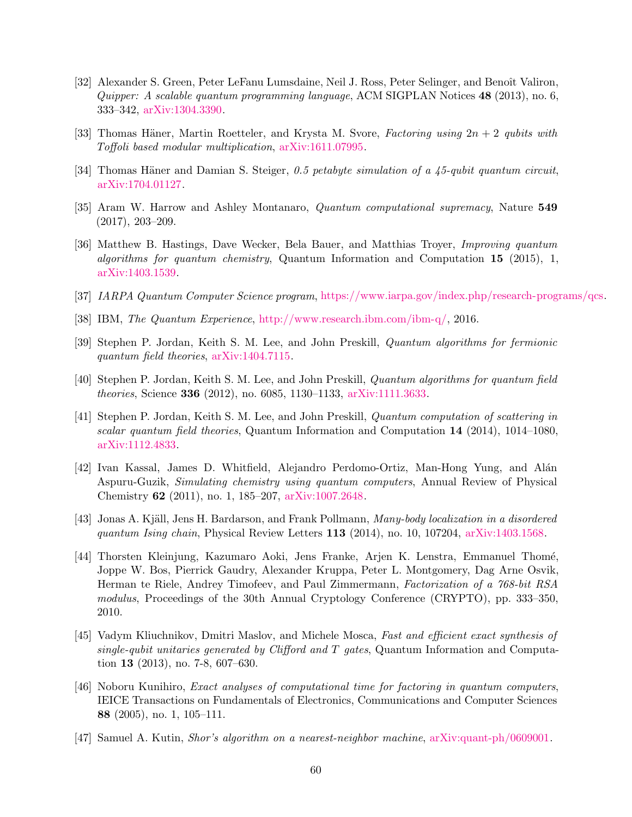- <span id="page-59-3"></span>[32] Alexander S. Green, Peter LeFanu Lumsdaine, Neil J. Ross, Peter Selinger, and Benoît Valiron, Quipper: A scalable quantum programming language, ACM SIGPLAN Notices 48 (2013), no. 6, 333–342, [arXiv:1304.3390.](http://arxiv.org/abs/arXiv:1304.3390)
- <span id="page-59-12"></span>[33] Thomas Häner, Martin Roetteler, and Krysta M. Svore, Factoring using  $2n + 2$  qubits with Toffoli based modular multiplication, [arXiv:1611.07995.](http://arxiv.org/abs/arXiv:1611.07995)
- <span id="page-59-4"></span>[34] Thomas Häner and Damian S. Steiger,  $0.5$  petabyte simulation of a 45-qubit quantum circuit, [arXiv:1704.01127.](http://arxiv.org/abs/arXiv:1704.01127)
- <span id="page-59-1"></span>[35] Aram W. Harrow and Ashley Montanaro, Quantum computational supremacy, Nature 549 (2017), 203–209.
- <span id="page-59-7"></span>[36] Matthew B. Hastings, Dave Wecker, Bela Bauer, and Matthias Troyer, Improving quantum algorithms for quantum chemistry, Quantum Information and Computation  $15$  (2015), 1, [arXiv:1403.1539.](http://arxiv.org/abs/arXiv:1403.1539)
- <span id="page-59-11"></span>[37] IARPA Quantum Computer Science program, [https://www.iarpa.gov/index.php/research-programs/qcs.](https://www.iarpa.gov/index.php/research-programs/qcs)
- <span id="page-59-0"></span>[38] IBM, The Quantum Experience, [http://www.research.ibm.com/ibm-q/,](http://www.research.ibm.com/ibm-q/) 2016.
- <span id="page-59-9"></span>[39] Stephen P. Jordan, Keith S. M. Lee, and John Preskill, Quantum algorithms for fermionic quantum field theories, [arXiv:1404.7115.](http://arxiv.org/abs/arXiv:1404.7115)
- <span id="page-59-2"></span>[40] Stephen P. Jordan, Keith S. M. Lee, and John Preskill, Quantum algorithms for quantum field theories, Science 336 (2012), no. 6085, 1130–1133, [arXiv:1111.3633.](http://arxiv.org/abs/arXiv:1111.3633)
- <span id="page-59-10"></span>[41] Stephen P. Jordan, Keith S. M. Lee, and John Preskill, Quantum computation of scattering in scalar quantum field theories, Quantum Information and Computation  $14$  (2014), 1014–1080, [arXiv:1112.4833.](http://arxiv.org/abs/arXiv:1112.4833)
- <span id="page-59-8"></span>[42] Ivan Kassal, James D. Whitfield, Alejandro Perdomo-Ortiz, Man-Hong Yung, and Al´an Aspuru-Guzik, Simulating chemistry using quantum computers, Annual Review of Physical Chemistry 62 (2011), no. 1, 185–207, [arXiv:1007.2648.](http://arxiv.org/abs/arXiv:1007.2648)
- <span id="page-59-14"></span>[43] Jonas A. Kjäll, Jens H. Bardarson, and Frank Pollmann, *Many-body localization in a disordered* quantum Ising chain, Physical Review Letters  $113$  (2014), no. 10, 107204, [arXiv:1403.1568.](http://arxiv.org/abs/arXiv:1403.1568)
- <span id="page-59-5"></span>[44] Thorsten Kleinjung, Kazumaro Aoki, Jens Franke, Arjen K. Lenstra, Emmanuel Thom´e, Joppe W. Bos, Pierrick Gaudry, Alexander Kruppa, Peter L. Montgomery, Dag Arne Osvik, Herman te Riele, Andrey Timofeev, and Paul Zimmermann, Factorization of a 768-bit RSA modulus, Proceedings of the 30th Annual Cryptology Conference (CRYPTO), pp. 333–350, 2010.
- <span id="page-59-15"></span>[45] Vadym Kliuchnikov, Dmitri Maslov, and Michele Mosca, Fast and efficient exact synthesis of single-qubit unitaries generated by Clifford and  $T$  gates, Quantum Information and Computation 13 (2013), no. 7-8, 607–630.
- <span id="page-59-13"></span>[46] Noboru Kunihiro, Exact analyses of computational time for factoring in quantum computers, IEICE Transactions on Fundamentals of Electronics, Communications and Computer Sciences 88 (2005), no. 1, 105–111.
- <span id="page-59-6"></span>[47] Samuel A. Kutin, Shor's algorithm on a nearest-neighbor machine, [arXiv:quant-ph/0609001.](http://arxiv.org/abs/arXiv:quant-ph/0609001)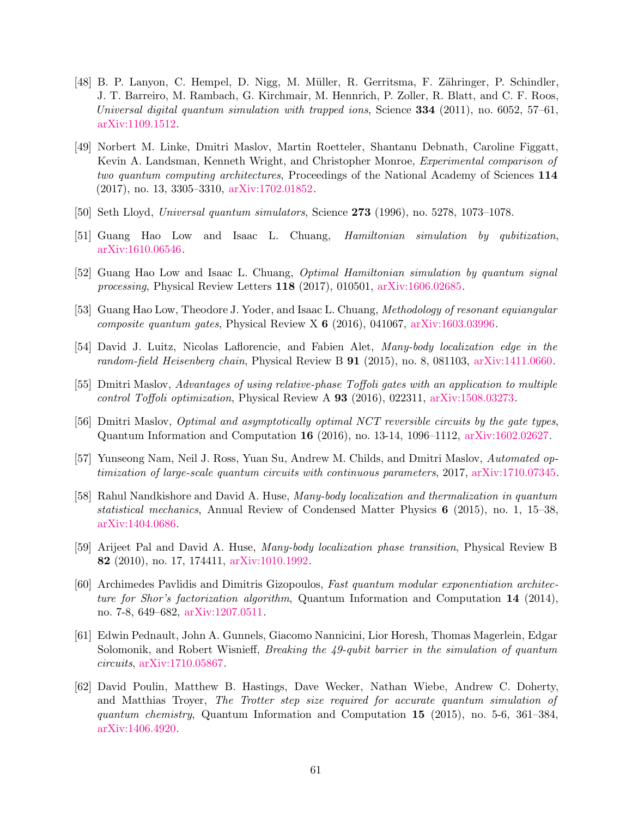- <span id="page-60-9"></span>[48] B. P. Lanyon, C. Hempel, D. Nigg, M. M¨uller, R. Gerritsma, F. Z¨ahringer, P. Schindler, J. T. Barreiro, M. Rambach, G. Kirchmair, M. Hennrich, P. Zoller, R. Blatt, and C. F. Roos, Universal digital quantum simulation with trapped ions, Science  $334$  (2011), no. 6052, 57–61, [arXiv:1109.1512.](http://arxiv.org/abs/arXiv:1109.1512)
- <span id="page-60-0"></span>[49] Norbert M. Linke, Dmitri Maslov, Martin Roetteler, Shantanu Debnath, Caroline Figgatt, Kevin A. Landsman, Kenneth Wright, and Christopher Monroe, Experimental comparison of two quantum computing architectures, Proceedings of the National Academy of Sciences 114 (2017), no. 13, 3305–3310, [arXiv:1702.01852.](http://arxiv.org/abs/arXiv:1702.01852)
- <span id="page-60-1"></span>[50] Seth Lloyd, Universal quantum simulators, Science 273 (1996), no. 5278, 1073–1078.
- <span id="page-60-2"></span>[51] Guang Hao Low and Isaac L. Chuang, Hamiltonian simulation by qubitization, [arXiv:1610.06546.](http://arxiv.org/abs/arXiv:1610.06546)
- <span id="page-60-3"></span>[52] Guang Hao Low and Isaac L. Chuang, Optimal Hamiltonian simulation by quantum signal processing, Physical Review Letters 118 (2017), 010501, [arXiv:1606.02685.](http://arxiv.org/abs/arXiv:1606.02685)
- <span id="page-60-13"></span>[53] Guang Hao Low, Theodore J. Yoder, and Isaac L. Chuang, Methodology of resonant equiangular composite quantum gates, Physical Review X  $6$  (2016), 041067, [arXiv:1603.03996.](http://arxiv.org/abs/arXiv:1603.03996)
- <span id="page-60-4"></span>[54] David J. Luitz, Nicolas Laflorencie, and Fabien Alet, Many-body localization edge in the random-field Heisenberg chain, Physical Review B 91 (2015), no. 8, 081103, [arXiv:1411.0660.](http://arxiv.org/abs/arXiv:1411.0660)
- <span id="page-60-14"></span>[55] Dmitri Maslov, Advantages of using relative-phase Toffoli gates with an application to multiple control Toffoli optimization, Physical Review A 93 (2016), 022311, [arXiv:1508.03273.](http://arxiv.org/abs/arXiv:1508.03273)
- <span id="page-60-6"></span>[56] Dmitri Maslov, Optimal and asymptotically optimal NCT reversible circuits by the gate types, Quantum Information and Computation 16 (2016), no. 13-14, 1096–1112, [arXiv:1602.02627.](http://arxiv.org/abs/arXiv:1602.02627)
- <span id="page-60-5"></span>[57] Yunseong Nam, Neil J. Ross, Yuan Su, Andrew M. Childs, and Dmitri Maslov, Automated optimization of large-scale quantum circuits with continuous parameters, 2017, [arXiv:1710.07345.](http://arxiv.org/abs/arXiv:1710.07345)
- <span id="page-60-11"></span>[58] Rahul Nandkishore and David A. Huse, Many-body localization and thermalization in quantum statistical mechanics, Annual Review of Condensed Matter Physics 6 (2015), no. 1, 15–38, [arXiv:1404.0686.](http://arxiv.org/abs/arXiv:1404.0686)
- <span id="page-60-12"></span>[59] Arijeet Pal and David A. Huse, Many-body localization phase transition, Physical Review B 82 (2010), no. 17, 174411, [arXiv:1010.1992.](http://arxiv.org/abs/arXiv:1010.1992)
- <span id="page-60-10"></span>[60] Archimedes Pavlidis and Dimitris Gizopoulos, Fast quantum modular exponentiation architecture for Shor's factorization algorithm, Quantum Information and Computation 14 (2014), no. 7-8, 649–682, [arXiv:1207.0511.](http://arxiv.org/abs/arXiv:1207.0511)
- <span id="page-60-8"></span>[61] Edwin Pednault, John A. Gunnels, Giacomo Nannicini, Lior Horesh, Thomas Magerlein, Edgar Solomonik, and Robert Wisnieff, Breaking the 49-qubit barrier in the simulation of quantum circuits, [arXiv:1710.05867.](http://arxiv.org/abs/arXiv:1710.05867)
- <span id="page-60-7"></span>[62] David Poulin, Matthew B. Hastings, Dave Wecker, Nathan Wiebe, Andrew C. Doherty, and Matthias Troyer, The Trotter step size required for accurate quantum simulation of quantum chemistry, Quantum Information and Computation 15 (2015), no. 5-6, 361–384, [arXiv:1406.4920.](http://arxiv.org/abs/arXiv:1406.4920)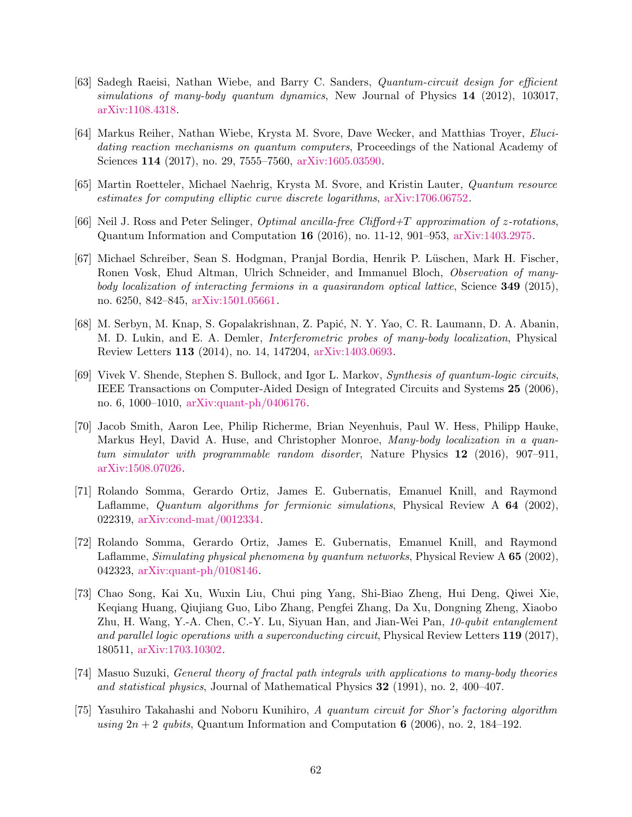- <span id="page-61-6"></span>[63] Sadegh Raeisi, Nathan Wiebe, and Barry C. Sanders, Quantum-circuit design for efficient simulations of many-body quantum dynamics, New Journal of Physics 14 (2012), 103017, [arXiv:1108.4318.](http://arxiv.org/abs/arXiv:1108.4318)
- <span id="page-61-7"></span>[64] Markus Reiher, Nathan Wiebe, Krysta M. Svore, Dave Wecker, and Matthias Troyer, Elucidating reaction mechanisms on quantum computers, Proceedings of the National Academy of Sciences 114 (2017), no. 29, 7555–7560, [arXiv:1605.03590.](http://arxiv.org/abs/arXiv:1605.03590)
- <span id="page-61-8"></span>[65] Martin Roetteler, Michael Naehrig, Krysta M. Svore, and Kristin Lauter, Quantum resource estimates for computing elliptic curve discrete logarithms, [arXiv:1706.06752.](http://arxiv.org/abs/arXiv:1706.06752)
- <span id="page-61-4"></span>[66] Neil J. Ross and Peter Selinger, *Optimal ancilla-free Clifford+T approximation of z-rotations*, Quantum Information and Computation 16 (2016), no. 11-12, 901–953, [arXiv:1403.2975.](http://arxiv.org/abs/arXiv:1403.2975)
- <span id="page-61-1"></span>[67] Michael Schreiber, Sean S. Hodgman, Pranjal Bordia, Henrik P. L¨uschen, Mark H. Fischer, Ronen Vosk, Ehud Altman, Ulrich Schneider, and Immanuel Bloch, Observation of manybody localization of interacting fermions in a quasirandom optical lattice, Science 349 (2015), no. 6250, 842–845, [arXiv:1501.05661.](http://arxiv.org/abs/arXiv:1501.05661)
- <span id="page-61-2"></span>[68] M. Serbyn, M. Knap, S. Gopalakrishnan, Z. Papić, N. Y. Yao, C. R. Laumann, D. A. Abanin, M. D. Lukin, and E. A. Demler, Interferometric probes of many-body localization, Physical Review Letters 113 (2014), no. 14, 147204, [arXiv:1403.0693.](http://arxiv.org/abs/arXiv:1403.0693)
- <span id="page-61-12"></span>[69] Vivek V. Shende, Stephen S. Bullock, and Igor L. Markov, Synthesis of quantum-logic circuits, IEEE Transactions on Computer-Aided Design of Integrated Circuits and Systems 25 (2006), no. 6, 1000–1010, [arXiv:quant-ph/0406176.](http://arxiv.org/abs/arXiv:quant-ph/0406176)
- <span id="page-61-3"></span>[70] Jacob Smith, Aaron Lee, Philip Richerme, Brian Neyenhuis, Paul W. Hess, Philipp Hauke, Markus Heyl, David A. Huse, and Christopher Monroe, Many-body localization in a quantum simulator with programmable random disorder, Nature Physics 12 (2016), 907–911, [arXiv:1508.07026.](http://arxiv.org/abs/arXiv:1508.07026)
- <span id="page-61-9"></span>[71] Rolando Somma, Gerardo Ortiz, James E. Gubernatis, Emanuel Knill, and Raymond Laflamme, Quantum algorithms for fermionic simulations, Physical Review A 64 (2002), 022319, [arXiv:cond-mat/0012334.](http://arxiv.org/abs/arXiv:cond-mat/0012334)
- <span id="page-61-10"></span>[72] Rolando Somma, Gerardo Ortiz, James E. Gubernatis, Emanuel Knill, and Raymond Laflamme, Simulating physical phenomena by quantum networks, Physical Review A 65 (2002), 042323, [arXiv:quant-ph/0108146.](http://arxiv.org/abs/arXiv:quant-ph/0108146)
- <span id="page-61-0"></span>[73] Chao Song, Kai Xu, Wuxin Liu, Chui ping Yang, Shi-Biao Zheng, Hui Deng, Qiwei Xie, Keqiang Huang, Qiujiang Guo, Libo Zhang, Pengfei Zhang, Da Xu, Dongning Zheng, Xiaobo Zhu, H. Wang, Y.-A. Chen, C.-Y. Lu, Siyuan Han, and Jian-Wei Pan, 10-qubit entanglement and parallel logic operations with a superconducting circuit, Physical Review Letters 119 (2017), 180511, [arXiv:1703.10302.](http://arxiv.org/abs/arXiv:1703.10302)
- <span id="page-61-5"></span>[74] Masuo Suzuki, General theory of fractal path integrals with applications to many-body theories and statistical physics, Journal of Mathematical Physics 32 (1991), no. 2, 400–407.
- <span id="page-61-11"></span>[75] Yasuhiro Takahashi and Noboru Kunihiro, A quantum circuit for Shor's factoring algorithm using  $2n + 2$  qubits, Quantum Information and Computation 6 (2006), no. 2, 184–192.